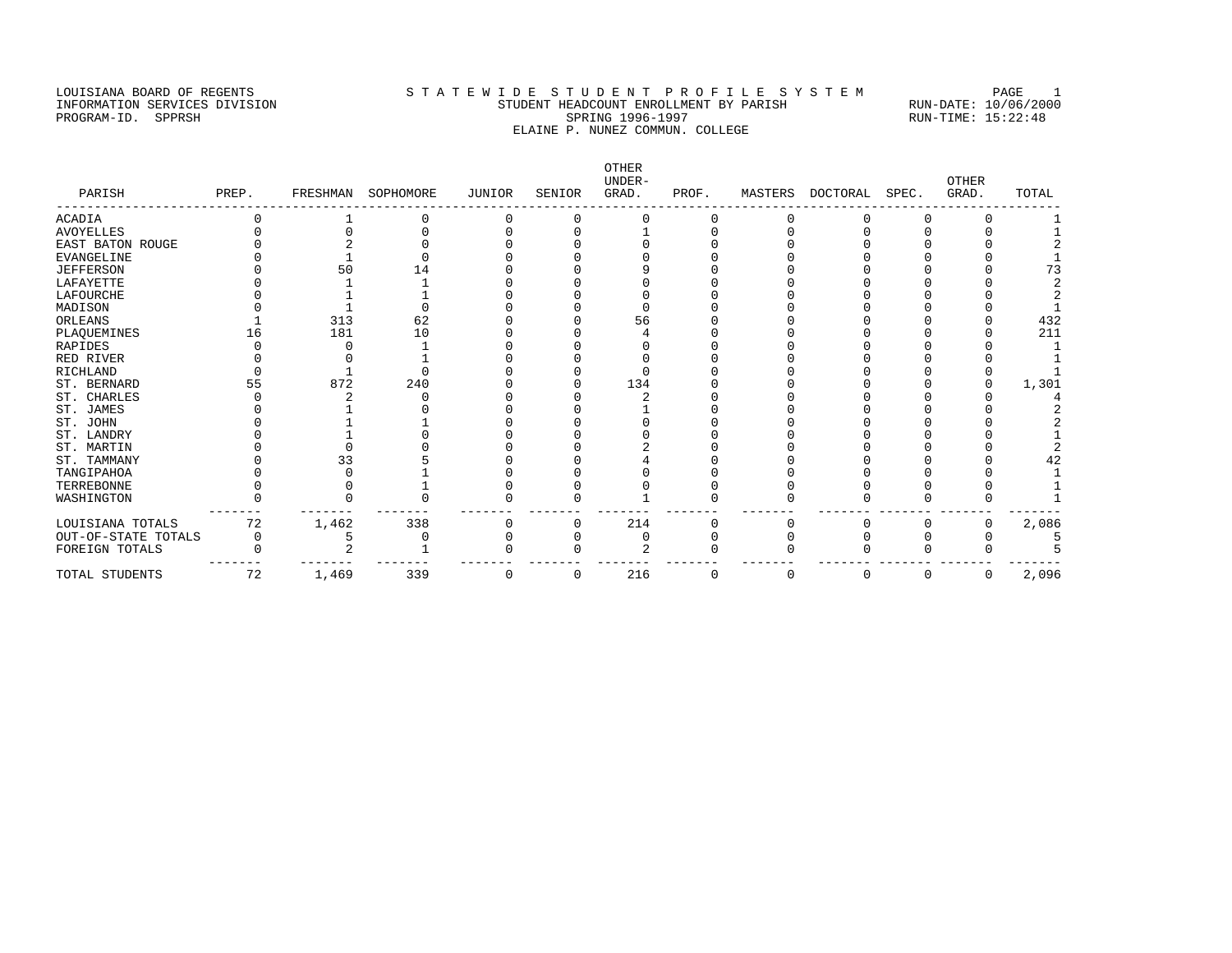#### LOUISIANA BOARD OF REGENTS STA TEWIDE STUDENT PROFILE SYSTEM PAGE 1 INFORMATION SERVICES DIVISION STUDENT HEADCOUNT ENROLLMENT BY PARISH RUN-DATE: 10/06/2000 PROGRAM-ID. SPPRSH SPRING 1996-1997 SPRING 1996-1997 RUN-TIME: 15:22:48 ELAINE P. NUNEZ COMMUN. COLLEGE

OTHER UNDER- OTHER PARISH PREP. FRESHMAN SOPHOMORE JUNIOR SENIOR GRAD. PROF. MASTERS DOCTORAL SPEC. GRAD. TOTAL ------------------------------------------------------------------------------------------------------------------------------------ ACADIA 0 1 0 0 0 0 0 0 0 0 0 1 AVOYELLES 0 0 0 0 1 0 0 0 0 0 1 EAST BATON ROUGE 0 2 0 0 0 0 0 0 0 0 0 2 EVANGELINE 0 1 0 0 0 0 0 0 0 0 0 1 JEFFERSON 0 50 14 0 0 9 0 0 0 0 0 73 LAFAYETTE 0 1 1 0 0 0 0 0 0 0 0 2 LAFOURCHE 0 1 1 0 0 0 0 0 0 0 0 2 MADISON 0 1 0 0 0 0 0 0 0 0 0 1 ORLEANS 1 313 62 0 0 56 0 0 0 0 0 432 PLAQUEMINES 16 181 10 0 0 4 0 0 0 0 0 211 RAPIDES 0 0 1 0 0 0 0 0 0 0 0 0 1 RED RIVER 0 0 1 0 0 0 0 0 0 0 0 1 RAPLIER<br>RICHLAND 0 0 1 0 0 0 0 0 0 0 0 0 0 0 0 0<br>ST. BERNARD 55 872 240 0 0 134 0 0 0 0 0 0 0 1,301 ST. BERNARD 55 872 240 0 0 134 0 0 0 0 0 1,301<br>
ST. CHARLES 0 2 0 0 0 2 0 0 0 0 0 4<br>
ST. JOHN 0 1 0 0 0 0 0 0 0 0 0 2<br>
ST. JOHN 0 1 0 0 0 0 0 0 0 0 2<br>
ST. LANDRY 0 1 0 0 0 0 0 0 0 0 0 2<br>
ST. MARTIN 0 0 0 0 0 2 0 0 0 0 0 2 ST. CHARLES 0 2 0 0 0 2 0 0 0 0 0 4 ST. JAMES 0 1 0 0 0 1 0 0 0 0 0 2 ST. JOHN 0 1 1 0 0 0 0 0 0 0 0 2 ST. LANDRY 0 1 0 0 0 0 0 0 0 0 0 1 ST. MARTIN 0 0 0 0 0 2 0 0 0 0 0 2 ST. TAMMANY 0 33 5 0 0 4 0 0 0 0 0 42 TANGIPAHOA 0 0 1 0 0 0 0 0 0 0 0 1 TERREBONNE 0 0 1 0 0 0 0 0 0 0 0 1 WASHINGTON 0 0 0 0 0 1 0 0 0 0 0 1 ------- ------- ------- ------- ------- ------- ------- ------- ------- ------- ------- ------- LOUISIANA TOTALS 72 1,462 338 0 0 214 0 0 0 0 0 2,086 OUT-OF-STATE TOTALS 0 5 0 0 0 0 0 0 0 0 0 5 FOREIGN TOTALS 0 2 1 0 0 2 0 0 0 0 0 5 ------- ------- ------- ------- ------- ------- ------- ------- ------- ------- ------- ------- TOTAL STUDENTS 72 1,469 339 0 0 216 0 0 0 0 0 2,096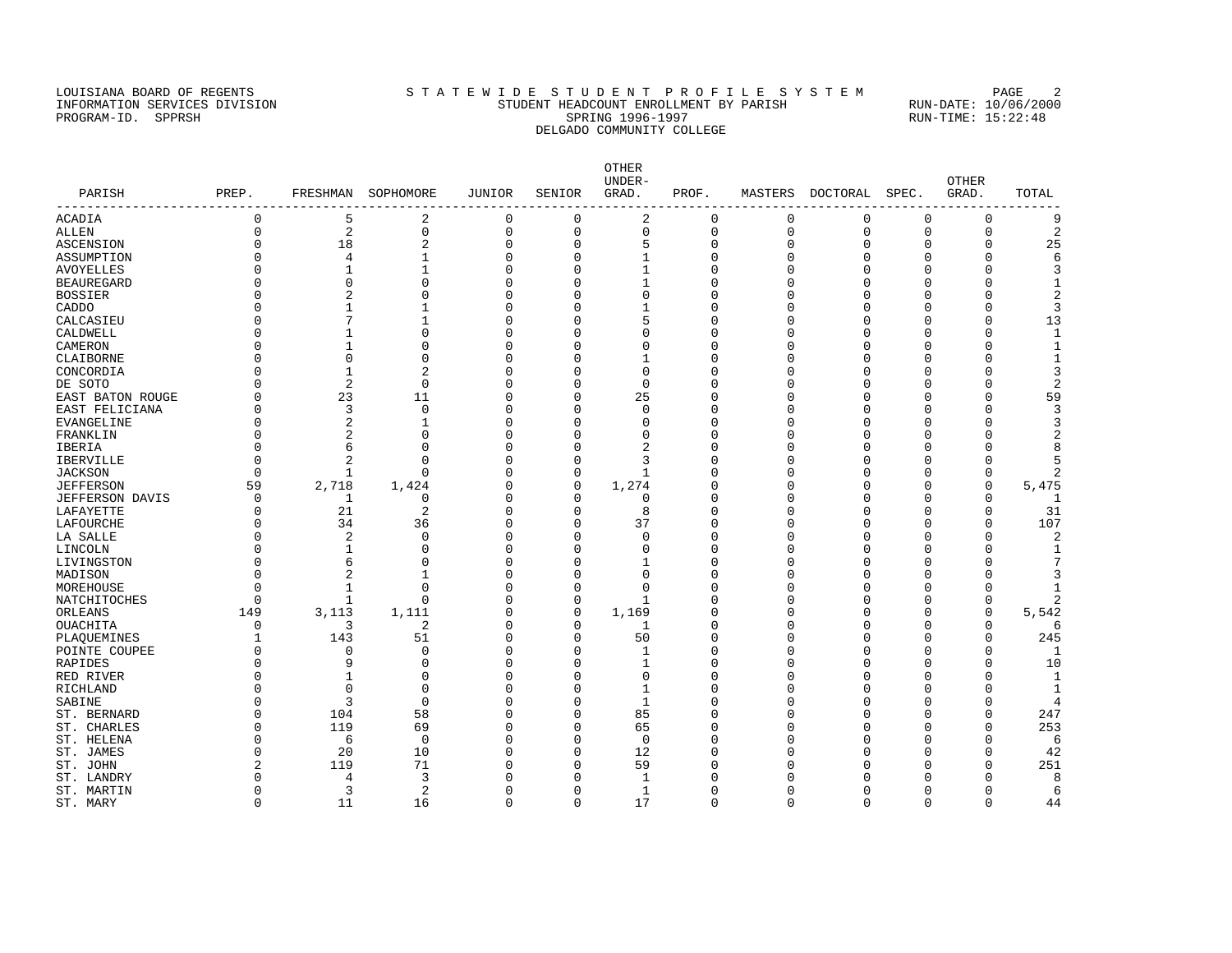#### LOUISIANA BOARD OF REGENTS STATEWIDE STUDENT PROFILE SYSTEM PAGE 2 INFORMATION SERVICES DIVISION STUDENT HEADCOUNT ENROLLMENT BY PARISH RUN-DATE: 10/06/2000 PROGRAM-ID. SPPRSH SPRING 1996-1997 SPRING 1996-1997 RUN-TIME: 15:22:48 DELGADO COMMUNITY COLLEGE

OTHER UNDER- OTHER PARISH PREP. FRESHMAN SOPHOMORE JUNIOR SENIOR GRAD. PROF. MASTERS DOCTORAL SPEC. GRAD. TOTAL ------------------------------------------------------------------------------------------------------------------------------------ ACADIA 0 5 2 0 0 2 0 0 0 0 0 9 ALLEN 0 2 0 0 0 0 0 0 0 0 0 2 ASCENSION 0 18 2 0 0 5 0 0 0 0 0 25 ASSUMPTION 0 4 1 0 0 1 0 0 0 0 0 6 AVOYELLES 0 1 1 0 0 1 0 0 0 0 0 3 BEAUREGARD 0 0 0 0 0 1 0 0 0 0 0 1 BOSSIER 0 2 0 0 0 0 0 0 0 0 0 2 CADDO 0 1 1 0 0 1 0 0 0 0 0 3 CALCASIEU 0 7 1 0 0 5 0 0 0 0 0 13 CALDWELL 0 0 1 0 0 0 0 0 0 0 0 0 0 0 0 0 0 1 CAMERON 0 1 0 0 0 0 0 0 0 0 0 1 CLAIBORNE 0 0 0 0 0 1 0 0 0 0 0 1 CONCORDIA 0 1 2 0 0 0 0 0 0 0 0 3 DE SOTO 0 2 0 0 0 0 0 0 0 0 0 2 EAST BATON ROUGE 0 23 11 0 0 25 0 0 0 0 0 59 EAST FELICIANA 0 3 0 0 0 0 0 0 0 0 0 3 EVANGELINE 0 2 1 0 0 0 0 0 0 0 0 3 FRANKLIN 0 2 0 0 0 0 0 0 0 0 0 2 IBERIA 0 6 0 0 0 2 0 0 0 0 0 8 IBERVILLE 0 2 0 0 0 3 0 0 0 0 0 5 JACKSON 0 1 0 0 0 1 0 0 0 0 0 2 JEFFERSON 59 2,718 1,424 0 0 1,274 0 0 0 0 0 5,475 JEFFERSON DAVIS 0 1 0 0 0 0 0 0 0 0 0 1 LAFAYETTE 0 21 2 0 0 8 0 0 0 0 0 31 LAFOURCHE 0 34 36 0 0 37 0 0 0 0 0 107 LA SALLE 0 2 0 0 0 0 0 0 0 0 0 2 LINCOLN 0 1 0 0 0 0 0 0 0 0 0 1 LIVINGSTON 0 6 0 0 0 1 0 0 0 0 0 7 MADISON 0 2 1 0 0 0 0 0 0 0 0 3 MOREHOUSE 0 1 0 0 0 0 0 0 0 0 0 1 NATCHITOCHES 0 1 0 0 0 1 0 0 0 0 2 ORLEANS 149 3,113 1,111 0 0 1,169 0 0 0 0 0 5,542 OUACHITA 0 3 2 0 0 1 0 0 0 0 0 6 PLAQUEMINES 1 143 51 0 0 50 0 0 0 0 0 245 POINTE COUPEE 0 0 0 0 0 0 0 0 0 0 0 0 1 RAPIDES 0 9 0 0 0 1 0 0 0 0 0 10 RED RIVER 0 1 0 0 0 0 0 0 0 0 0 1 RICHLAND 0 0 0 0 0 1 0 0 0 0 0 1 SABINE 0 3 0 0 0 1 0 0 0 0 0 4 ST. BERNARD 0 104 58 0 0 85 0 0 0 0 0 247 ST. CHARLES 0 119 69 0 0 65 0 0 0 0 0 253 ST. HELENA 0 6 0 0 0 0 0 0 0 0 0 6 ST. JAMES 0 20 10 0 0 12 0 0 0 0 0 42 ST. JOHN 2 119 71 0 0 59 0 0 0 0 0 251 ST. LANDRY 0 4 3 0 0 1 0 0 0 0 0 8 ST. MARTIN 0 3 2 0 0 1 0 0 0 0 0 6

ST. MARY 0 11 16 0 0 17 0 0 0 0 0 44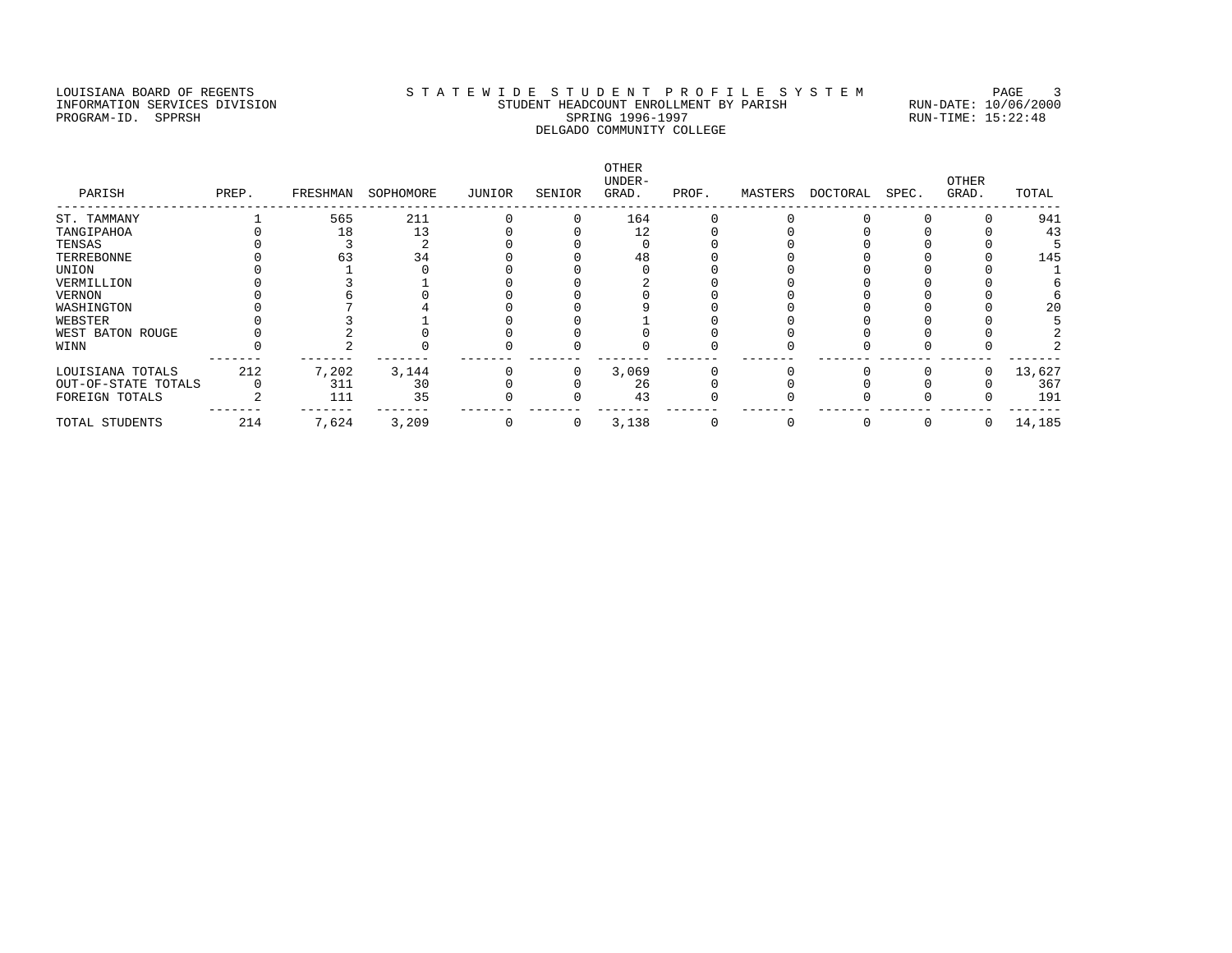### LOUISIANA BOARD OF REGENTS STATEWIDE STUDENT PROFILE SYSTEM PAGE 3 INFORMATION SERVICES DIVISION STUDENT HEADCOUNT ENROLLMENT BY PARISH RUN-DATE: 10/06/2000 PROGRAM-ID. SPPRSH SPRING 1996-1997 SPRING 1996-1997 RUN-TIME: 15:22:48 DELGADO COMMUNITY COLLEGE

| PARISH              | PREP. | FRESHMAN | SOPHOMORE | JUNIOR | SENIOR | OTHER<br>UNDER-<br>GRAD. | PROF. | MASTERS | DOCTORAL | SPEC. | <b>OTHER</b><br>GRAD. | TOTAL  |
|---------------------|-------|----------|-----------|--------|--------|--------------------------|-------|---------|----------|-------|-----------------------|--------|
| ST. TAMMANY         |       | 565      | 211       |        |        | 164                      |       |         |          |       |                       | 941    |
| TANGIPAHOA          |       | 18       | 13        |        |        | 12                       |       |         |          |       |                       | 43     |
| TENSAS              |       |          |           |        |        |                          |       |         |          |       |                       |        |
| TERREBONNE          |       | 63       | 34        |        |        | 48                       |       |         |          |       |                       | 145    |
| UNION               |       |          |           |        |        |                          |       |         |          |       |                       |        |
| VERMILLION          |       |          |           |        |        |                          |       |         |          |       |                       |        |
| VERNON              |       |          |           |        |        |                          |       |         |          |       |                       |        |
| WASHINGTON          |       |          |           |        |        |                          |       |         |          |       |                       | 20     |
| WEBSTER             |       |          |           |        |        |                          |       |         |          |       |                       |        |
| WEST BATON ROUGE    |       |          |           |        |        |                          |       |         |          |       |                       |        |
| WINN                |       |          |           |        |        |                          |       |         |          |       |                       |        |
| LOUISIANA TOTALS    | 212   | 7,202    | 3,144     |        |        | 3,069                    |       |         |          |       |                       | 13,627 |
| OUT-OF-STATE TOTALS |       | 311      | 30        |        |        | 26                       |       |         |          |       |                       | 367    |
| FOREIGN TOTALS      |       | 111      | 35        |        |        | 43                       |       |         |          |       |                       | 191    |
| TOTAL STUDENTS      | 214   | 7,624    | 3,209     | 0      | 0      | 3,138                    |       |         |          |       | 0                     | 14,185 |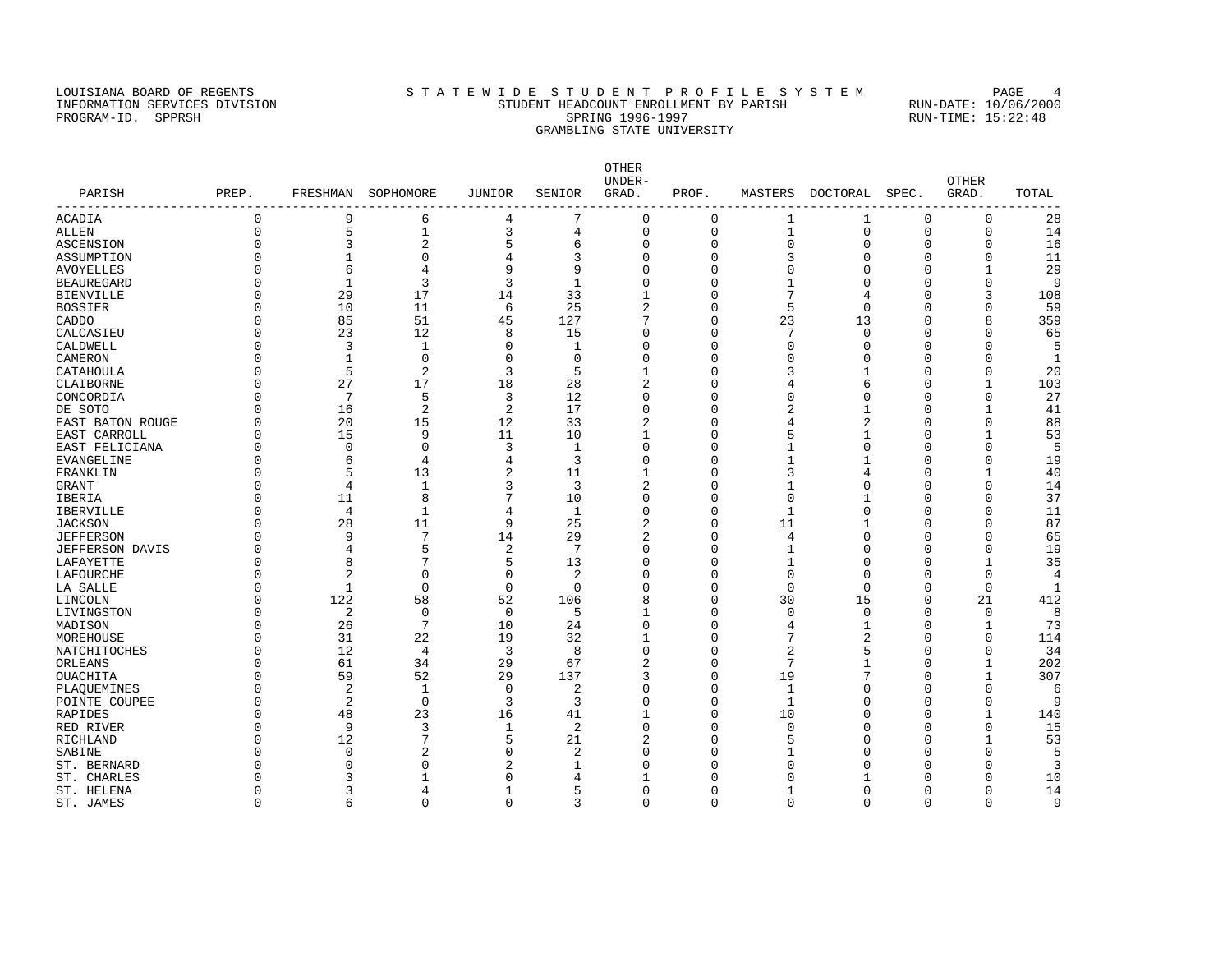#### LOUISIANA BOARD OF REGENTS STA TEWIDE STUDENT PROFILE SYSTEM PAGE 4 INFORMATION SERVICES DIVISION STUDENT HEADCOUNT ENROLLMENT BY PARISH RUN-DATE: 10/06/2000 PROGRAM-ID. SPPRSH SPRING 1996-1997 SPRING 1996-1997 RUN-TIME: 15:22:48 GRAMBLING STATE UNIVERSITY

OTHER UNDER- OTHER PARISH PREP. FRESHMAN SOPHOMORE JUNIOR SENIOR GRAD. PROF. MASTERS DOCTORAL SPEC. GRAD. TOTAL ------------------------------------------------------------------------------------------------------------------------------------ ACADIA 0 9 6 4 7 0 0 1 1 0 0 28 ALLEN 0 5 1 3 4 0 0 1 0 0 0 14 ASCENSION 0 3 2 5 6 0 0 0 0 0 0 16 ASSUMPTION 0 1 0 4 3 0 0 3 0 0 0 11 AVOYELLES 0 6 4 9 9 0 0 0 0 1 29 BEAUREGARD 0 1 3 3 1 0 0 1 0 0 9 BIENVILLE 0 29 17 14 33 1 0 7 4 0 3 108 BOSSIER 0 10 11 6 25 2 0 5 0 0 0 59 CADDO 0 85 51 45 127 7 0 23 13 0 8 359 CALCASIEU 0 23 12 8 15 0 0 7 0 0 0 65 CALDWELL 0 3 1 0 1 0 0 0 0 0 0 5 CAMERON 0 1 0 0 0 0 0 0 0 0 0 1 CATAHOULA 0 5 2 3 5 1 0 3 1 0 0 20 CLAIBORNE 0 27 17 18 28 2 0 4 6 0 1 103 CONCORDIA 0 7 5 3 12 0 0 0 0 0 0 27 DE SOTO 0 16 2 2 17 0 0 2 1 0 1 41 EAST BATON ROUGE 0 20 15 12 33 2 0 4 2 0 0 88 EAST CARROLL 0 15 9 11 10 1 0 5 1 0 1 53 EAST FELICIANA 0 0 0 3 1 0 0 1 0 0 0 5 EVANGELINE 0 6 4 4 3 0 0 1 1 0 0 19 FRANKLIN 0 5 13 2 11 1 0 3 4 0 1 40 GRANT 0 4 1 3 3 2 0 1 0 0 0 14 IBERIA 0 11 8 7 10 0 0 0 1 0 0 37 IBERVILLE 0 4 1 4 1 0 0 1 0 0 0 11 JACKSON 0 28 11 9 25 2 0 11 1 0 0 87 JEFFERSON 0 9 7 14 29 2 0 4 0 0 0 65 JEFFERSON DAVIS 0 4 5 2 7 0 0 1 0 0 0 19 LAFAYETTE 0 8 7 5 13 0 0 1 0 0 1 35 LAFOURCHE 0 2 0 0 2 0 0 0 0 0 0 4 LA SALLE 0 1 0 0 0 0 0 0 0 0 0 1 LINCOLN 0 122 58 52 106 8 0 30 15 0 21 412 LIVINGSTON 0 2 0 0 5 1 0 0 0 0 0 8 MADISON 0 26 7 10 24 0 0 4 1 0 1 73 MOREHOUSE 0 31 22 19 32 1 0 7 2 0 0 114 NATCHITOCHES 0 12 4 3 8 0 0 2 5 0 0 34 ORLEANS 0 61 34 29 67 2 0 7 1 0 1 202 OUACHITA 0 59 52 29 137 3 0 19 7 0 1 307 PLAQUEMINES 0 2 1 0 2 0 0 1 0 0 0 6 POINTE COUPEE 0 2 0 3 3 0 0 1 0 0 0 9 RAPIDES 0 48 23 16 41 1 0 10 0 0 1 140 RED RIVER 0 9 3 1 2 0 0 0 0 15 RICHLAND 0 12 7 5 21 2 0 5 0 0 1 53 SABINE 0 0 2 0 2 0 0 1 0 0 0 5 ST. BERNARD 0 0 0 2 1 0 0 0 0 0 0 3 ST. CHARLES 0 3 1 0 4 1 0 0 1 0 0 10 ST. HELENA 0 3 4 1 5 0 0 1 0 0 0 14

ST. JAMES 0 6 0 0 3 0 0 0 0 0 0 9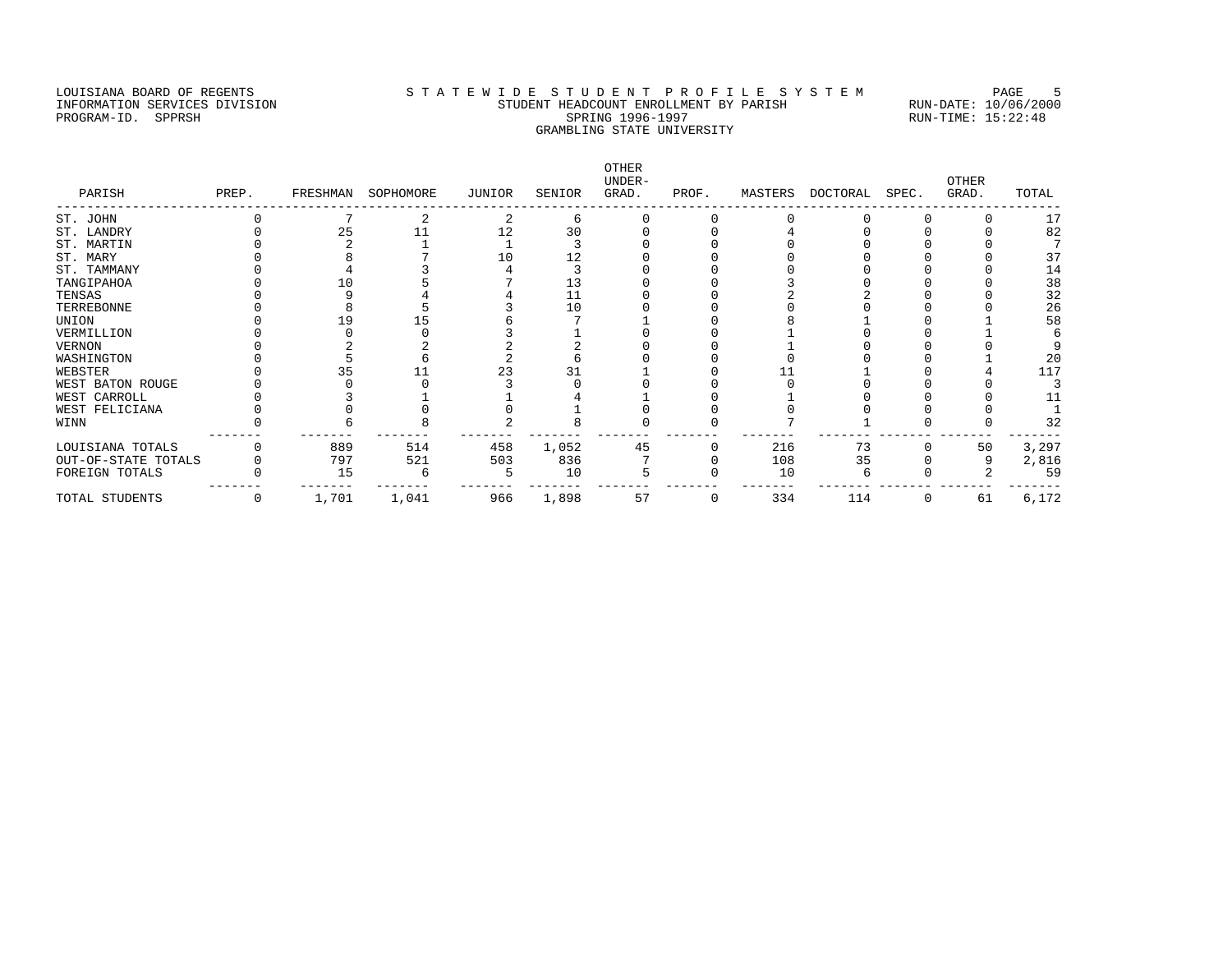#### LOUISIANA BOARD OF REGENTS STATEWIDE STUDENT PROFILE SYSTEM PAGE 5 INFORMATION SERVICES DIVISION STUDENT HEADCOUNT ENROLLMENT BY PARISH RUN-DATE: 10/06/2000 PROGRAM-ID. SPPRSH SPRING 1996-1997 SPRING 1996-1997 RUN-TIME: 15:22:48 GRAMBLING STATE UNIVERSITY

OTHER UNDER- OTHER PARISH PREP. FRESHMAN SOPHOMORE JUNIOR SENIOR GRAD. PROF. MASTERS DOCTORAL SPEC. GRAD. TOTAL ------------------------------------------------------------------------------------------------------------------------------------ ST. JOHN 0 7 2 2 6 0 0 0 0 0 0 17<br>
ST. LANDRY 0 25 11 12 30 0 0 4 0 0 0 82<br>
ST. MARTIN 0 2 1 1 3 0 0 0 0 0 0 7 ST. LANDRY 0 25 11 12 30 0 0 4 0 0 0 82 ST. MARTIN 0 2 1 1 3 0 0 0 0 0 0 7 ST. MARY 0 8 7 10 12 0 0 0 0 0 0 37 ST. TAMMANY 0 4 3 4 3 0 0 0 0 0 14 TANGIPAHOA 0 10 5 7 13 0 0 3 0 0 0 38 TENSAS 0 9 4 4 11 0 0 2 2 0 0 32 TERREBONNE 0 8 5 3 10 0 0 0 0 0 0 26 UNION 0 19 15 6 7 1 0 8 1 0 1 58 VERMILLION 0 0 0 0 3 1 0 0 0 0 0 0 1 0 6 VERNON 0 2 2 2 2 0 0 1 0 0 0 9<br>
VASHINGTON 0 5 6 2 6 0 0 0 0 0 1 20<br>
VASHINGTON 0 35 11 23 31 1 0 1 1 0 4 117 WASHINGTON 0 5 6 2 6 0 0 0 0 0 1 20 WEBSTER 0 35 11 23 31 1 0 11 1 0 4 117 WEST BATON ROUGE 0 0 0 3 0 0 0 0 0 0 0 3 WEST CARROLL 0 3 1 1 4 1 0 1 0 0 0 11 WEST FELICIANA 0 0 0 0 1 0 0 0 0 0 0 1 WINN 0 6 8 2 8 0 0 7 1 0 0 32 ------- ------- ------- ------- ------- ------- ------- ------- ------- ------- ------- ------- LOUISIANA TOTALS 0 889 514 458 1,052 45 0 216 73 0 50 3,297 OUT-OF-STATE TOTALS 0 797 521 503 836 7 0 108 35 0 9 2,816 FOREIGN TOTALS 0 15 6 5 10 5 0 10 6 0 2 59 ------- ------- ------- ------- ------- ------- ------- ------- ------- ------- ------- ------- TOTAL STUDENTS 0 1,701 1,041 966 1,898 57 0 334 114 0 61 6,172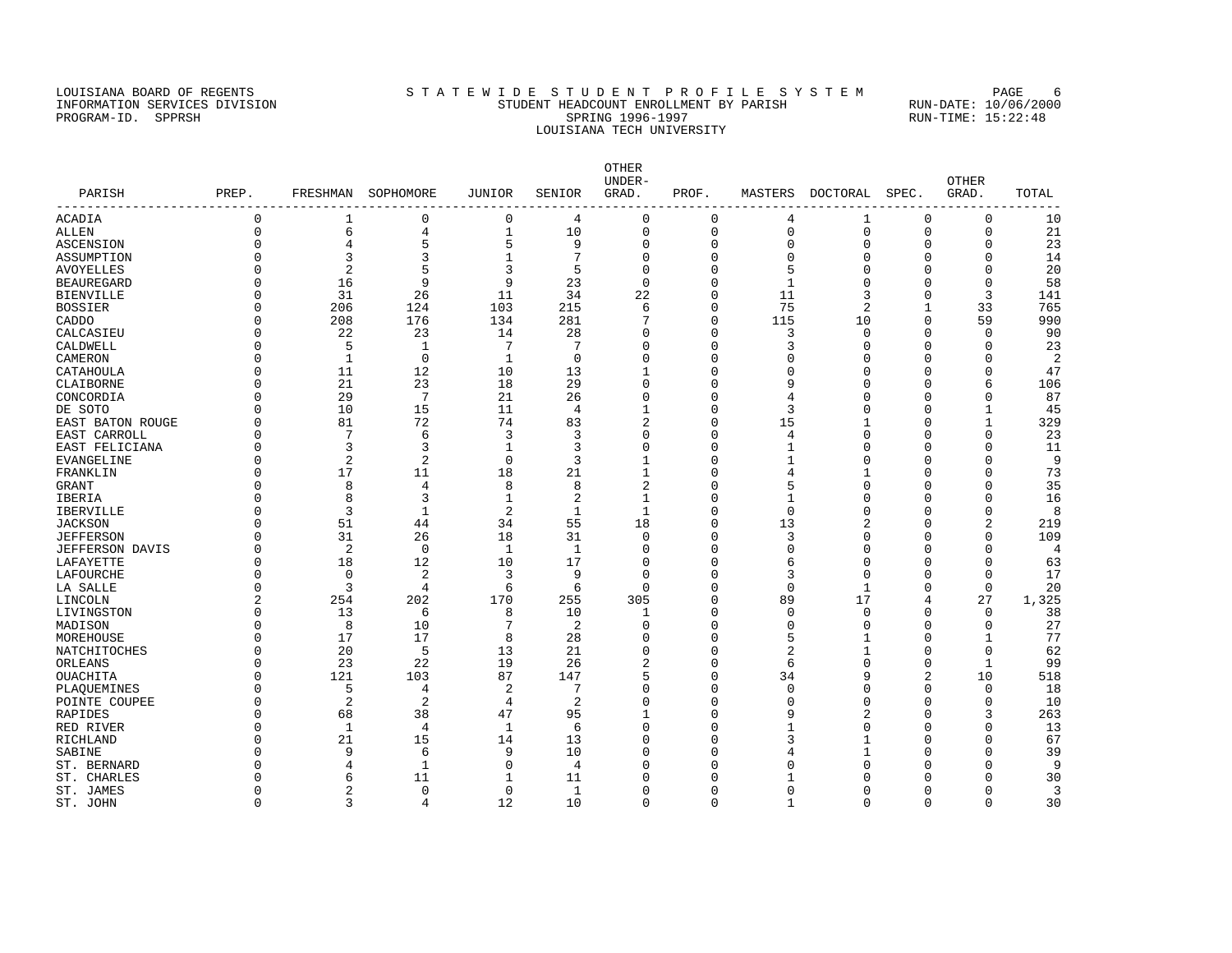#### LOUISIANA BOARD OF REGENTS STA TEWIDE STUDENT PROFILE SYSTEM PAGE 6 INFORMATION SERVICES DIVISION STUDENT HEADCOUNT ENROLLMENT BY PARISH RUN-DATE: 10/06/2000 PROGRAM-ID. SPPRSH SPRING 1996-1997 SPRING 1996-1997 RUN-TIME: 15:22:48 LOUISIANA TECH UNIVERSITY

OTHER UNDER- OTHER PARISH PREP. FRESHMAN SOPHOMORE JUNIOR SENIOR GRAD. PROF. MASTERS DOCTORAL SPEC. GRAD. TOTAL ------------------------------------------------------------------------------------------------------------------------------------ ACADIA 0 1 0 0 4 0 0 4 1 0 0 10 ALLEN 0 6 4 1 10 0 0 0 0 0 0 21 ASCENSION 0 4 5 5 9 0 0 0 0 0 0 23 ASSUMPTION 0 3 3 1 7 0 0 0 0 0 0 14 AVOYELLES 0 2 5 3 5 0 0 5 0 0 20 BEAUREGARD 0 16 9 9 23 0 0 1 0 0 0 58 BIENVILLE 0 31 26 11 34 22 0 11 3 0 3 141 BOSSIER 0 206 124 103 215 6 0 75 2 1 33 765 CADDO 0 208 176 134 281 7 0 115 10 0 59 990 CALCASIEU 0 22 23 14 28 0 0 3 0 0 0 90 CALDWELL 0 5 1 7 7 0 0 3 0 0 0 23 CAMERON 0 1 0 1 0 0 0 0 0 0 0 2 CATAHOULA 0 11 12 10 13 1 0 0 0 0 0 47 CLAIBORNE 0 21 23 18 29 0 0 9 0 0 6 106 CONCORDIA 0 29 7 21 26 0 0 4 0 0 0 87 DE SOTO 0 10 15 11 4 1 0 3 0 0 1 45 EAST BATON ROUGE 0 81 72 74 83 2 0 15 1 0 1 329 EAST CARROLL 0 7 6 3 3 0 0 4 0 0 0 23 EAST FELICIANA 0 3 3 1 3 0 0 1 0 0 0 11 EVANGELINE 0 2 2 0 3 1 0 1 0 0 0 9 FRANKLIN 0 17 11 18 21 1 0 4 1 0 0 73 GRANT 0 8 4 8 8 2 0 5 0 0 0 35 IBERIA 0 8 3 1 2 1 0 1 0 0 0 16 IBERVILLE 0 3 1 2 1 1 0 0 0 0 0 8 JACKSON 0 51 44 34 55 18 0 13 2 0 2 219 JEFFERSON 0 31 26 18 31 0 0 3 0 0 0 109 JEFFERSON DAVIS 0 2 0 1 1 0 0 0 0 0 0 4 LAFAYETTE 0 18 12 10 17 0 0 6 0 0 0 63 LAFOURCHE 0 0 2 3 9 0 0 3 0 0 0 17 LA SALLE 0 3 4 6 6 0 0 0 1 0 0 20 LINCOLN 2 254 202 170 255 305 0 89 17 4 27 1,325 LIVINGSTON 0 13 6 8 10 1 0 0 0 0 0 38 MADISON 0 8 10 7 2 0 0 0 0 0 0 27 MOREHOUSE 0 17 17 8 28 0 0 5 1 0 1 77 NATCHITOCHES 0 20 5 13 21 0 0 2 1 0 0 62 ORLEANS 0 23 22 19 26 2 0 6 0 0 1 99 OUACHITA 0 121 103 87 147 5 0 34 9 2 10 518 PLAQUEMINES 0 5 4 2 7 0 0 0 0 0 0 18 POINTE COUPEE 0 2 2 4 2 0 0 0 0 0 0 10 RAPIDES 0 68 38 47 95 1 0 9 2 0 3 263 RED RIVER 0 1 4 1 6 0 0 1 0 0 13 RICHLAND 0 21 15 14 13 0 0 3 1 0 0 67 SABINE 0 9 6 9 10 0 0 4 1 0 0 39 ST. BERNARD 0 4 1 0 4 0 0 0 0 0 0 9 ST. CHARLES 0 6 11 1 11 0 0 1 0 0 0 30 ST. JAMES 0 2 0 0 1 0 0 0 0 0 0 3

ST. JOHN 0 3 4 12 10 0 0 1 0 0 0 30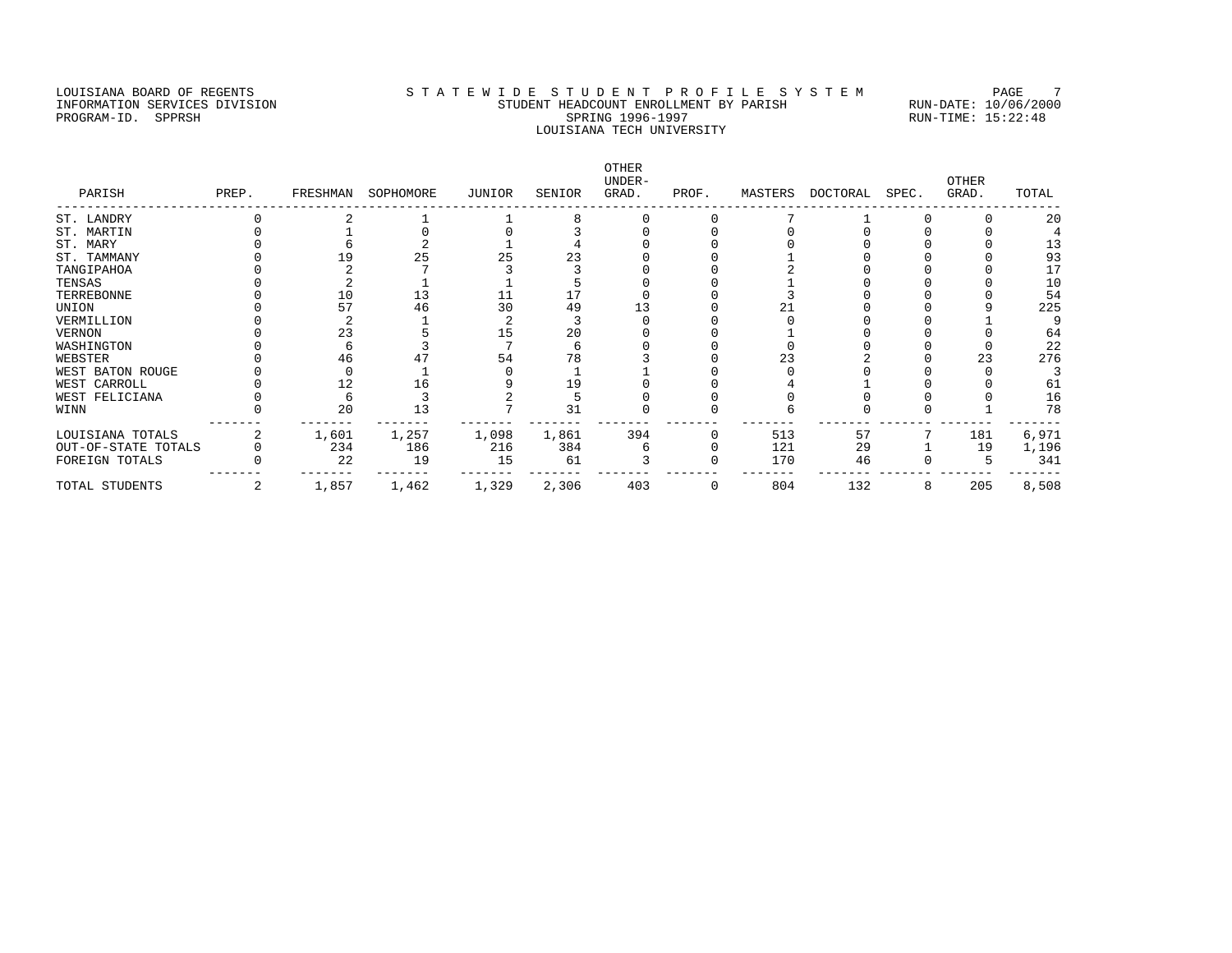#### LOUISIANA BOARD OF REGENTS STA TEWIDE STUDENT PROFILE SYSTEM PAGE 7 INFORMATION SERVICES DIVISION STUDENT HEADCOUNT ENROLLMENT BY PARISH RUN-DATE: 10/06/2000 PROGRAM-ID. SPPRSH SPRING 1996-1997 SPRING 1996-1997 RUN-TIME: 15:22:48 LOUISIANA TECH UNIVERSITY

OTHER UNDER- OTHER PARISH PREP. FRESHMAN SOPHOMORE JUNIOR SENIOR GRAD. PROF. MASTERS DOCTORAL SPEC. GRAD. TOTAL ------------------------------------------------------------------------------------------------------------------------------------ ST. LANDRY 0 2 1 1 8 0 0 7 1 0 0 20<br>
ST. MARTIN 0 1 0 0 3 0 0 0 0 0 0 4<br>
ST. MARY 0 6 2 1 4 0 0 0 0 0 0 13<br>
ST. TAMMANY 0 19 25 25 23 0 0 1 0 0 0 93<br>
TANGIPAHOA 0 2 7 3 3 0 0 2 0 0 17 ST. MARTIN 0 1 0 0 3 0 0 0 0 0 0 4 ST. MARY 0 6 2 1 4 0 0 0 0 0 0 13 ST. TAMMANY 0 19 25 25 23 0 0 1 0 0 0 93 TANGIPAHOA 0 2 7 3 3 0 0 2 0 0 0 17 TENSAS 0 2 1 1 5 0 0 1 0 0 0 10 TERREBONNE 0 10 13 11 17 0 0 3 0 0 0 54 UNION 0 57 46 30 49 13 0 21 0 0 9 225 VERMILLION 0 2 1 2 3 0 0 0 0 0 1 9 VERNON 0 23 5 15 20 0 0 1 0 0 0 64 WASHINGTON 0 6 3 7 6 0 0 0 0 0 0 22 WEBSTER 0 46 47 54 78 3 0 23 2 0 23 276 WEST BATON ROUGE 0 0 1 0 1 1 0 0 0 0 0 3 WEST CARROLL 0 12 16 9 19 0 0 4 1 0 0 61 WEST FELICIANA 0 6 3 2 5 0 0 0 0 0 0 16 WINN 0 20 13 7 31 0 0 6 0 0 1 78 ------- ------- ------- ------- ------- ------- ------- ------- ------- ------- ------- ------- LOUISIANA TOTALS 2 1,601 1,257 1,098 1,861 394 0 513 57 7 181 6,971 OUT-OF-STATE TOTALS 0 234 186 216 384 6 0 121 29 1 19 1,196 FOREIGN TOTALS 0 22 19 15 61 3 0 170 46 0 5 341 ------- ------- ------- ------- ------- ------- ------- ------- ------- ------- ------- ------- TOTAL STUDENTS 2 1,857 1,462 1,329 2,306 403 0 804 132 8 205 8,508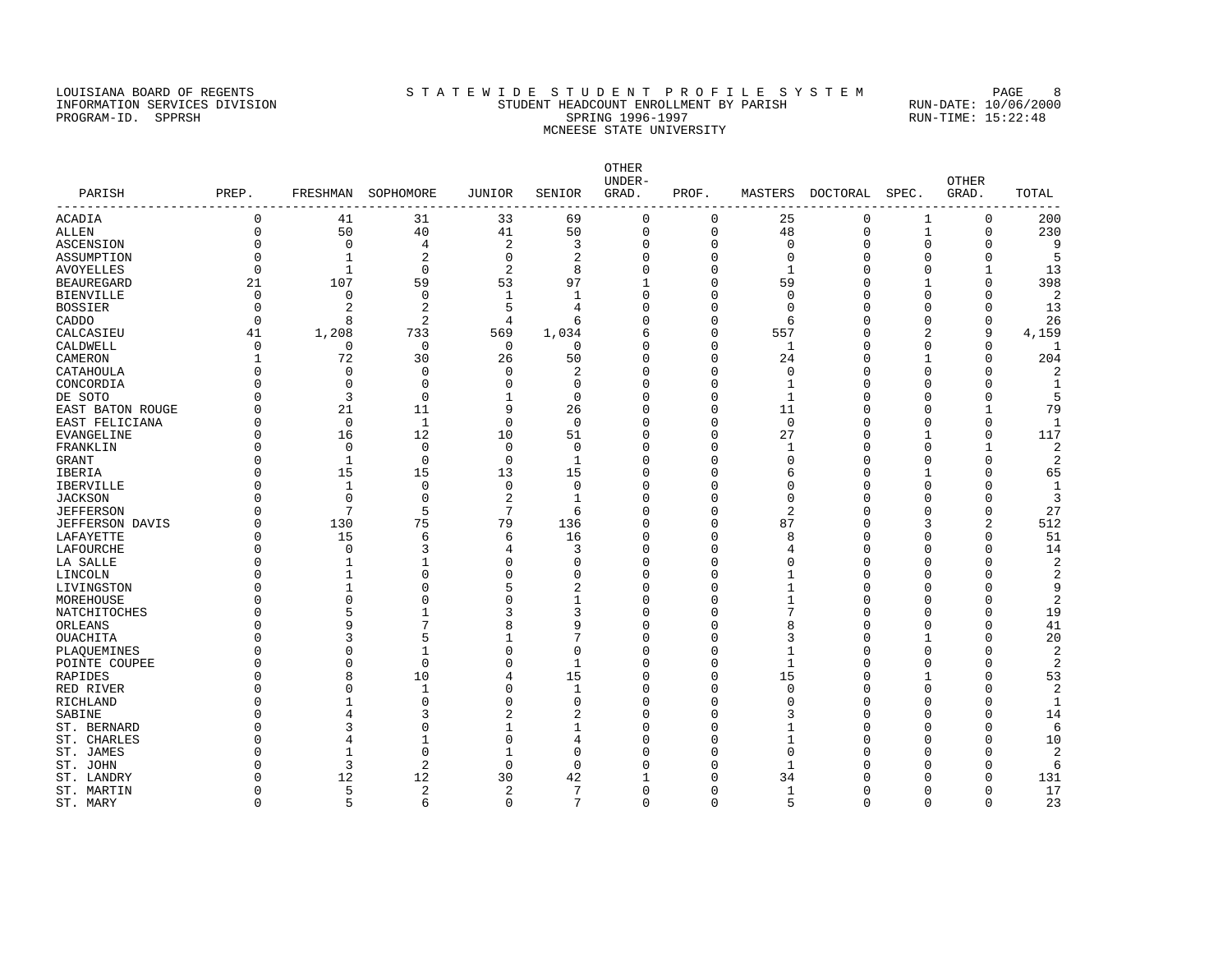#### LOUISIANA BOARD OF REGENTS STATEWIDE STUDENT PROFILE SYSTEM PAGE 8 INFORMATION SERVICES DIVISION STUDENT HEADCOUNT ENROLLMENT BY PARISH RUN-DATE: 10/06/2000 PROGRAM-ID. SPPRSH SPRING 1996-1997 SPRING 1996-1997 RUN-TIME: 15:22:48 MCNEESE STATE UNIVERSITY

OTHER UNDER- OTHER PARISH PREP. FRESHMAN SOPHOMORE JUNIOR SENIOR GRAD. PROF. MASTERS DOCTORAL SPEC. GRAD. TOTAL ------------------------------------------------------------------------------------------------------------------------------------ ACADIA 0 41 31 33 69 0 0 25 0 1 0 200 ALLEN 0 50 40 41 50 0 0 48 0 1 0 230<br>
ASCENSION 0 0 4 2 3 0 0 0 0 0 0 9<br>
ASSUMPTION 0 1 2 0 2 0 0 0 0 0 5<br>
AVOYELLES 0 1 0 2 8 0 0 1 0 0 1 13<br>
BEAUREGARD 21 107 59 53 97 1 0 59 0 1 0 398<br>
BIENVILLE 0 0 0 1 1 0 0 0 0 398 ASCENSION 0 0 4 2 3 0 0 0 0 0 0 9 ASSUMPTION 0 1 2 0 2 0 0 0 0 0 0 5 AVOYELLES 0 1 0 2 8 0 0 1 0 0 1 13 BEAUREGARD 21 107 59 53 97 1 0 59 0 1 0 398 BIENVILLE 0 0 0 1 1 0 0 0 0 0 0 2 BOSSIER 0 2 2 5 4 0 0 0 0 0 0 13 CADDO 0 8 2 4 6 0 0 6 0 0 0 26 CALCASIEU 41 1,208 733 569 1,034 6 0 557 0 2 9 4,159<br>CALOMELL 0 0 0 0 0 0 0 0 1 0 0 0 1<br>CAMERON 1 72 30 26 50 0 0 24 0 1 0 204<br>CATAHOULA 0 0 0 0 2 0 0 0 0 0 2 CALDWELL 0 0 0 0 0 0 0 0 0 0 0 0 0 0 1 CAMERON 1 72 30 26 50 0 0 24 0 1 0 204 CATAHOULA 0 0 0 0 2 0 0 0 0 0 0 2 CONCORDIA 0 0 0 0 0 0 0 0 1 0 0 0 1 DE SOTO 0 3 0 1 0 0 0 1 0 0 0 5 EAST BATON ROUGE 0 21 11 9 26 0 0 11 0 0 1 79 EAST FELICIANA 0 0 1 0 0 0 0 0 0 0 0 1 EVANGELINE 0 16 12 10 51 0 0 27 0 1 0 117 FRANKLIN 0 0 0 0 0 0 0 1 0 0 1 2 GRANT 0 1 0 0 1 0 0 0 0 0 0 2 IBERIA 0 15 15 13 15 0 0 6 0 1 0 65 IBERVILLE 0 1 0 0 0 0 0 0 0 0 0 1 JACKSON 0 0 0 2 1 0 0 0 0 0 0 3 JEFFERSON 0 7 5 7 6 0 0 2 0 0 0 27 JEFFERSON DAVIS 0 130 75 79 136 0 0 87 0 3 2 512 LAFAYETTE 0 15 6 6 16 0 0 8 0 0 0 51 LAFOURCHE 0 0 3 4 3 0 0 4 0 0 0 14 LA SALLE 0 1 1 0 0 0 0 0 0 0 0 2 LINCOLN 0 1 0 0 0 0 0 1 0 0 0 2 LIVINGSTON 0 1 0 5 2 0 0 1 0 0 0 9 MOREHOUSE 0 0 0 0 1 0 0 1 0 0 0 2 NATCHITOCHES 0 5 1 3 3 0 0 7 0 0 0 19 ORLEANS 9 7 8 9 0 8 0 0 41 OUACHITA 0 3 5 1 7 0 0 3 0 1 0 20 PLAQUEMINES 0 0 1 0 0 0 0 1 0 0 0 2 POINTE COUPEE 0 0 0 0 0 1 0 0 0 0 0 2 RAPIDES 0 8 10 4 15 0 0 15 0 1 0 53 RED RIVER 0 0 1 0 1 0 0 0 0 0 0 2 RICHLAND 0 1 0 0 0 0 0 0 0 0 0 1 SABINE 0 4 3 2 2 0 0 3 0 0 0 14 ST. BERNARD 0 3 0 1 1 0 0 1 0 0 0 6 ST. CHARLES 0 4 1 0 4 0 0 1 0 0 0 10 ST. JAMES 0 1 0 1 0 0 0 0 0 0 0 2 ST. JOHN 0 3 2 0 0 0 0 1 0 0 0 6 ST. LANDRY 0 12 12 30 42 1 0 34 0 0 0 131 ST. MARTIN 0 5 2 2 7 0 0 1 0 0 0 17

ST. MARY 0 5 6 0 7 0 0 5 0 0 0 23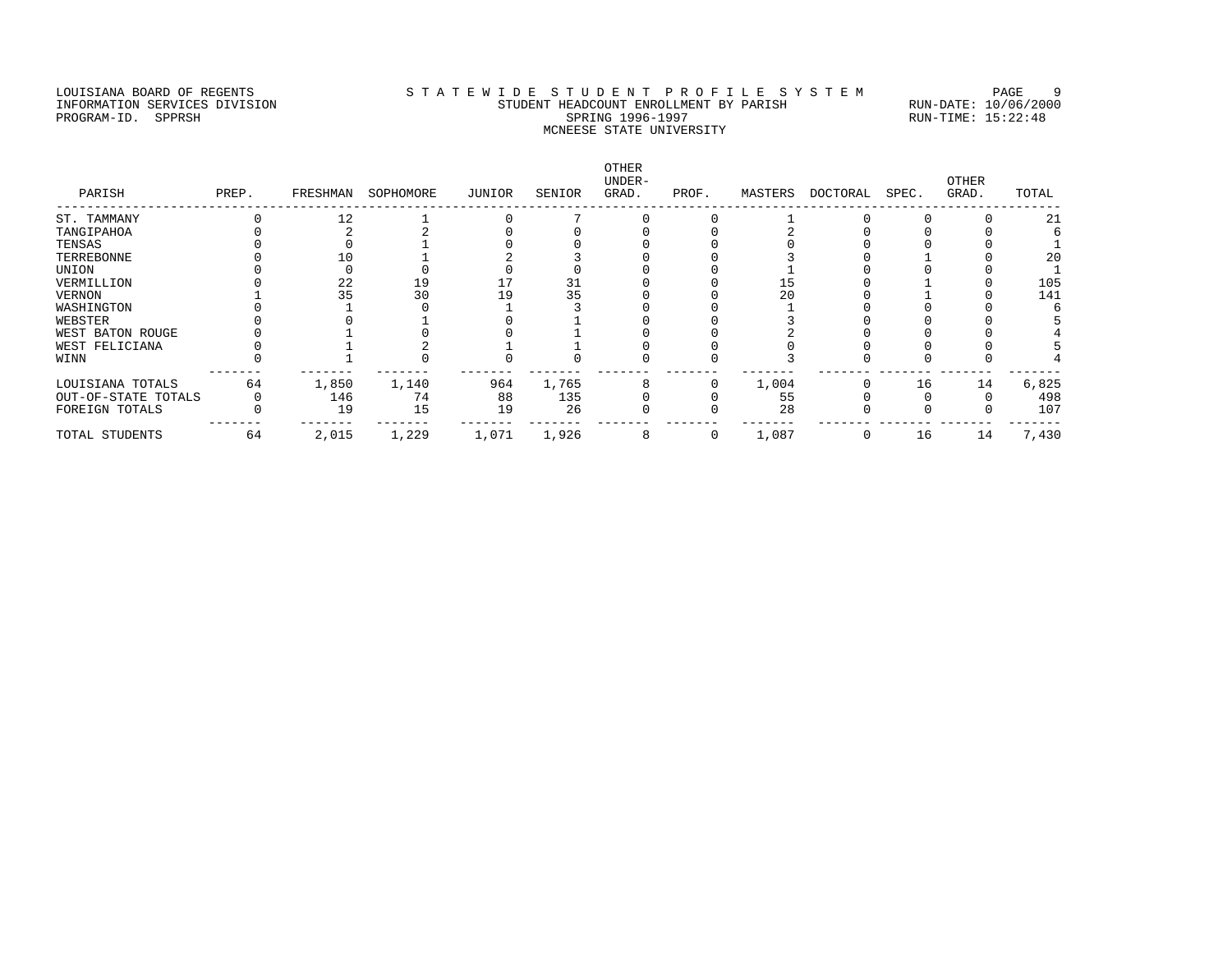### LOUISIANA BOARD OF REGENTS STA TEWIDE STUDENT PROFILE SYSTEM PAGE 9 INFORMATION SERVICES DIVISION STUDENT HEADCOUNT ENROLLMENT BY PARISH RUN-DATE: 10/06/2000 PROGRAM-ID. SPPRSH SPRING 1996-1997 SPRING 1996-1997 RUN-TIME: 15:22:48 MCNEESE STATE UNIVERSITY

| PARISH              | PREP. | FRESHMAN | SOPHOMORE | JUNIOR | SENIOR | OTHER<br>UNDER-<br>GRAD. | PROF.        | MASTERS | DOCTORAL | SPEC. | <b>OTHER</b><br>GRAD. | TOTAL |
|---------------------|-------|----------|-----------|--------|--------|--------------------------|--------------|---------|----------|-------|-----------------------|-------|
| ST. TAMMANY         |       | 12       |           |        |        |                          |              |         |          |       |                       | 21    |
| TANGIPAHOA          |       |          |           |        |        |                          |              |         |          |       |                       |       |
| TENSAS              |       |          |           |        |        |                          |              |         |          |       |                       |       |
| TERREBONNE          |       |          |           |        |        |                          |              |         |          |       |                       | 20    |
| UNION               |       |          |           |        |        |                          |              |         |          |       |                       |       |
| VERMILLION          |       | 22       | 19        |        | 31     |                          |              | 15      |          |       |                       | 105   |
| VERNON              |       | 35       | 30        |        | 35     |                          |              | 20      |          |       |                       | 141   |
| WASHINGTON          |       |          |           |        |        |                          |              |         |          |       |                       |       |
| WEBSTER             |       |          |           |        |        |                          |              |         |          |       |                       |       |
| WEST BATON ROUGE    |       |          |           |        |        |                          |              |         |          |       |                       |       |
| WEST FELICIANA      |       |          |           |        |        |                          |              |         |          |       |                       |       |
| WINN                |       |          |           |        |        |                          |              |         |          |       |                       |       |
| LOUISIANA TOTALS    | 64    | 1,850    | 1,140     | 964    | 1,765  |                          |              | 1,004   |          | 16    | 14                    | 6,825 |
| OUT-OF-STATE TOTALS |       | 146      | 74        | 88     | 135    |                          |              | 55      |          |       |                       | 498   |
| FOREIGN TOTALS      |       | 19       | 15        | 19     | 26     |                          |              | 28      |          |       |                       | 107   |
| TOTAL STUDENTS      | 64    | 2,015    | 1,229     | 1,071  | 1,926  |                          | $\mathbf{0}$ | 1,087   |          | 16    | 14                    | 7,430 |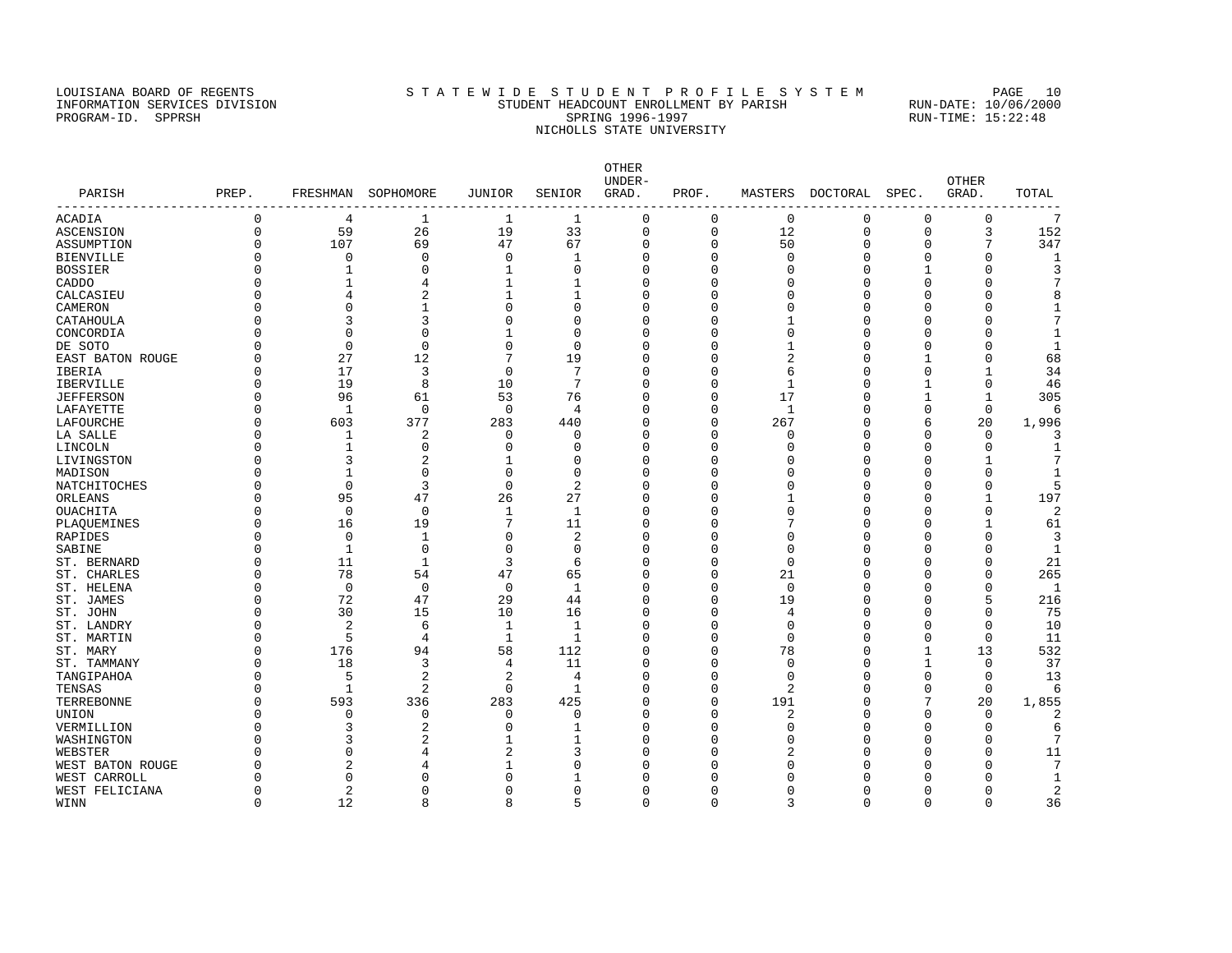### LOUISIANA BOARD OF REGENTS STA TEWIDE STUDENT PROFILE SYSTEM PAGE 10 INFORMATION SERVICES DIVISION STUDENT HEADCOUNT ENROLLMENT BY PARISH RUN-DATE: 10/06/2000 PROGRAM-ID. SPPRSH SPRING 1996-1997 SPRING 1996-1997 RUN-TIME: 15:22:48 NICHOLLS STATE UNIVERSITY

| PARISH           | PREP.    |                | FRESHMAN SOPHOMORE | JUNIOR      | SENIOR         | <b>OTHER</b><br>UNDER-<br>GRAD. | PROF.       |              | MASTERS DOCTORAL SPEC. |              | OTHER<br>GRAD. | TOTAL           |
|------------------|----------|----------------|--------------------|-------------|----------------|---------------------------------|-------------|--------------|------------------------|--------------|----------------|-----------------|
| ACADIA           | $\Omega$ | 4              | 1                  | 1           | $\mathbf{1}$   | $\mathbf 0$                     | 0           | $\mathsf 0$  | $\mathbf 0$            | 0            | $\mathbf 0$    | $7\phantom{.0}$ |
| ASCENSION        | $\Omega$ | 59             | 26                 | 19          | 33             | $\mathbf 0$                     | $\mathbf 0$ | 12           | $\mathbf 0$            | $\mathbf{0}$ | 3              | 152             |
| ASSUMPTION       |          | 107            | 69                 | 47          | 67             | $\overline{0}$                  | $\Omega$    | 50           | $\Omega$               | $\Omega$     | 7              | 347             |
| BIENVILLE        |          | $\Omega$       | $\Omega$           | 0           |                | 0                               | U           | $\cap$       | $\Omega$               | ∩            | $\Omega$       |                 |
| BOSSIER          |          | 1              | $\Omega$           | 1           | $\Omega$       | $\Omega$                        | O           | U            | $\Omega$               |              | $\cap$         |                 |
| CADDO            |          | -1             | 4                  | 1           |                | $\Omega$                        | U           |              | $\Omega$               |              | $\cap$         |                 |
| CALCASIEU        |          |                |                    |             |                | $\Omega$                        | U           |              | $\Omega$               |              |                |                 |
| CAMERON          |          | $\Omega$       | 1                  | $\Omega$    | <sup>0</sup>   | $\Omega$                        | U           |              | $\Omega$               |              | ∩              |                 |
| CATAHOULA        |          | 3              |                    | O           | ∩              | $\Omega$                        |             |              | $\Omega$               |              |                |                 |
| CONCORDIA        |          | $\Omega$       | O                  |             | $\Omega$       | $\Omega$                        | U           | U            | $\Omega$               |              | $\cap$         |                 |
| DE SOTO          |          | $\mathbf 0$    | 0                  | 0           | $\Omega$       | $\Omega$                        | U           |              | $\Omega$               |              | ∩              | -1              |
| EAST BATON ROUGE |          | 27             | 12                 | 7           | 19             | $\Omega$                        | U           |              | $\Omega$               |              | $\Omega$       | 68              |
| IBERIA           |          | 17             | 3                  | 0           | 7              | $\Omega$                        | U           | 6            | $\Omega$               | ∩            |                | 34              |
| IBERVILLE        |          | 19             | 8                  | 10          | 7              | $\Omega$                        | U           | 1            | ∩                      |              | $\Omega$       | 46              |
| JEFFERSON        |          | 96             | 61                 | 53          | 76             | $\Omega$                        | U           | 17           | $\Omega$               |              | $\mathbf{1}$   | 305             |
| LAFAYETTE        |          | $\mathbf{1}$   | $\mathbf 0$        | $\mathbf 0$ | 4              | $\Omega$                        | O           | $\mathbf{1}$ | $\Omega$               | ∩            | $\mathbf 0$    | 6               |
| LAFOURCHE        |          | 603            | 377                | 283         | 440            | $\Omega$                        | $\Omega$    | 267          | $\Omega$               | 6            | 20             | 1,996           |
| LA SALLE         |          | 1              | 2                  | 0           | $\Omega$       | $\Omega$                        | U           | $\Omega$     | $\Omega$               | ∩            | $\Omega$       |                 |
| LINCOLN          |          | -1             | $\Omega$           | 0           | $\Omega$       | $\Omega$                        | U           | U            | $\Omega$               |              | $\Omega$       |                 |
| LIVINGSTON       |          | 3              | 2                  | 1           | $\Omega$       | $\Omega$                        | U           |              | $\Omega$               |              | -1             |                 |
| MADISON          |          |                | $\Omega$           | 0           | $\Omega$       | $\Omega$                        |             |              | $\Omega$               |              | $\Omega$       | $\mathbf{1}$    |
| NATCHITOCHES     |          | $\mathbf 0$    | 3                  | $\mathbf 0$ | $\overline{2}$ | $\overline{0}$                  |             | N            | $\Omega$               |              | $\Omega$       | 5               |
| ORLEANS          |          | 95             | 47                 | 26          | 27             | $\Omega$                        |             |              | $\Omega$               |              | 1              | 197             |
| OUACHITA         |          | $\mathbf 0$    | $\Omega$           | 1           | 1              | $\Omega$                        |             |              | $\Omega$               |              | <sup>0</sup>   | $\mathfrak{D}$  |
| PLAQUEMINES      |          | 16             | 19                 | 7           | 11             | $\Omega$                        |             |              | $\Omega$               |              |                | 61              |
| RAPIDES          |          | $\mathbf 0$    | 1                  | 0           | 2              | $\Omega$                        |             |              | $\Omega$               |              | $\cap$         | 3               |
| SABINE           |          | 1              | $\mathbf 0$        | $\Omega$    | 0              | $\Omega$                        |             | O            | $\Omega$               |              | ∩              | 1               |
| ST. BERNARD      |          | 11             | $\mathbf{1}$       | 3           | 6              | $\Omega$                        | O           | $\Omega$     | $\Omega$               |              | $\Omega$       | 21              |
| ST. CHARLES      |          | 78             | 54                 | 47          | 65             | $\Omega$                        | O           | 21           | $\Omega$               |              | n              | 265             |
| ST. HELENA       |          | $\overline{0}$ | 0                  | $\mathbf 0$ | 1              | $\Omega$                        | U           | $\mathbf 0$  | $\Omega$               |              | $\cap$         | 1               |
| ST. JAMES        |          | 72             | 47                 | 29          | 44             | $\Omega$                        | U           | 19           | $\Omega$               |              | 5              | 216             |
| ST. JOHN         |          | 30             | 15                 | 10          | 16             | $\Omega$                        | U           | 4            | $\Omega$               |              | $\Omega$       | 75              |
| ST. LANDRY       |          | 2              | 6                  | 1           | $\mathbf{1}$   | $\Omega$                        | O           | $\Omega$     | $\Omega$               |              | $\Omega$       | 10              |
| ST. MARTIN       |          | 5              | 4                  | 1           | $\mathbf{1}$   | $\Omega$                        | U           | $\Omega$     | $\Omega$               | $\Omega$     | $\Omega$       | 11              |
| ST. MARY         |          | 176            | 94                 | 58          | 112            | $\Omega$                        | U           | 78           | $\Omega$               | 1            | 13             | 532             |
| ST. TAMMANY      |          | 18             | 3                  | 4           | 11             | $\Omega$                        | U           | $\cap$       | $\Omega$               | 1            | 0              | 37              |
| TANGIPAHOA       |          | 5              | 2                  | 2           | 4              | $\Omega$                        | O           | O            | $\Omega$               | $\Omega$     | 0              | 13              |
| TENSAS           |          | $\mathbf{1}$   | 2                  | 0           | $\mathbf{1}$   | $\Omega$                        | O           | 2            | $\Omega$               | $\Omega$     | $\mathbf 0$    | 6               |
| TERREBONNE       |          | 593            | 336                | 283         | 425            | $\Omega$                        | O           | 191          | $\Omega$               | 7            | 20             | 1,855           |
| UNION            |          | $\Omega$       | $\Omega$           | 0           | <sup>0</sup>   | $\Omega$                        | U           | 2            | $\Omega$               | ∩            | $\Omega$       |                 |
| VERMILLION       |          | 3              | 2                  | 0           |                | $\Omega$                        | U           | U            | $\Omega$               |              | $\Omega$       | 6               |
|                  |          |                |                    |             |                | $\Omega$                        |             |              | $\Omega$               |              | $\cap$         |                 |
| WASHINGTON       |          | 3<br>$\Omega$  |                    | 2           |                | $\sqrt{ }$                      |             |              | $\Omega$               |              |                | 11              |
| WEBSTER          |          | 2              |                    |             | 3              |                                 |             |              |                        |              | ∩              |                 |
| WEST BATON ROUGE |          |                |                    |             |                | C                               | U           |              |                        |              |                |                 |
| WEST CARROLL     |          | $\Omega$       | U                  | O           |                |                                 |             |              |                        |              |                |                 |
| WEST FELICIANA   | $\cap$   | $\overline{a}$ | $\Omega$           | $\Omega$    | $\Omega$       | $\Omega$                        | $\Omega$    | $\Omega$     | $\Omega$               | $\Omega$     | $\Omega$       |                 |

WINN 0 12 8 8 5 0 0 3 0 0 0 36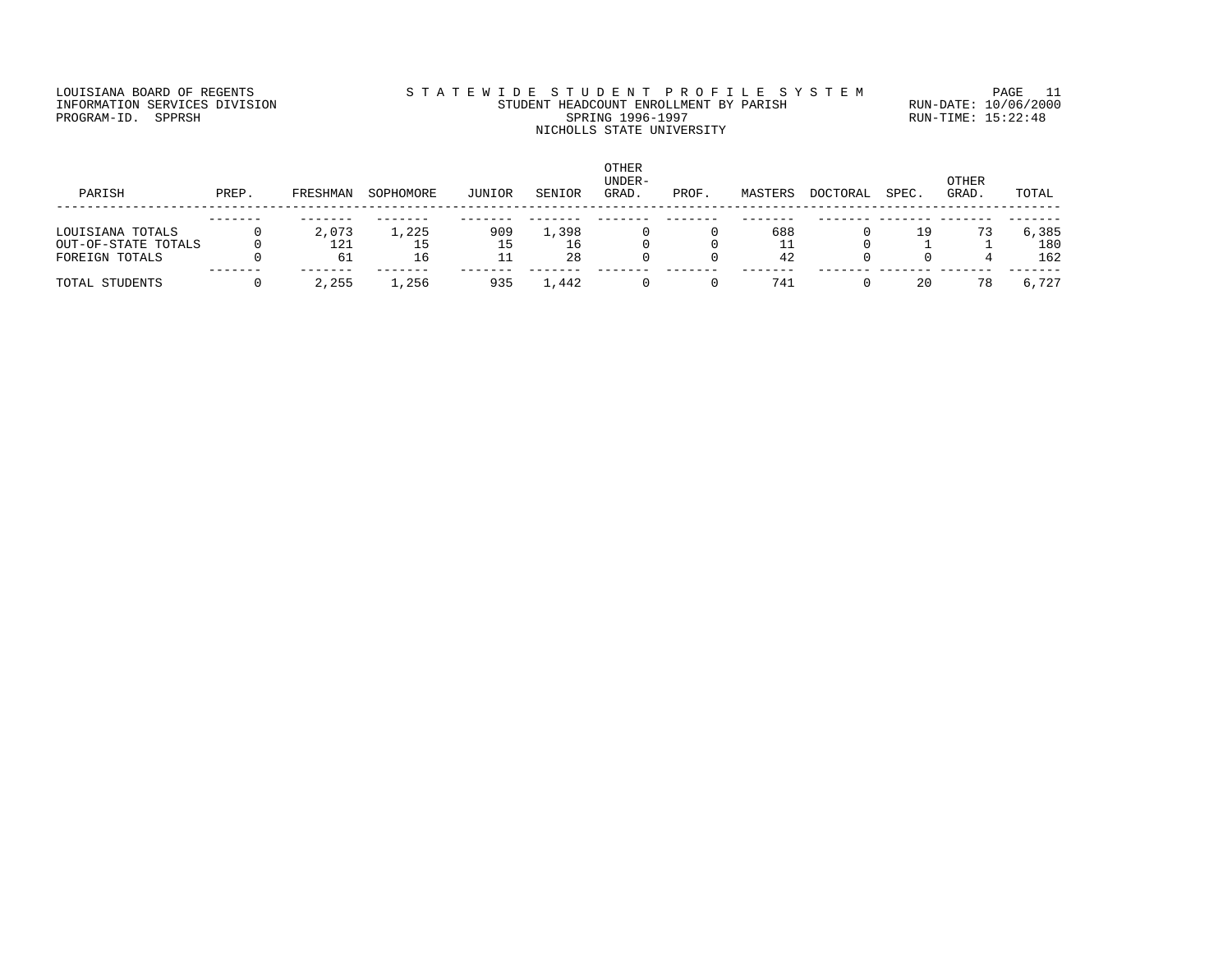## LOUISIANA BOARD OF REGENTS STA TEWIDE STUDENT PROFILE SYSTEM PAGE 11 INFORMATION SERVICES DIVISION STUDENT HEADCOUNT ENROLLMENT BY PARISH RUN-DATE: 10/06/2000 PROGRAM-ID. SPPRSH SPRING 1996-1997 SPRING 1996-1997 RUN-TIME: 15:22:48 NICHOLLS STATE UNIVERSITY

| PARISH                                | PREP. | FRESHMAN  | SOPHOMORE | JUNIOR | SENIOR   | <b>OTHER</b><br>UNDER-<br>GRAD. | PROF. | MASTERS  | DOCTORAL | SPEC. | <b>OTHER</b><br>GRAD. | TOTAL      |
|---------------------------------------|-------|-----------|-----------|--------|----------|---------------------------------|-------|----------|----------|-------|-----------------------|------------|
| LOUISIANA TOTALS                      |       | 2,073     | 1,225     | 909    | 1,398    |                                 |       | 688      |          | 19    | 73                    | 6,385      |
| OUT-OF-STATE TOTALS<br>FOREIGN TOTALS |       | 121<br>61 | 15<br>16  | 15     | 16<br>28 |                                 |       | 11<br>42 |          |       |                       | 180<br>162 |
| TOTAL STUDENTS                        |       | 2,255     | .,256     | 935    | ,442     |                                 |       | 741      |          | 20    |                       | 6,727      |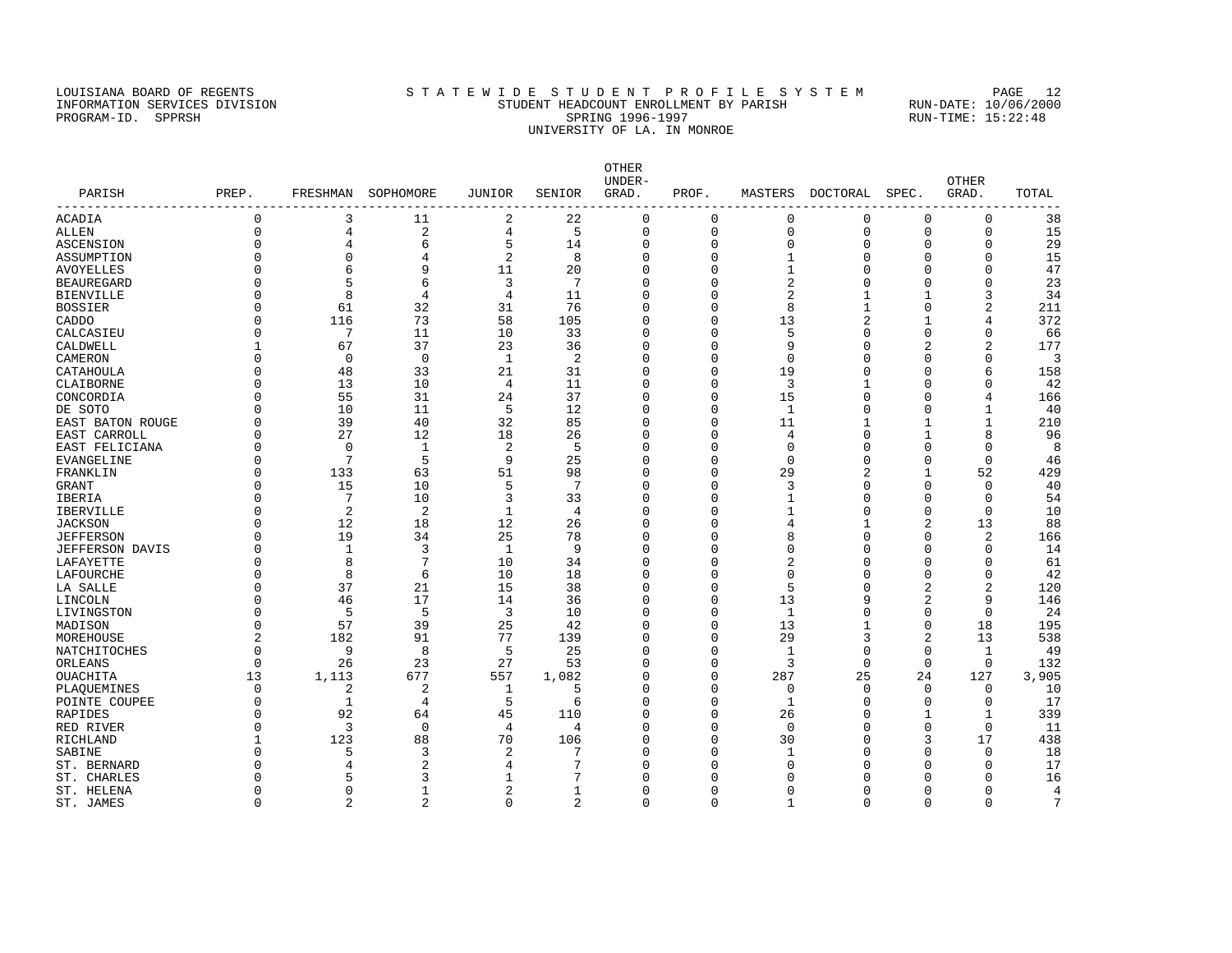#### LOUISIANA BOARD OF REGENTS STATEWIDE STUDENT PROFILE SYSTEM PAGE 12 INFORMATION SERVICES DIVISION STUDENT HEADCOUNT ENROLLMENT BY PARISH RUN-DATE: 10/06/2000 PROGRAM-ID. SPPRSH SPRING 1996-1997 SPRING 1996-1997 RUN-TIME: 15:22:48 UNIVERSITY OF LA. IN MONROE

OTHER UNDER- OTHER PARISH PREP. FRESHMAN SOPHOMORE JUNIOR SENIOR GRAD. PROF. MASTERS DOCTORAL SPEC. GRAD. TOTAL ------------------------------------------------------------------------------------------------------------------------------------ ACADIA 0 3 11 2 22 0 0 0 0 0 0 38 ALLEN 0 4 2 4 5 0 0 0 0 0 0 15 ASCENSION 0 4 6 5 14 0 0 0 0 0 0 29 ASSUMPTION 0 0 4 2 8 0 0 1 0 0 0 15 AVOYELLES 0 6 9 11 20 0 0 1 0 0 0 47 BEAUREGARD 0 5 6 3 7 0 0 2 0 0 0 23 BIENVILLE 0 8 4 4 11 0 0 2 1 1 3 34 BOSSIER 0 61 32 31 76 0 0 8 1 0 2 211 CADDO 0 116 73 58 105 0 0 13 2 1 4 372 CALCASIEU 0 7 11 10 33 0 0 5 0 0 0 66 CALDWELL 1 67 37 23 36 0 0 9 0 2 2 177 CAMERON 0 0 0 1 2 0 0 0 0 0 0 3 CATAHOULA 0 48 33 21 31 0 0 19 0 0 6 158 CLAIBORNE 0 13 10 4 11 0 0 3 1 0 0 42 CONCORDIA 0 55 31 24 37 0 0 15 0 0 4 166 DE SOTO 0 10 11 5 12 0 0 1 0 0 1 40 ельства на точности с последните на точности на 1 на 1, на 1, на 1, на 1, на 1, на 1, на 1, на 1, на 1, на 1,<br>ЕАЗТ САRROLL 1 0 27 12 18 26 0 0 4 0 1 8 96 EAST CARROLL 0 27 12 18 26 0 0 4 0 1 8 96 EAST FELICIANA 0 0 1 2 5 0 0 0 0 0 0 8 EVANGELINE 0 7 5 9 25 0 0 0 0 0 0 46 FRANKLIN 0 133 63 51 98 0 0 29 2 1 52 429 GRANT 0 15 10 5 7 0 0 3 0 0 0 40 IBERIA 0 7 10 3 33 0 0 1 0 0 0 54 IBERVILLE 0 2 2 1 4 0 0 1 0 0 0 10 JACKSON 0 12 18 12 26 0 0 4 1 2 13 88 JEFFERSON 0 19 34 25 78 0 0 8 0 0 2 166 JEFFERSON DAVIS 0 1 3 1 9 0 0 0 0 0 0 14 LAFAYETTE 0 8 7 10 34 0 0 2 0 0 0 61 LAFOURCHE 0 8 6 10 18 0 0 0 0 0 0 42 LA SALLE 0 37 21 15 38 0 0 5 0 2 2 120 LINCOLN 0 46 17 14 36 0 0 13 9 2 9 146 LIVINGSTON 0 5 5 3 10 0 0 1 0 0 0 24 MADISON 0 57 39 25 42 0 0 13 1 0 18 195 MOREHOUSE 2 182 91 77 139 0 0 29 3 2 13 538 NATCHITOCHES 0 9 9 8 5 25 0 0 1 0 0 1 49 ORLEANS 0 26 23 27 53 0 0 3 0 0 0 132 OUACHITA 13 1,113 677 557 1,082 0 0 287 25 24 127 3,905 PLAQUEMINES 0 2 2 1 5 0 0 0 0 0 0 10 POINTE COUPEE 0 1 4 5 6 0 0 1 0 0 0 17 RAPIDES 0 92 64 45 110 0 0 26 0 1 1 339 RED RIVER 0 3 0 4 4 0 0 0 0 0 11 RICHLAND 1 123 88 70 106 0 0 30 0 3 17 438 SABINE 0 5 3 2 7 0 0 1 0 0 0 18 ST. BERNARD 0 4 2 4 7 0 0 0 0 0 0 17 ST. CHARLES 0 5 3 1 7 0 0 0 0 0 0 16 ST. HELENA 0 0 1 2 1 0 0 0 0 0 0 4

ST. JAMES 0 2 2 0 2 0 0 1 0 0 7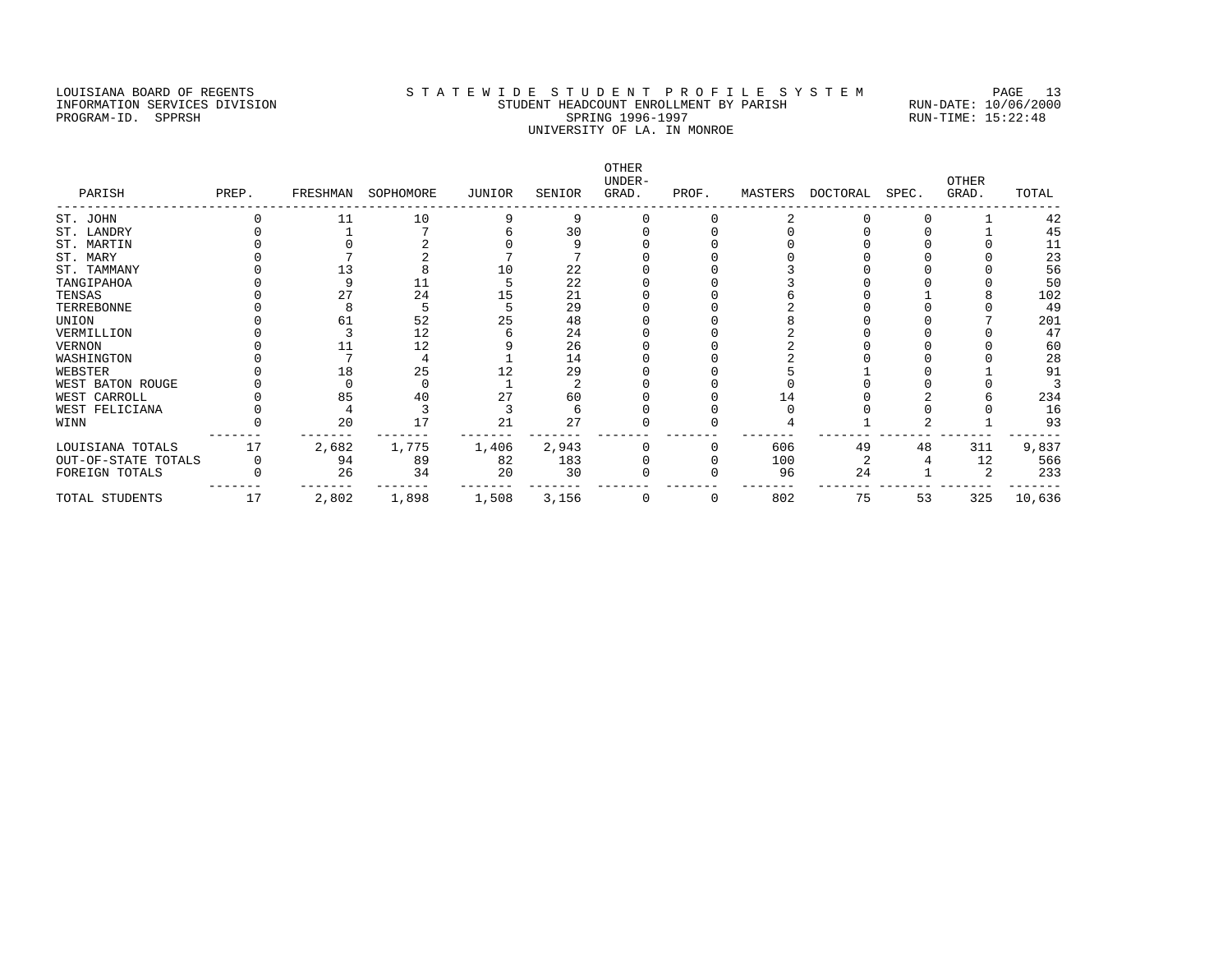#### LOUISIANA BOARD OF REGENTS STA TEWIDE STUDENT PROFILE SYSTEM PAGE 13 INFORMATION SERVICES DIVISION STUDENT HEADCOUNT ENROLLMENT BY PARISH RUN-DATE: 10/06/2000 PROGRAM-ID. SPPRSH SPRING 1996-1997 SPRING 1996-1997 RUN-TIME: 15:22:48 UNIVERSITY OF LA. IN MONROE

OTHER<br>UNDER-UNDER- OTHER PARISH PREP. FRESHMAN SOPHOMORE JUNIOR SENIOR GRAD. PROF. MASTERS DOCTORAL SPEC. GRAD. TOTAL ------------------------------------------------------------------------------------------------------------------------------------ ST. JOHN 0 11 10 9 9 0 0 2 0 0 1 42<br>
ST. LANDRY 0 1 7 6 30 0 0 0 0 0 1 45<br>
ST. MARTIN 0 0 2 0 9 0 0 0 0 0 1 1<br>
ST. MARY 0 7 2 7 7 0 0 0 0 0 0 23 ST. LANDRY 0 1 7 6 30 0 0 0 0 0 1 45 ST. MARTIN 0 0 2 0 9 0 0 0 0 0 0 11 ST. MARY 0 7 2 7 7 0 0 0 0 0 23 ST. TAMMANY 0 13 8 10 22 0 0 3 0 0 0 56 TANGIPAHOA 0 9 11 5 22 0 0 3 0 0 0 50 TENSAS 0 27 24 15 21 0 0 6 0 1 8 102 TERREBONNE 0 8 5 5 29 0 0 2 0 0 0 49 UNION 0 61 52 25 48 0 0 8 0 0 7 201 VERMILLION 0 3 12 6 24 0 0 2 0 0 0 47 VERNON 0 11 12 9 26 0 0 2 0 0 0 60 WASHINGTON 0 7 4 1 14 0 0 2 0 0 0 28 WEBSTER 0 18 25 12 29 0 0 5 1 0 1 91 WEST BATON ROUGE 0 0 0 1 2 0 0 0 0 0 0 3 WEST CARROLL 0 85 40 27 60 0 0 14 0 2 6 234 WEST FELICIANA 0 4 3 3 6 0 0 0 0 0 0 16 WINN 0 20 17 21 27 0 0 4 1 2 1 93 ------- ------- ------- ------- ------- ------- ------- ------- ------- ------- ------- ------- LOUISIANA TOTALS 17 2,682 1,775 1,406 2,943 0 0 606 49 48 311 9,837 OUT-OF-STATE TOTALS 0 94 89 82 183 0 0 100 2 4 12 566 FOREIGN TOTALS 0 26 34 20 30 0 0 96 24 1 2 233 ------- ------- ------- ------- ------- ------- ------- ------- ------- ------- ------- ------- TOTAL STUDENTS 17 2,802 1,898 1,508 3,156 0 0 802 75 53 325 10,636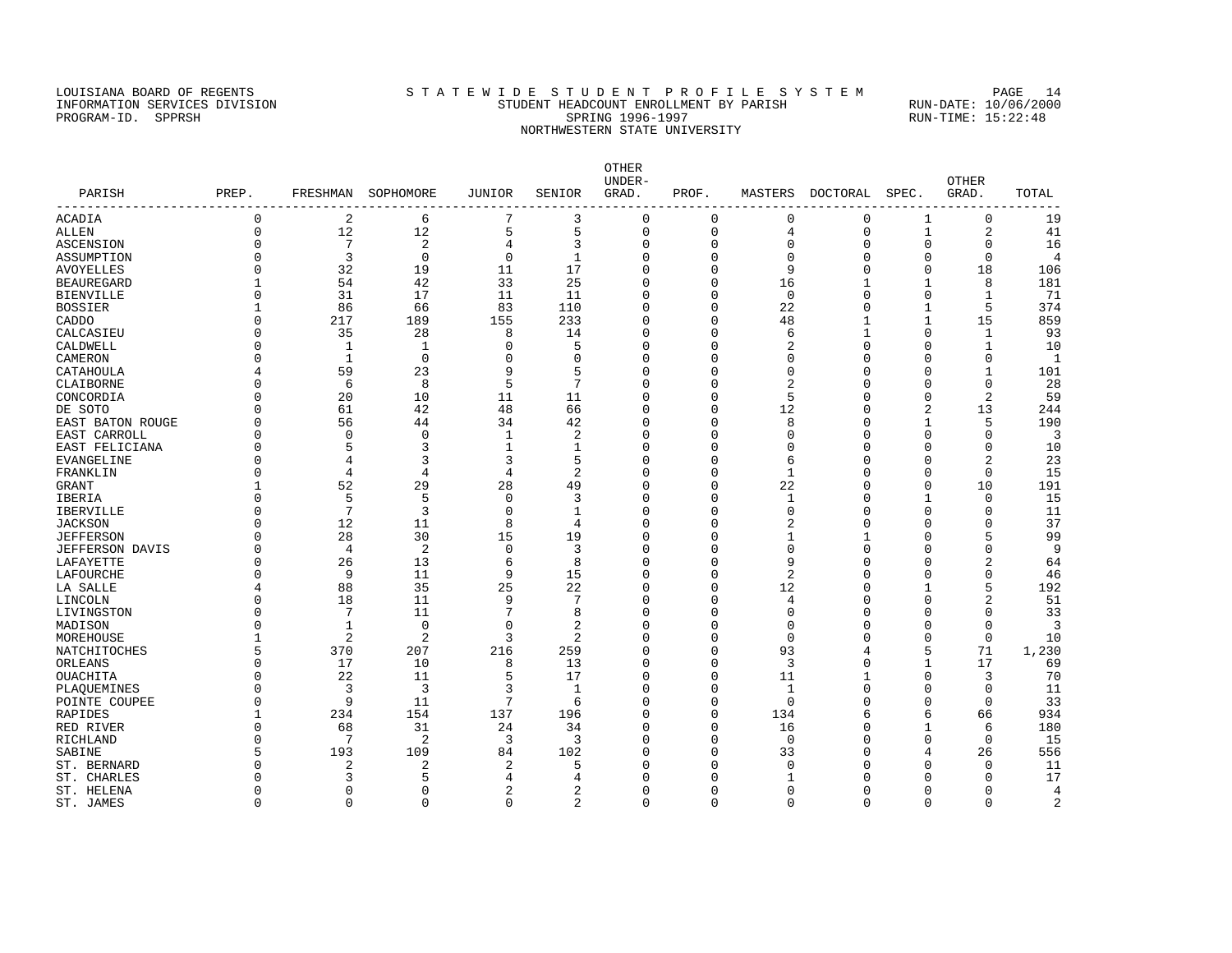### LOUISIANA BOARD OF REGENTS STA TEWIDE STUDENT PROFILE SYSTEM PAGE 14 INFORMATION SERVICES DIVISION STUDENT HEADCOUNT ENROLLMENT BY PARISH RUN-DATE: 10/06/2000 PROGRAM-ID. SPPRSH SPRING 1996-1997 SPRING 1996-1997 RUN-TIME: 15:22:48 NORTHWESTERN STATE UNIVERSITY

| PARISH                | PREP.    |                | FRESHMAN SOPHOMORE | JUNIOR          | SENIOR         | <b>OTHER</b><br>UNDER-<br>GRAD. | PROF.       |              | MASTERS DOCTORAL SPEC. |                | OTHER<br>GRAD. | TOTAL          |
|-----------------------|----------|----------------|--------------------|-----------------|----------------|---------------------------------|-------------|--------------|------------------------|----------------|----------------|----------------|
| -----------<br>ACADIA | $\Omega$ | $\overline{2}$ | 6                  | $7\phantom{.0}$ | 3              | $\mathbf 0$                     | $\mathbf 0$ | 0            | $\mathbf 0$            | 1              | $\mathbf 0$    | 19             |
| ALLEN                 | $\Omega$ | 12             | 12                 | 5               | 5              | $\mathsf 0$                     | $\mathbf 0$ | 4            | $\mathbf 0$            | 1              | 2              | 41             |
| ASCENSION             |          | 7              | $\overline{c}$     | 4               | 3              | $\mathbf 0$                     | $\Omega$    | 0            | $\Omega$               | $\Omega$       | 0              | 16             |
| ASSUMPTION            |          | 3              | $\mathbf 0$        | 0               | $\mathbf{1}$   | $\Omega$                        | U           | O            | $\Omega$               | $\Omega$       | $\Omega$       | $\overline{4}$ |
| AVOYELLES             |          | 32             | 19                 | 11              | 17             | $\Omega$                        | O           | 9            | $\Omega$               | $\Omega$       | 18             | 106            |
| BEAUREGARD            |          | 54             | 42                 | 33              | 25             | $\Omega$                        | U           | 16           |                        | 1              | 8              | 181            |
| BIENVILLE             |          | 31             | 17                 | 11              | 11             | $\Omega$                        | $\Omega$    | $\mathbf 0$  | $\Omega$               | $\Omega$       | 1              | 71             |
| BOSSIER               |          | 86             | 66                 | 83              | 110            | $\Omega$                        | $\Omega$    | 22           | $\Omega$               | 1              | 5              | 374            |
| CADDO                 |          | 217            | 189                | 155             | 233            | $\Omega$                        | $\Omega$    | 48           | 1                      | 1              | 15             | 859            |
| CALCASIEU             |          | 35             | 28                 | 8               | 14             | $\Omega$                        | U           | 6            |                        | $\Omega$       | 1              | 93             |
| CALDWELL              |          | 1              | 1                  | 0               | 5              | $\Omega$                        | U           | 2            | $\Omega$               | $\cap$         | $\mathbf{1}$   | 10             |
| CAMERON               |          | 1              | $\mathbf 0$        | 0               | <sup>0</sup>   | $\Omega$                        | U           | O            | $\Omega$               | ∩              | $\Omega$       | $\mathbf{1}$   |
| CATAHOULA             |          | 59             | 23                 | 9               | 5              | $\Omega$                        | O           | O            | $\Omega$               | ∩              | 1              | 101            |
| CLAIBORNE             |          | 6              | 8                  | 5               | 7              | $\Omega$                        | U           | 2            | $\Omega$               | ∩              | $\Omega$       | 28             |
| CONCORDIA             |          | 20             | 10                 | 11              | 11             | $\Omega$                        | U           | 5            | $\Omega$               | $\Omega$       | 2              | 59             |
| DE SOTO               |          | 61             | 42                 | 48              | 66             | $\Omega$                        | U           | 12           | $\Omega$               | $\overline{2}$ | 13             | 244            |
| EAST BATON ROUGE      |          | 56             | 44                 | 34              | 42             | $\Omega$                        | U           | 8            | $\Omega$               | -1             | 5              | 190            |
| EAST CARROLL          |          | $\Omega$       | $\Omega$           | 1               | 2              | $\Omega$                        | U           | U            | $\Omega$               | $\Omega$       | $\Omega$       | 3              |
| EAST FELICIANA        |          | 5              | ζ                  | $\mathbf{1}$    | 1              | $\Omega$                        | O           | N            | $\Omega$               | O              | $\Omega$       | 10             |
| EVANGELINE            |          | 4              | 3                  | 3               | 5              | $\Omega$                        | U           | 6            | $\Omega$               | $\cap$         | 2              | 23             |
| FRANKLIN              |          | $\overline{4}$ | 4                  | 4               | $\overline{2}$ | $\Omega$                        | U           | $\mathbf{1}$ | $\Omega$               | $\cap$         | $\mathbf{0}$   | 15             |
| GRANT                 |          | 52             | 29                 | 28              | 49             | $\Omega$                        | U           | 22           | $\Omega$               | $\Omega$       | 10             | 191            |
| <b>IBERIA</b>         |          | 5              | 5                  | 0               | 3              | $\Omega$                        | U           | 1            | $\Omega$               | -1             | 0              | 15             |
| IBERVILLE             |          | 7              | 3                  | 0               | 1              | $\Omega$                        | U           | U            | $\Omega$               | O              | $\Omega$       | 11             |
| JACKSON               |          | 12             | 11                 | 8               | 4              | $\Omega$                        | U           |              | $\Omega$               |                | $\Omega$       | 37             |
| JEFFERSON             |          | 28             | 30                 | 15              | 19             | $\Omega$                        | U           |              | 1                      | $\cap$         | 5              | 99             |
| JEFFERSON DAVIS       |          | 4              | 2                  | 0               | 3              | $\Omega$                        | U           | U            | $\Omega$               | $\cap$         | $\Omega$       | 9              |
| LAFAYETTE             |          | 26             | 13                 | 6               | 8              | 0                               | U           | 9            | $\Omega$               | $\cap$         | $\overline{2}$ | 64             |
| LAFOURCHE             |          | 9              | 11                 | 9               | 15             | $\Omega$                        | O           | 2            | $\Omega$               | $\Omega$       | $\Omega$       | 46             |
| LA SALLE              |          | 88             | 35                 | 25              | 22             | $\Omega$                        | U           | 12           | $\Omega$               | $\mathbf{1}$   | 5              | 192            |
| LINCOLN               |          | 18             | 11                 | 9               | 7              | $\Omega$                        | U           | 4            | $\Omega$               |                | $\overline{2}$ | 51             |
| LIVINGSTON            |          | 7              | 11                 | 7               | 8              | $\Omega$                        | U           | O            | $\Omega$               | ∩              | $\Omega$       | 33             |
| MADISON               |          | 1              | $\mathbf 0$        | $\Omega$        | 2              | $\Omega$                        | U           | O            | $\Omega$               | $\cap$         | $\Omega$       | 3              |
| MOREHOUSE             |          | $\overline{2}$ | 2                  | 3               | 2              | $\Omega$                        | $\Omega$    | $\Omega$     | $\Omega$               | $\Omega$       | $\Omega$       | 10             |
| NATCHITOCHES          |          | 370            | 207                | 216             | 259            | $\Omega$                        | U           | 93           |                        | 5              | 71             | 1,230          |
| ORLEANS               |          | 17             | 10                 | 8               | 13             | $\overline{0}$                  | $\Omega$    | 3            | $\Omega$               | 1              | 17             | 69             |
| OUACHITA              |          | 22             | 11                 | 5               | 17             | $\Omega$                        | $\Omega$    | 11           |                        | $\Omega$       | 3              | 70             |
| PLAOUEMINES           |          | 3              | 3                  | 3               | $\mathbf{1}$   | $\Omega$                        | $\Omega$    | 1            | $\Omega$               | $\Omega$       | $\Omega$       | 11             |
| POINTE COUPEE         |          | 9              | 11                 | 7               | 6              | $\Omega$                        | $\Omega$    | $\Omega$     | $\Omega$               | $\Omega$       | $\Omega$       | 33             |
| RAPIDES               |          | 234            | 154                | 137             | 196            | $\Omega$                        | $\Omega$    | 134          | 6                      | 6              | 66             | 934            |
| RED RIVER             |          | 68             | 31                 | 24              | 34             | $\Omega$                        | $\Omega$    | 16           | $\Omega$               | $\mathbf{1}$   | 6              | 180            |
| RICHLAND              |          | 7              | 2                  | 3               | 3              | $\Omega$                        | $\Omega$    | $\mathbf 0$  | $\Omega$               | $\Omega$       | $\Omega$       | 15             |
| SABINE                |          | 193            | 109                | 84              | 102            | $\Omega$                        | O           | 33           | $\Omega$               |                | 26             | 556            |
| ST. BERNARD           |          | 2              | 2                  | 2               | 5              | C                               | U           | U            |                        |                | $\Omega$       | 11             |
| ST. CHARLES           |          | 3              | 5                  | 4               | 4              | $\cap$                          | U           |              |                        | ∩              | $\Omega$       | 17             |
| ST. HELENA            | $\cap$   | $\Omega$       | $\Omega$           | $\overline{a}$  | $\overline{a}$ | $\Omega$                        | $\Omega$    | $\Omega$     | $\Omega$               | $\Omega$       | $\Omega$       | $\overline{4}$ |

ST. JAMES 0 0 0 0 2 0 0 0 0 0 0 2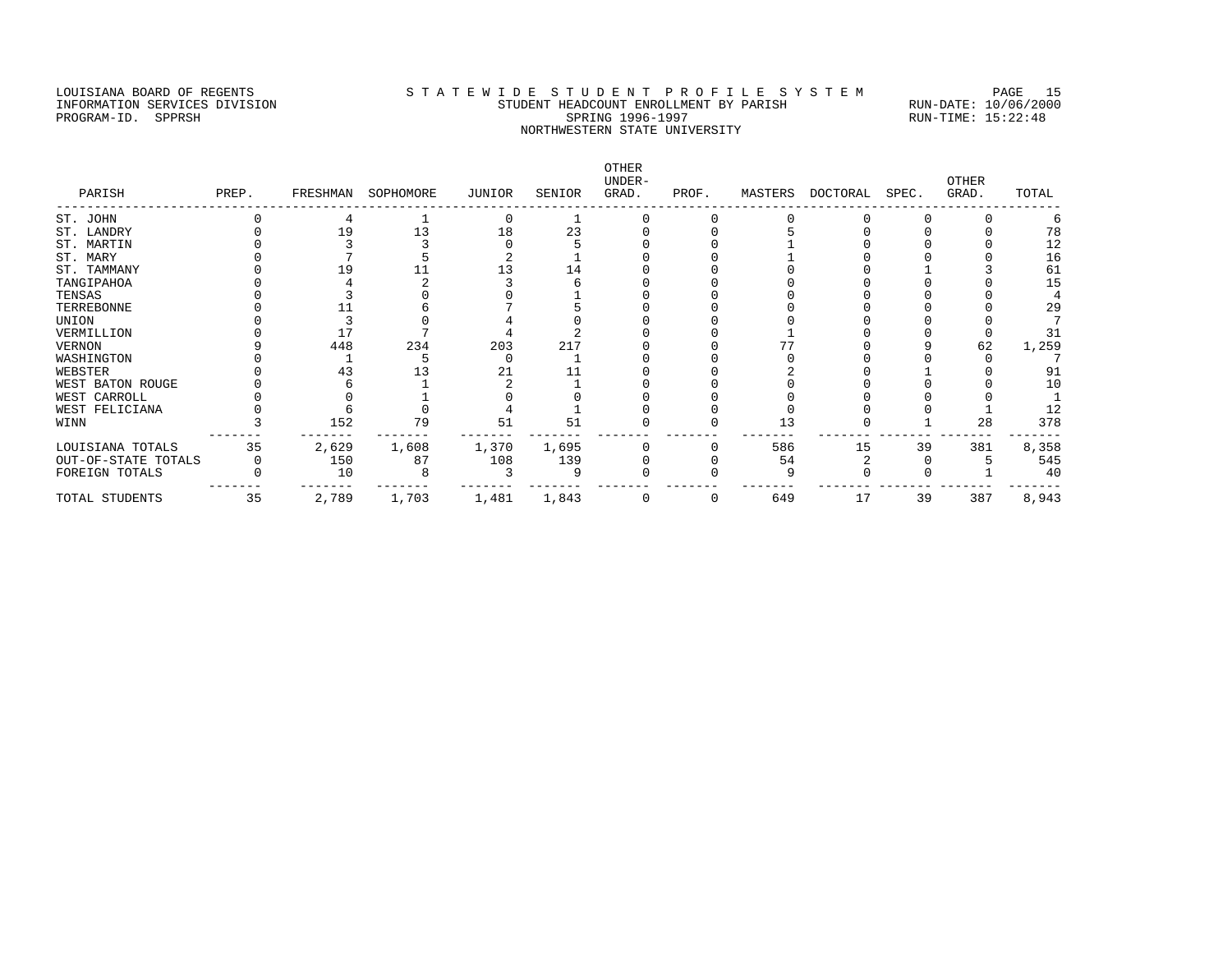### LOUISIANA BOARD OF REGENTS STATEWIDE STUDENT PROFILE SYSTEM PAGE 15 INFORMATION SERVICES DIVISION STUDENT HEADCOUNT ENROLLMENT BY PARISH RUN-DATE: 10/06/2000 PROGRAM-ID. SPPRSH SPRING 1996-1997 SPRING 1996-1997 RUN-TIME: 15:22:48 NORTHWESTERN STATE UNIVERSITY

| PARISH              | PREP. | FRESHMAN | SOPHOMORE | JUNIOR | SENIOR | OTHER<br>UNDER-<br>GRAD. | PROF. |     | MASTERS DOCTORAL | SPEC. | <b>OTHER</b><br>GRAD. | TOTAL |
|---------------------|-------|----------|-----------|--------|--------|--------------------------|-------|-----|------------------|-------|-----------------------|-------|
| ST. JOHN            |       |          |           |        |        |                          |       |     |                  |       |                       |       |
| ST. LANDRY          |       | 19       | 13        | 18     | 23     |                          |       |     |                  |       |                       | 78    |
| ST. MARTIN          |       |          |           |        |        |                          |       |     |                  |       |                       | 12    |
| ST. MARY            |       |          |           |        |        |                          |       |     |                  |       |                       | 16    |
| ST. TAMMANY         |       |          |           |        |        |                          |       |     |                  |       |                       | 61    |
| TANGIPAHOA          |       |          |           |        |        |                          |       |     |                  |       |                       | 15    |
| TENSAS              |       |          |           |        |        |                          |       |     |                  |       |                       |       |
| TERREBONNE          |       |          |           |        |        |                          |       |     |                  |       |                       | 29    |
| UNION               |       |          |           |        |        |                          |       |     |                  |       |                       |       |
| VERMILLION          |       |          |           |        |        |                          |       |     |                  |       |                       | 31    |
| VERNON              |       | 448      | 234       | 203    | 217    |                          |       |     |                  |       | 62                    | 1,259 |
| WASHINGTON          |       |          |           |        |        |                          |       |     |                  |       |                       |       |
| WEBSTER             |       | 43       |           | 21     |        |                          |       |     |                  |       |                       | 91    |
| WEST BATON ROUGE    |       |          |           |        |        |                          |       |     |                  |       |                       | 10    |
| WEST CARROLL        |       |          |           |        |        |                          |       |     |                  |       |                       |       |
| WEST FELICIANA      |       |          |           |        |        |                          |       |     |                  |       |                       | 12    |
| WINN                |       | 152      | 79        | 51     | 51     |                          |       | 13  |                  |       | 28                    | 378   |
| LOUISIANA TOTALS    | 35    | 2,629    | 1,608     | 1,370  | 1,695  |                          |       | 586 | 15               | 39    | 381                   | 8,358 |
| OUT-OF-STATE TOTALS |       | 150      | 87        | 108    | 139    |                          |       | 54  |                  |       |                       | 545   |
| FOREIGN TOTALS      |       | 10       |           |        |        |                          |       |     |                  |       |                       | 40    |
| TOTAL STUDENTS      | 35    | 2,789    | 1,703     | 1,481  | 1,843  |                          | 0     | 649 | 17               | 39    | 387                   | 8,943 |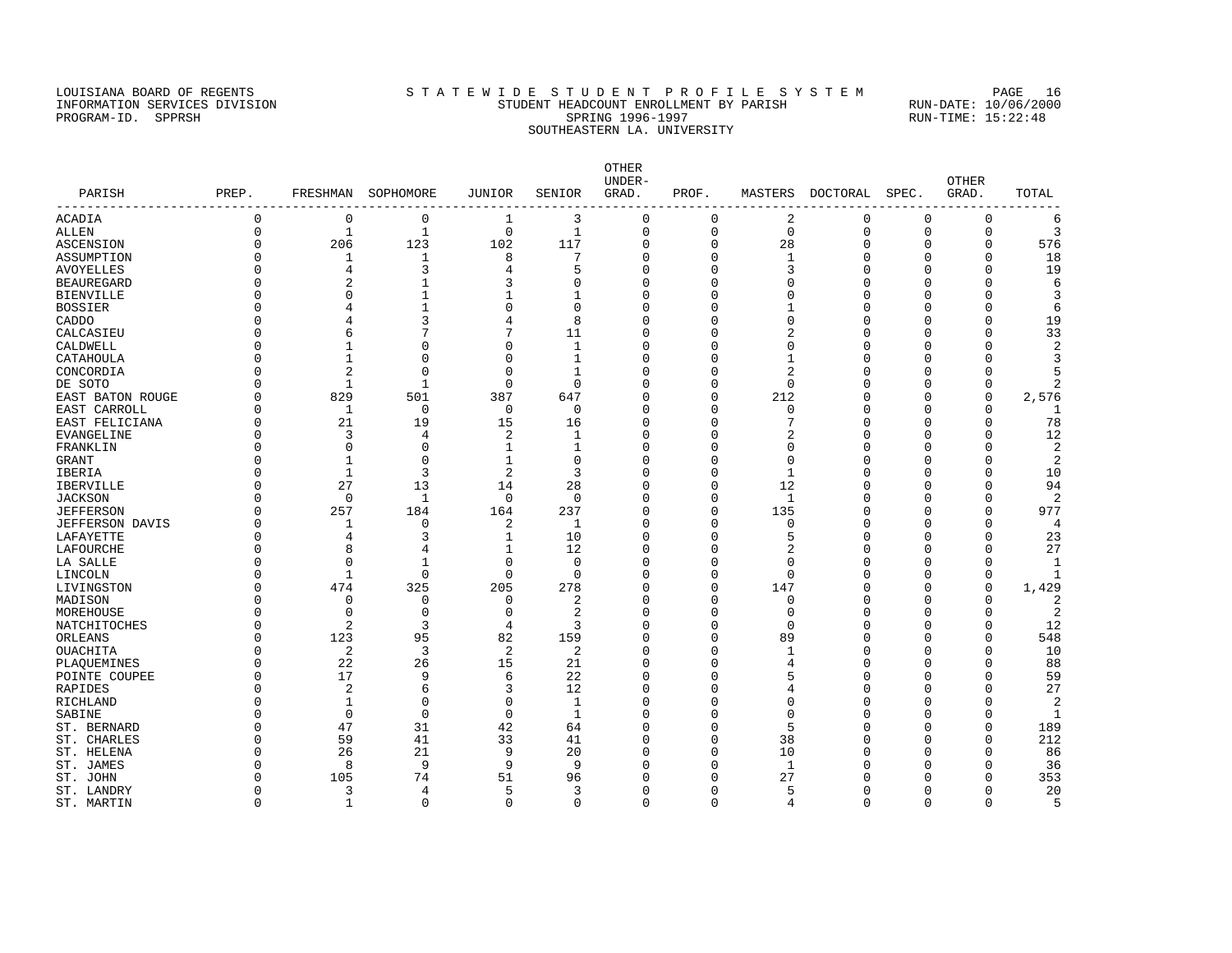#### LOUISIANA BOARD OF REGENTS STATEWIDE STUDENT PROFILE SYSTEM PAGE 16 INFORMATION SERVICES DIVISION STUDENT HEADCOUNT ENROLLMENT BY PARISH RUN-DATE: 10/06/2000 PROGRAM-ID. SPPRSH SPRING 1996-1997 SPRING 1996-1997 RUN-TIME: 15:22:48 SOUTHEASTERN LA. UNIVERSITY

OTHER UNDER- OTHER PARISH PREP. FRESHMAN SOPHOMORE JUNIOR SENIOR GRAD. PROF. MASTERS DOCTORAL SPEC. GRAD. TOTAL ------------------------------------------------------------------------------------------------------------------------------------ ACADIA 0 0 0 1 3 0 0 2 0 0 0 6 ALLEN 0 1 1 0 1 0 0 0 0 0 0 3 ASCENSION 0 206 123 102 117 0 0 28 0 0 0 576 ASSUMPTION 0 1 1 8 7 0 0 1 0 0 0 18 AVOYELLES 0 4 3 4 5 0 0 3 0 0 19 BEAUREGARD 0 2 1 3 0 0 0 0 0 0 0 6 BIENVILLE 0 0 1 1 1 0 0 0 0 0 0 3 BOSSIER 0 4 1 0 0 0 0 1 0 0 0 6 CADDO 0 4 3 4 8 0 0 0 0 0 0 19 CALCASIEU 0 6 7 7 11 0 0 2 0 0 0 33 CALDWELL 0 0 1 0 0 0 0 0 0 0 0 0 0 0 0 2 CATAHOULA 0 1 0 0 1 0 0 1 0 0 0 3 CONCORDIA 0 2 0 0 1 0 0 2 0 0 0 5 DE SOTO 0 1 1 0 0 0 0 0 0 0 0 2 EAST BATON ROUGE 0 829 501 387 647 0 0 212 0 0 0 2,576 EAST CARROLL 0 1 0 0 0 0 0 0 0 0 0 1 EAST FELICIANA 0 21 19 15 16 0 0 7 0 0 0 78 EVANGELINE 0 3 4 2 1 0 0 2 0 0 0 12 FRANKLIN 0 0 0 1 1 0 0 0 0 0 0 2 GRANT 0 1 0 1 0 0 0 0 0 0 0 2 IBERIA 0 1 3 2 3 0 0 1 0 0 0 10 IBERVILLE 0 27 13 14 28 0 0 12 0 0 0 94 JACKSON 0 0 1 0 0 0 0 1 0 0 0 2 JEFFERSON 0 257 184 164 237 0 0 135 0 0 0 977 JEFFERSON DAVIS 0 1 0 2 1 0 0 0 0 0 0 4 LAFAYETTE 0 4 3 1 10 0 0 5 0 0 0 23 LAFOURCHE 0 8 4 1 12 0 0 2 0 0 0 27 LA SALLE 0 0 1 0 0 0 0 0 0 0 0 1 LINCOLN 0 1 0 0 0 0 0 0 0 0 0 1 LIVINGSTON 0 474 325 205 278 0 0 147 0 0 0 1,429 MADISON 0 0 0 0 2 0 0 0 0 0 0 2 MOREHOUSE 0 0 0 0 2 0 0 0 0 0 0 2 NATCHITOCHES 0 2 3 4 3 0 0 0 0 0 0 12 ORLEANS 0 123 95 82 159 0 0 89 0 0 0 548 OUACHITA 0 2 3 2 2 0 0 1 0 0 0 10 PLAQUEMINES 0 22 26 15 21 0 0 4 0 0 0 88 POINTE COUPEE 0 17 9 6 22 0 0 5 0 0 0 59 RAPIDES 0 2 6 3 12 0 4 0 0 27 RICHLAND 0 1 0 0 1 0 0 0 0 0 0 2 SABINE 0 0 0 0 0 1 0 0 0 0 0 0 1 ST. BERNARD 0 47 31 42 64 0 0 5 0 0 0 189 ST. CHARLES 0 59 41 33 41 0 0 38 0 0 0 212 ST. HELENA 0 26 21 9 20 0 0 10 0 0 0 86 ST. JAMES 0 8 9 9 9 0 0 1 0 0 0 36 ST. JOHN 0 105 74 51 96 0 0 27 0 0 0 353 ST. LANDRY 0 3 4 5 3 0 0 5 0 0 0 20

ST. MARTIN 0 1 0 0 0 0 0 4 0 0 0 5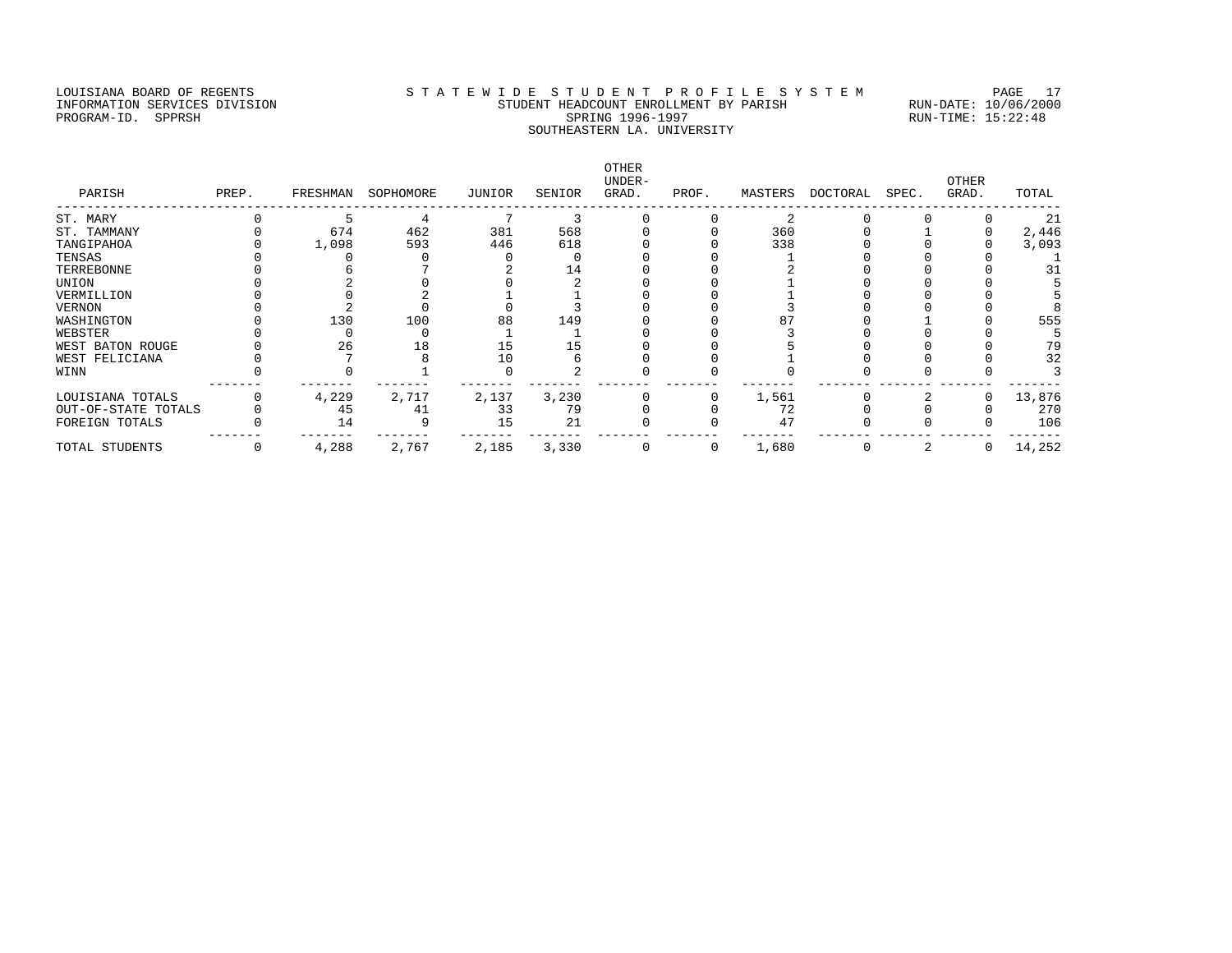#### LOUISIANA BOARD OF REGENTS STATEWIDE STUDENT PROFILE SYSTEM PAGE 17 INFORMATION SERVICES DIVISION STUDENT HEADCOUNT ENROLLMENT BY PARISH RUN-DATE: 10/06/2000 PROGRAM-ID. SPPRSH SPRING 1996-1997 SPRING 1996-1997 RUN-TIME: 15:22:48 SOUTHEASTERN LA. UNIVERSITY

OTHER<br>UNDER-UNDER- OTHER PARISH PREP. FRESHMAN SOPHOMORE JUNIOR SENIOR GRAD. PROF. MASTERS DOCTORAL SPEC. GRAD. TOTAL ------------------------------------------------------------------------------------------------------------------------------------ ST. MARY 5 4 7 3 0 2 0 0 21 ST. TAMMANY 0 674 462 381 568 0 0 360 0 1 0 2,446 TANGIPAHOA 0 1,098 593 446 618 0 0 338 0 0 0 3,093 TENSAS 0 0 0 0 0 0 0 0 1 0 0 0 1 TERREBONNE 0 6 7 2 14 0 0 2 0 0 0 31 UNION 0 2 0 0 2 0 0 1 0 0 0 5 VERMILLION 0 0 0 2 1 1 0 0 1 0 0 0 0 5 VERNON 0 2 0 0 3 0 0 3 0 0 0 8 WASHINGTON 0 130 100 88 149 0 0 87 0 1 0 555 WEBSTER 0 0 0 1 1 0 0 3 0 0 0 5 WEST BATON ROUGE 0 26 18 15 15 0 0 5 0 0 0 79 WEST FELICIANA 0 7 8 10 6 0 0 1 0 0 0 32 WINN 0 0 0 1 0 0 2 0 0 0 0 0 0 0 0 3  $\begin{array}{cccccccccccc} 0 & & 130 & & 100 & & 88 & & 149 & & 0 & & 0 & 87 & & 0 & 1 & 0 & 555 \ 0 & & 0 & & 0 & & 1 & & 1 & & 0 & & 0 & 3 & 0 & 0 & 0 & 55 \ 0 & & 26 & & 18 & & 15 & & 15 & & 0 & & 0 & 5 & 0 & 0 & 0 & 79 \ 0 & & 7 & & 8 & & 10 & & 6 & & 0 & 0 & 1 & 0 & 0 & 0 & 32 \ 0 & & 0 & & 1 & & 0 & & 2 & & 0 & 0$ LOUISIANA TOTALS 0 4,229 2,717 2,137 3,230 0 0 1,561 0 2 0 13,876 OUT-OF-STATE TOTALS 0 45 41 33 79 0 0 72 0 0 0 270 FOREIGN TOTALS 0 14 9 15 21 0 0 47 0 0 0 106 ------- ------- ------- ------- ------- ------- ------- ------- ------- ------- ------- ------- TOTAL STUDENTS 0 4,288 2,767 2,185 3,330 0 0 1,680 0 2 0 14,252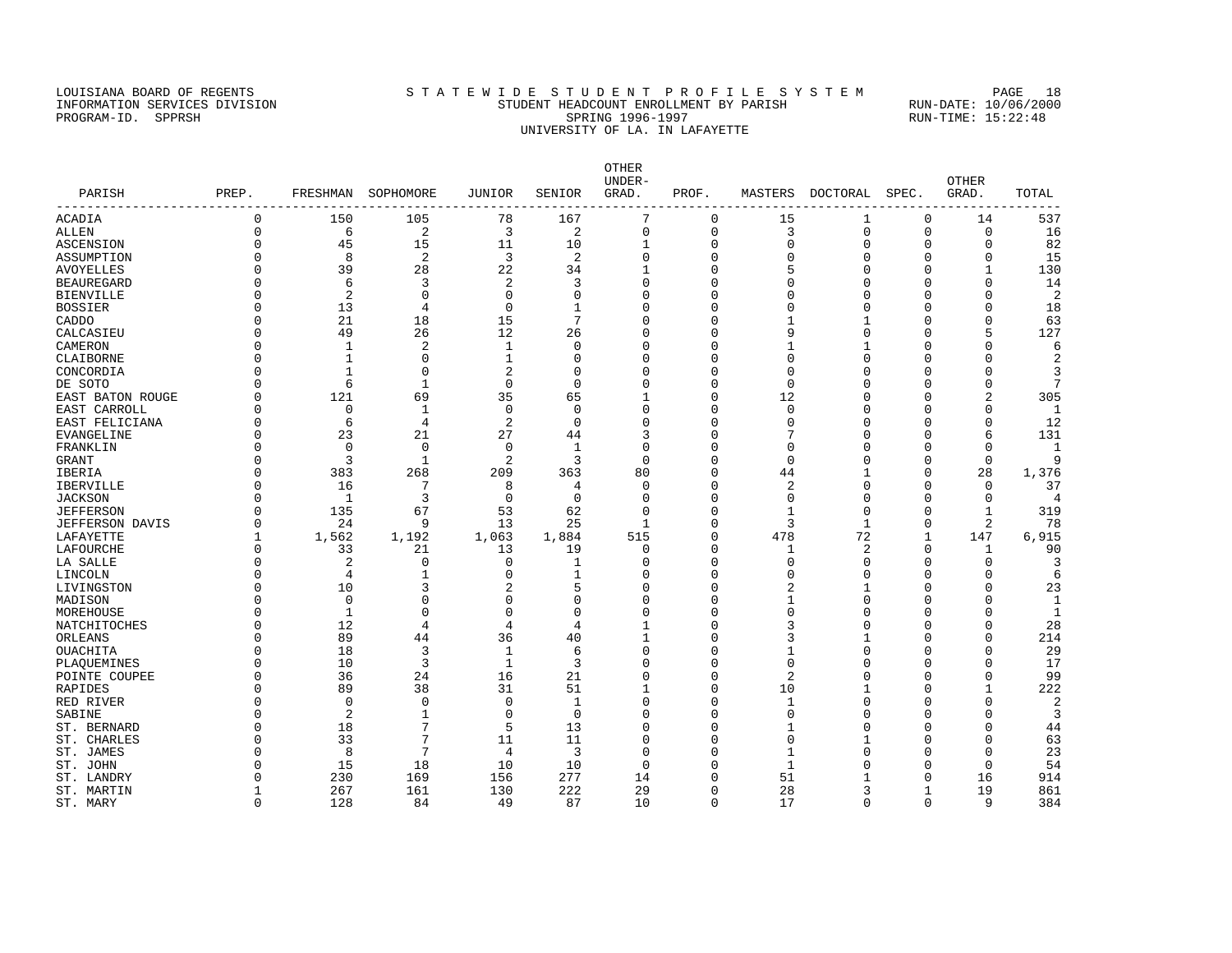#### LOUISIANA BOARD OF REGENTS STATEWIDE STUDENT PROFILE SYSTEM PAGE 18 INFORMATION SERVICES DIVISION STUDENT HEADCOUNT ENROLLMENT BY PARISH RUN-DATE: 10/06/2000 PROGRAM-ID. SPPRSH SPRING 1996-1997 SPRING 1996-1997 RUN-TIME: 15:22:48 UNIVERSITY OF LA. IN LAFAYETTE

OTHER UNDER- OTHER PARISH PREP. FRESHMAN SOPHOMORE JUNIOR SENIOR GRAD. PROF. MASTERS DOCTORAL SPEC. GRAD. TOTAL ------------------------------------------------------------------------------------------------------------------------------------ ACADIA 0 150 105 78 167 7 0 15 1 0 14 537 ALLEN 0 6 2 3 2 0 0 3 0 0 0 16 ASCENSION 0 45 15 11 10 1 0 0 0 0 0 82 ASSUMPTION 0 8 2 3 2 0 0 0 0 0 0 15 AVOYELLES 0 39 28 22 34 1 0 5 0 0 1 130 BEAUREGARD 0 6 3 2 3 0 0 0 0 0 0 14 BIENVILLE 0 2 0 0 0 0 0 0 0 0 0 2 BOSSIER 0 13 4 0 1 0 0 0 0 0 0 18 CADDO 0 21 18 15 7 0 0 1 1 0 0 63 CALCASIEU 0 49 26 12 26 0 0 9 0 0 5 127 CAMERON 0 1 2 1 0 0 0 1 1 0 0 6 CLAIBORNE 0 1 0 1 0 0 0 0 0 0 0 2 CONCORDIA 0 1 0 2 0 0 0 0 0 0 0 3 DE SOTO 0 6 1 0 0 0 0 0 0 0 0 7 EAST BATON ROUGE 0 121 69 35 65 1 0 12 0 0 2 305 EAST CARROLL 0 0 1 0 0 0 0 0 0 0 0 1 EAST FELICIANA 0 6 4 2 0 0 0 0 0 0 0 12 EVANGELINE 0 23 21 27 44 3 0 7 0 0 6 131 FRANKLIN 0 0 0 0 1 0 0 0 0 0 0 1 GRANT 0 3 1 2 3 0 0 0 0 0 0 9 IBERIA 0 383 268 209 363 80 0 44 1 0 28 1,376 IBERVILLE 0 16 7 8 4 0 0 2 0 0 0 37 JACKSON 0 1 3 0 0 0 0 0 0 0 0 4 JEFFERSON 0 135 67 53 62 0 0 1 0 0 1 319 JEFFERSON DAVIS 0 24 9 13 25 1 0 3 1 0 2 78 LAFAYETTE 1 1,562 1,192 1,063 1,884 515 0 478 72 1 147 6,915 LAFOURCHE 0 33 21 13 19 0 0 1 2 0 1 90 LA SALLE 0 2 0 0 1 0 0 0 0 0 0 3 LINCOLN 0 4 1 0 1 0 0 0 0 0 0 6 LIVINGSTON 0 10 3 2 5 0 0 2 1 0 0 23 MADISON 0 0 0 0 0 0 0 0 1 0 0 0 1 MOREHOUSE 0 1 0 0 0 0 0 0 0 0 0 1 NATCHITOCHES 0 12 4 4 4 1 0 3 0 0 0 28 ORLEANS 0 89 44 36 40 1 0 3 1 0 0 214 OUACHITA 0 18 3 1 6 0 0 1 0 0 0 29 PLAQUEMINES 0 10 3 1 3 0 0 0 0 0 0 17 POINTE COUPEE 0 36 24 16 21 0 0 2 0 0 0 99 RAPIDES 0 89 38 31 51 1 0 10 1 0 1 222 RED RIVER 0 0 0 0 1 0 0 1 0 0 0 2 SABINE 0 2 1 0 0 0 0 0 0 0 0 0 3 ST. BERNARD 0 18 7 5 13 0 0 1 0 0 0 44 ST. CHARLES 0 33 7 11 11 0 0 0 1 0 0 63 ST. JAMES 0 8 7 4 3 0 0 1 0 0 0 23 ST. JOHN 0 15 18 10 10 0 0 1 0 0 0 54 ST. LANDRY 0 230 169 156 277 14 0 51 1 0 16 914 ST. MARTIN 1 267 161 130 222 29 0 28 3 1 19 861 ST. MARY 0 128 84 49 87 10 0 17 0 0 9 384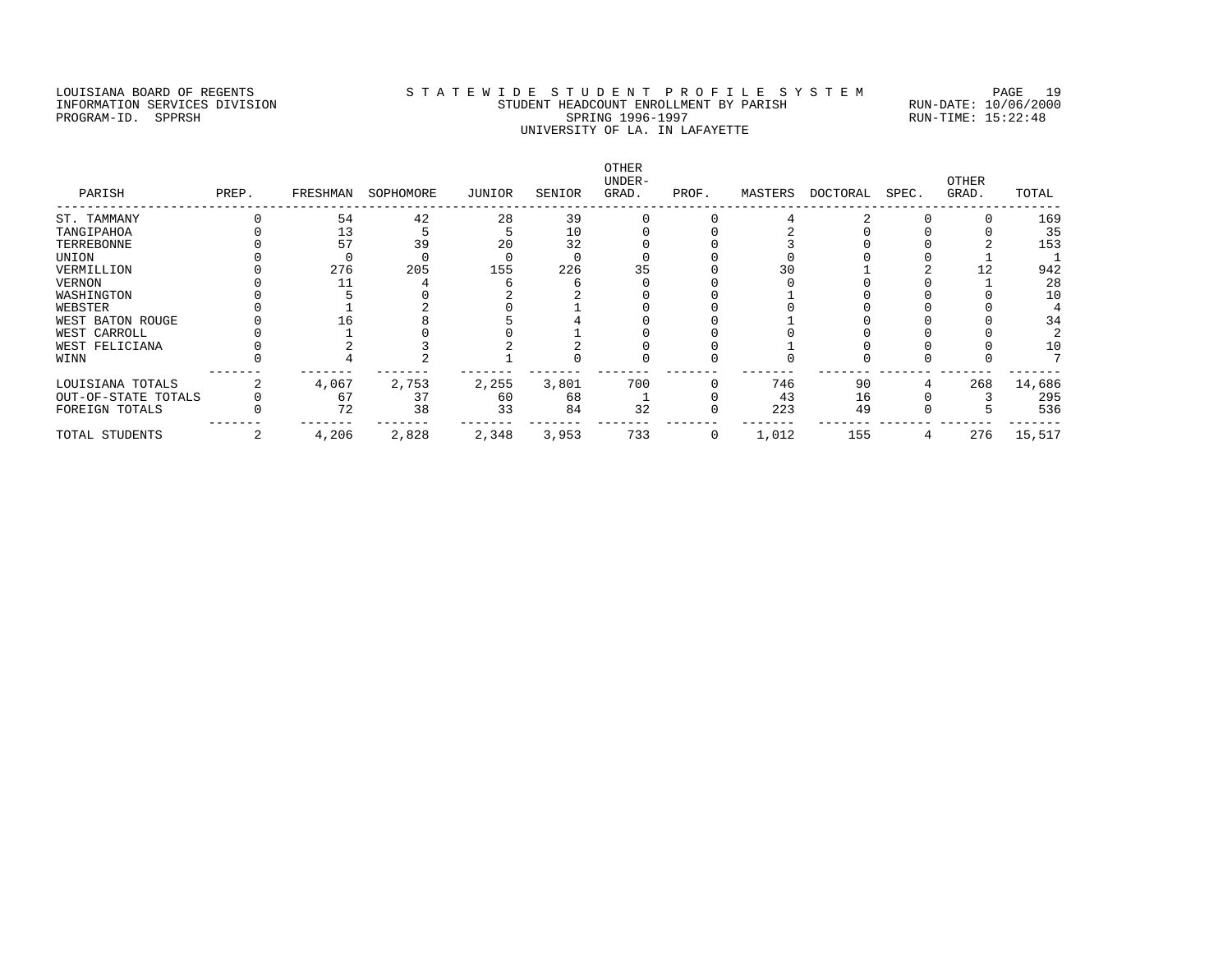### LOUISIANA BOARD OF REGENTS S T A T E W I D E S T U D E N T P R O F I L E S Y S T E M PAGE 19 INFORMATION SERVICES DIVISION STUDENT HEADCOUNT ENROLLMENT BY PARISH RUN-DATE: 10/06/2000 PROGRAM-ID. SPPRSH SPRING 1996-1997 SPRING 1996-1997 RUN-TIME: 15:22:48 UNIVERSITY OF LA. IN LAFAYETTE

| PARISH              | PREP. | FRESHMAN | SOPHOMORE | JUNIOR | SENIOR | OTHER<br>UNDER-<br>GRAD. | PROF.        | MASTERS | DOCTORAL | SPEC. | OTHER<br>GRAD. | TOTAL  |
|---------------------|-------|----------|-----------|--------|--------|--------------------------|--------------|---------|----------|-------|----------------|--------|
| ST. TAMMANY         |       | 54       | 42        | 28     | 39     |                          |              |         |          |       |                | 169    |
| TANGIPAHOA          |       | 13       |           |        | 10     |                          |              |         |          |       |                | 35     |
| TERREBONNE          |       | 57       | 39        | 20     | 32     |                          |              |         |          |       |                | 153    |
| UNION               |       |          |           |        |        |                          |              |         |          |       |                |        |
| VERMILLION          |       | 276      | 205       | 155    | 226    |                          |              |         |          |       |                | 942    |
| VERNON              |       |          |           |        |        |                          |              |         |          |       |                | 28     |
| WASHINGTON          |       |          |           |        |        |                          |              |         |          |       |                | 10     |
| WEBSTER             |       |          |           |        |        |                          |              |         |          |       |                |        |
| WEST BATON ROUGE    |       |          |           |        |        |                          |              |         |          |       |                | 34     |
| WEST CARROLL        |       |          |           |        |        |                          |              |         |          |       |                |        |
| WEST FELICIANA      |       |          |           |        |        |                          |              |         |          |       |                | 10     |
| WINN                |       |          |           |        |        |                          |              |         |          |       |                |        |
| LOUISIANA TOTALS    |       | 4,067    | 2,753     | 2,255  | 3,801  | 700                      |              | 746     | 90       |       | 268            | 14,686 |
| OUT-OF-STATE TOTALS |       | 67       | 37        | 60     | 68     |                          |              | 43      | 16       |       |                | 295    |
| FOREIGN TOTALS      |       | 72       | 38        | 33     | 84     | 32                       |              | 223     | 49       |       |                | 536    |
| TOTAL STUDENTS      |       | 4,206    | 2,828     | 2,348  | 3,953  | 733                      | $\mathbf{0}$ | 1,012   | 155      |       | 276            | 15,517 |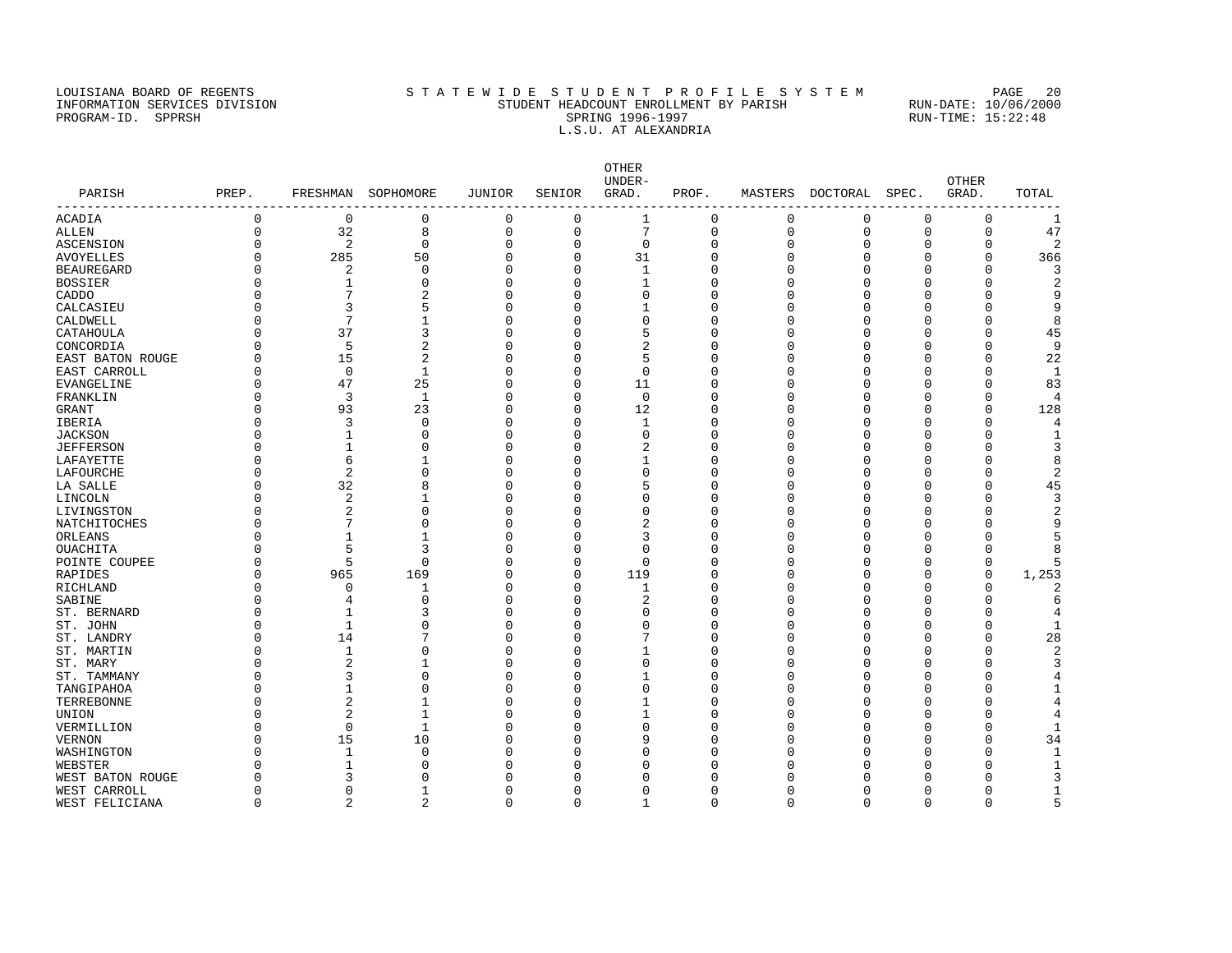#### LOUISIANA BOARD OF REGENTS STATEWIDE STUDENT PROFILE SYSTEM PAGE 20 INFORMATION SERVICES DIVISION STUDENT HEADCOUNT ENROLLMENT BY PARISH RUN-DATE: 10/06/2000 PROGRAM-ID. SPPRSH SPRING 1996-1997 SPRING 1996-1997 RUN-TIME: 15:22:48 L.S.U. AT ALEXANDRIA

OTHER UNDER- OTHER PARISH PREP. FRESHMAN SOPHOMORE JUNIOR SENIOR GRAD. PROF. MASTERS DOCTORAL SPEC. GRAD. TOTAL ------------------------------------------------------------------------------------------------------------------------------------ ACADIA 0 0 0 0 0 1 0 0 0 0 0 1 ALLEN 0 32 8 0 0 7 0 0 0 0 0 47 ASCENSION 0 2 0 0 0 0 0 0 0 0 0 2 AVOYELLES 0 285 50 0 0 31 0 0 0 0 0 366 BEAUREGARD 0 2 0 0 0 1 0 0 0 0 0 3 BOSSIER 0 1 0 0 0 1 0 0 0 0 0 2 CADDO 0 7 2 0 0 0 0 0 0 0 0 9 CALCASIEU 0 3 5 0 0 1 0 0 0 0 0 9 CALDWELL 0 7 1 0 0 0 0 0 0 0 0 8 CATAHOULA 0 37 3 0 0 5 0 0 0 0 0 45 CONCORDIA 0 5 2 0 0 2 0 0 0 0 0 9 EAST BATON ROUGE 0 15 2 0 0 5 0 0 0 0 0 22 EAST CARROLL 0 0 1 0 0 0 0 0 0 0 0 1 EVANGELINE 0 47 25 0 0 11 0 0 0 0 0 83 FRANKLIN 0 3 1 0 0 0 0 0 0 0 0 4 GRANT 0 93 23 0 0 12 0 0 0 0 0 128 IBERIA 0 3 0 0 0 1 0 0 0 0 0 4 JACKSON 0 1 0 0 0 0 0 0 0 0 0 1 JEFFERSON 0 1 0 0 0 2 0 0 0 0 0 3 LAFAYETTE 0 6 1 0 0 1 0 0 0 0 0 8 LAFOURCHE 0 2 0 0 0 0 0 0 0 0 0 2 LA SALLE 0 32 8 0 0 5 0 0 0 0 0 45 LINCOLN 0 2 1 0 0 0 0 0 0 0 0 3 LIVINGSTON 0 2 0 0 0 0 0 0 0 0 0 2 NATCHITOCHES 0 7 0 0 0 2 0 0 0 0 0 9 ORLEANS 0 0 1 1 0 0 3 0 0 0 0 0 0 5 OUACHITA 0 5 3 0 0 0 0 0 0 0 0 8 POINTE COUPEE 0 5 0 0 0 0 0 0 0 0 0 5 RAPIDES 0 965 169 0 0 119 0 0 0 0 0 1,253 RICHLAND 0 0 1 0 0 1 0 0 0 0 0 2 SABINE 0 4 0 0 0 2 0 0 0 0 0 6 ST. BERNARD 0 1 3 0 0 0 0 0 0 0 0 4 ST. JOHN 0 1 0 0 0 0 0 0 0 0 0 0 1 ST. LANDRY 0 14 7 0 0 7 0 0 0 0 0 28 ST. MARTIN 0 0 1 0 0 0 0 0 0 0 0 0 0 0 0 0 0 0 2 ST. MARY 0 2 1 0 0 0 0 0 0 0 0 3 ST. TAMMANY 0 3 0 0 0 1 0 0 0 0 0 4 TANGIPAHOA 0 1 0 0 0 0 0 0 0 0 0 1 TERREBONNE 0 2 1 0 0 1 0 0 0 0 0 4 UNION 0 2 1 0 0 1 0 0 0 0 0 4 VERMILLION 0 0 0 1 0 0 0 0 0 0 0 0 0 0 0 1 VERNON 0 15 10 0 0 9 0 0 0 0 0 34 WASHINGTON 0 1 0 0 0 0 0 0 0 0 0 1 WEBSTER 0 1 0 0 0 0 0 0 0 0 0 1 UNEST BATON ROUGE 0 3 0 0 0 0 0 0 0 0 0 0 3<br>WEST CARROLL 0 0 1 0 0 0 0 0 0 0 0 0 1 WEST CARROLL 0 0 1 0 0 0 0 0 0 0 0 1

WEST FELICIANA 0 2 2 0 0 1 0 0 0 0 0 5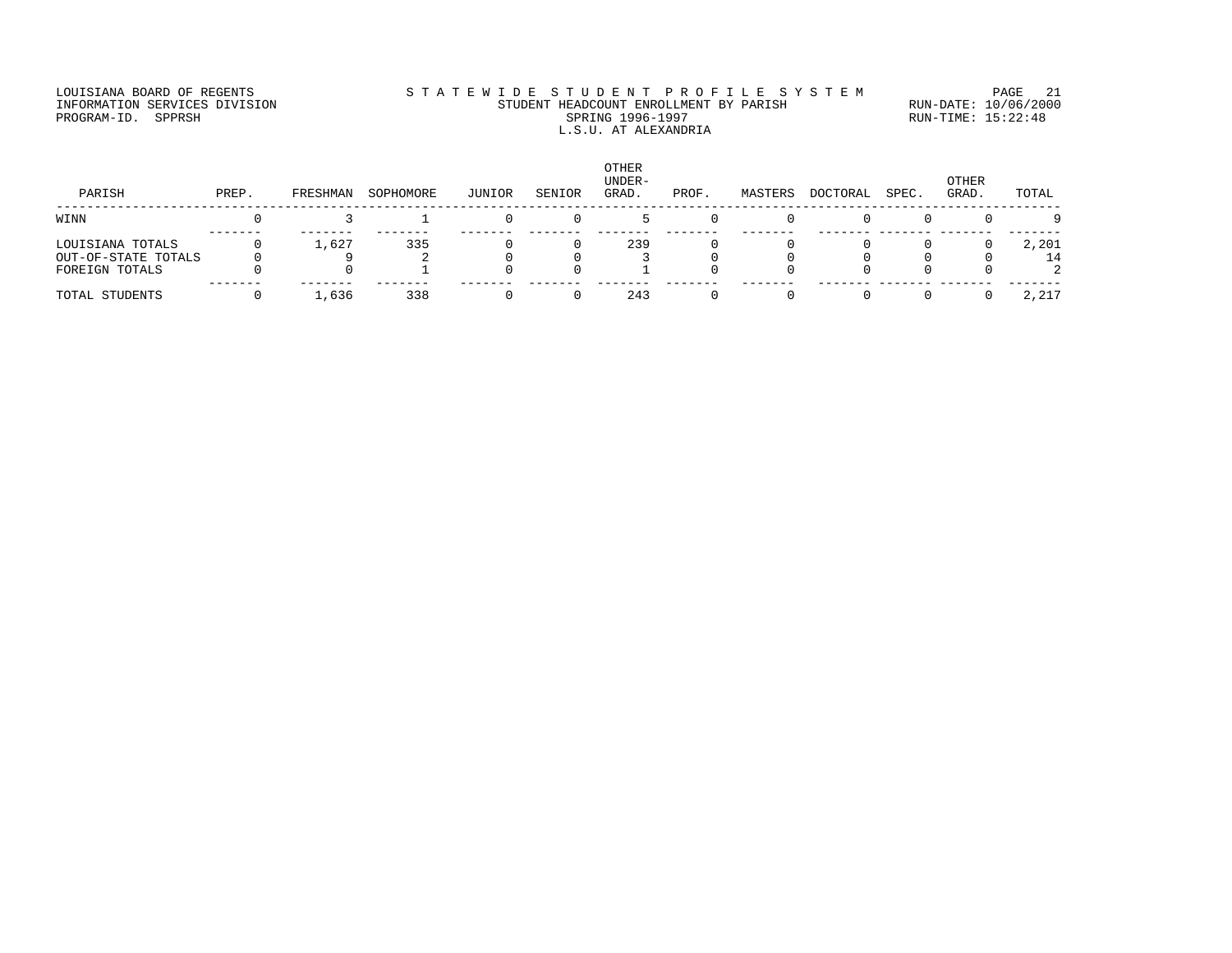### LOUISIANA BOARD OF REGENTS STATEWIDE STUDENT PROFILE SYSTEM PAGE 21 INFORMATION SERVICES DIVISION STUDENT HEADCOUNT ENROLLMENT BY PARISH RUN-DATE: 10/06/2000 PROGRAM-ID. SPPRSH SPRING 1996-1997 SPRING 1996-1997 RUN-TIME: 15:22:48 L.S.U. AT ALEXANDRIA

| PARISH                                                    | PREP. | FRESHMAN | SOPHOMORE | JUNIOR | SENIOR | <b>OTHER</b><br>UNDER-<br>GRAD. | PROF. | MASTERS | DOCTORAL | SPEC. | OTHER<br>GRAD. | TOTAL       |
|-----------------------------------------------------------|-------|----------|-----------|--------|--------|---------------------------------|-------|---------|----------|-------|----------------|-------------|
| WINN                                                      |       |          |           |        |        |                                 |       |         |          |       |                | $\Omega$    |
| LOUISIANA TOTALS<br>OUT-OF-STATE TOTALS<br>FOREIGN TOTALS |       | 1,627    | 335       |        |        | 239                             |       |         |          |       |                | 2,201<br>14 |
| TOTAL STUDENTS                                            |       | ,636     | 338       |        |        | 243                             |       |         |          |       |                | 2,217       |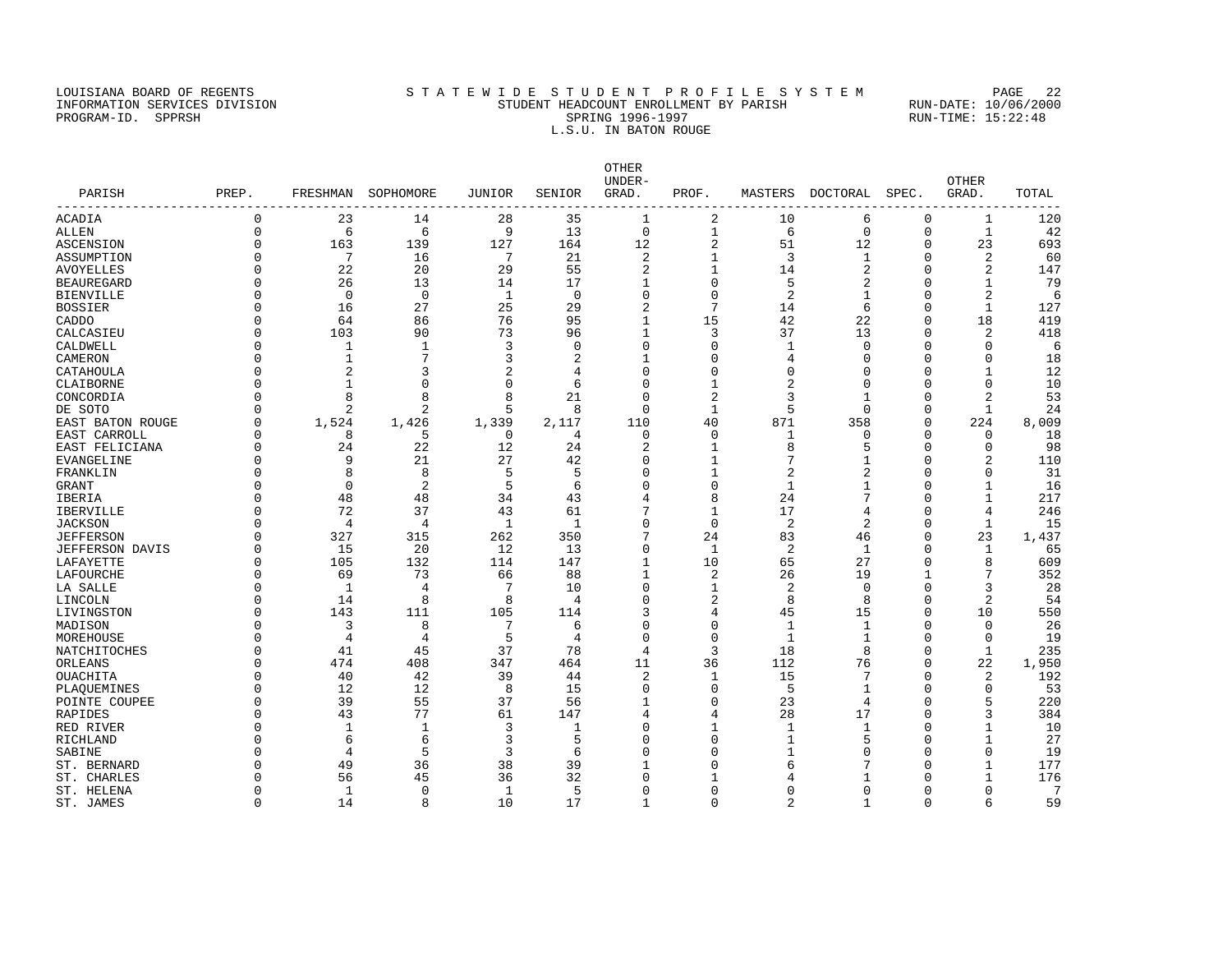#### LOUISIANA BOARD OF REGENTS STATEWIDE STUDENT PROFILE SYSTEM PAGE 22 INFORMATION SERVICES DIVISION STUDENT HEADCOUNT ENROLLMENT BY PARISH RUN-DATE: 10/06/2000 PROGRAM-ID. SPPRSH SPRING 1996-1997 SPRING 1996-1997 RUN-TIME: 15:22:48 L.S.U. IN BATON ROUGE

OTHER UNDER- OTHER PARISH PREP. FRESHMAN SOPHOMORE JUNIOR SENIOR GRAD. PROF. MASTERS DOCTORAL SPEC. GRAD. TOTAL ------------------------------------------------------------------------------------------------------------------------------------ ACADIA 0 23 14 28 35 1 2 10 6 0 1 120<br>
ALLEN 0 6 6 9 13 0 1 6 0 0 1 42<br>
ASCENSION 0 163 139 127 164 12 2 51 12 0 23 693<br>
ASSUMPTION 0 7 16 7 21 2 1 3 1 0 2 60<br>
AVOYELLES 0 22 20 29 55 2 1 14 2 0 2 147<br>
BEAUREGARD ALLEN 0 6 6 9 13 0 1 6 0 0 1 42 ASCENSION 0 163 139 127 164 12 2 51 12 0 23 693 ASSUMPTION 0 7 16 7 21 2 1 3 1 0 2 60 AVOYELLES 0 22 20 29 55 2 1 14 2 0 2 147 BEAUREGARD 0 26 13 14 17 1 0 5 2 0 1 79<br>BIENVILLE 0 0 0 1 0 0 0 2 1 0 2 6 BIENVILLE 0 0 0 1 0 0 0 2 1 0 2 6 BOSSIER 0 16 27 25 29 2 7 14 6 0 1 127 CADDO 0 64 86 76 95 1 15 42 22 0 18 419 CALCASIEU 0 103 90 73 96 1 3 37 13 0 2 418 CALDWELL 0 1 1 3 0 0 0 1 0 0 0 6 CAMERON 0 1 7 3 2 1 0 4 0 0 0 18 CATAHOULA 0 2 3 2 4 0 0 0 0 0 1 12 CLAIBORNE 0 1 0 0 6 0 1 2 0 0 0 10 CONCORDIA 0 8 8 8 21 0 2 3 1 0 2 53 DE SOTO 0 2 2 5 8 0 1 5 0 0 1 24 EAST BATON ROUGE 0 1,524 1,426 1,339 2,117 110 40 871 358 0 224 8,009 EAST CARROLL 0 8 5 0 4 0 0 1 0 0 0 18 EAST FELICIANA 0 24 22 12 24 2 1 8 5 0 0 98 EVANGELINE 0 9 21 27 42 0 1 7 1 0 2 110 FRANKLIN 0 8 8 5 5 0 1 2 2 0 0 31 GRANT 0 0 2 5 6 0 0 1 1 0 1 16 IBERIA 0 48 48 34 43 4 8 24 7 0 1 217 IBERVILLE 0 72 37 43 61 7 1 17 4 0 4 246 JACKSON 0 4 4 1 1 0 0 2 2 0 1 15 JEFFERSON 0 327 315 262 350 7 24 83 46 0 23 1,437 JEFFERSON DAVIS 0 15 20 12 13 0 1 2 1 0 1 65 LAFAYETTE 0 105 132 114 147 1 10 65 27 0 8 609 LAFOURCHE 0 69 73 66 88 1 2 26 19 1 7 352 LA SALLE 0 1 4 7 10 0 1 2 0 0 3 28 LINCOLN 0 14 8 8 4 0 2 8 8 0 2 54 LIVINGSTON 0 143 111 105 114 3 4 45 15 0 10 550 MADISON 0 3 8 7 6 0 0 1 1 0 26 MOREHOUSE 0 4 4 5 4 0 0 1 1 0 0 19 NATCHITOCHES 0 41 45 37 78 4 3 18<br>ORLEANS 0 474 408 347 464 11 36 112 ORLEANS 0 474 408 347 464 11 36 112 76 0 22 1,950 OUACHITA 0 40 42 39 44 2 1 15 7 0 2 192 PLAQUEMINES 0 12 12 8 15 0 0 5 1 0 0 53 POINTE COUPEE 0 39 55 37 56 1 0 23 4 0 5 220 RAPIDES 0 43 77 61 147 4 4 28 17 0 3 384 RED RIVER 0 1 1 3 1 0 1 1 1 0 1 10 RICHLAND 6 6 3 5 0 1 5 0 1 27 SABINE 0 4 5 3 6 0 0 1 0 0 0 19 ST. BERNARD 0 49 36 38 39 1 0 6 7 0 1 177 ST. CHARLES 0 56 45 36 32 0 1 4 1 0 1 176 ST. HELENA 0 1 0 1 5 0 0 0 0 0 0 7 ST. JAMES 0 14 8 10 17 1 0 2 1 0 6 59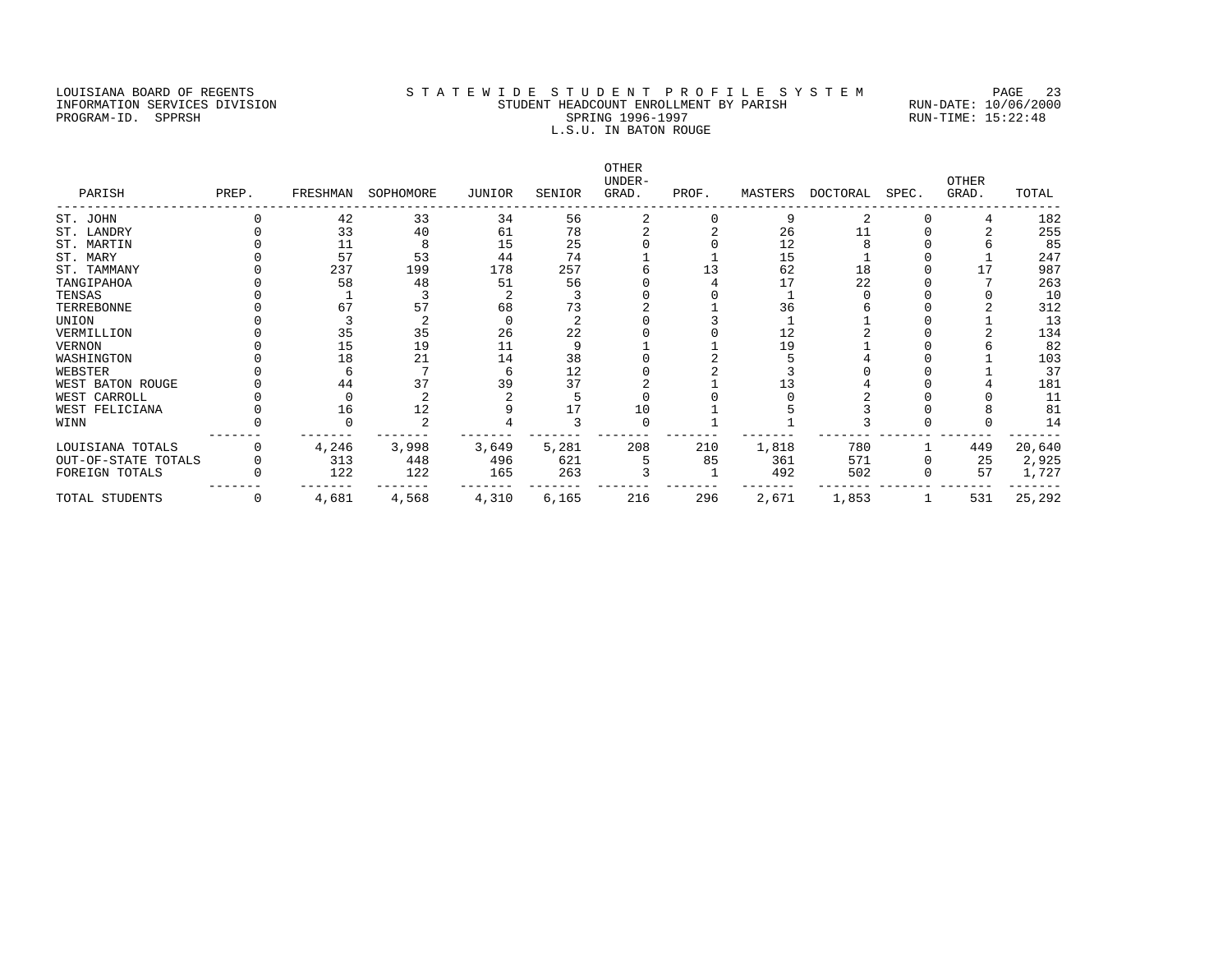### LOUISIANA BOARD OF REGENTS STATEWIDE STUDENT PROFILE SYSTEM PAGE 23 INFORMATION SERVICES DIVISION STUDENT HEADCOUNT ENROLLMENT BY PARISH RUN-DATE: 10/06/2000 PROGRAM-ID. SPPRSH SPRING 1996-1997 SPRING 1996-1997 RUN-TIME: 15:22:48 L.S.U. IN BATON ROUGE

| PARISH              | PREP.        |       | FRESHMAN SOPHOMORE | JUNIOR | SENIOR | OTHER<br>UNDER-<br>GRAD. | PROF. | MASTERS | DOCTORAL | SPEC. | <b>OTHER</b><br>GRAD. | TOTAL  |
|---------------------|--------------|-------|--------------------|--------|--------|--------------------------|-------|---------|----------|-------|-----------------------|--------|
| ST. JOHN            |              | 42    | 33                 | 34     | 56     |                          |       | 9       |          |       |                       | 182    |
| ST. LANDRY          |              | 33    | 40                 | 61     | 78     |                          |       | 26      |          |       |                       | 255    |
| ST. MARTIN          |              | 11    | 8                  | 15     | 25     |                          |       | 12      |          |       |                       | 85     |
| ST. MARY            |              | 57    | 53                 | 44     | 74     |                          |       | 15      |          |       |                       | 247    |
| ST. TAMMANY         |              | 237   | 199                | 178    | 257    |                          |       | 62      | 18       |       |                       | 987    |
| TANGIPAHOA          |              | 58    | 48                 | 51     | 56     |                          |       |         | 22       |       |                       | 263    |
| TENSAS              |              |       |                    |        |        |                          |       |         |          |       |                       | 10     |
| TERREBONNE          |              | 67    | 57                 | 68     | 73     |                          |       | 36      |          |       |                       | 312    |
| UNION               |              |       |                    |        |        |                          |       |         |          |       |                       | 13     |
| VERMILLION          |              | 35    | 35                 | 26     | 22     |                          |       | 12      |          |       |                       | 134    |
| VERNON              |              | 15    | 19                 | 11     |        |                          |       | 19      |          |       |                       | 82     |
| WASHINGTON          |              | 18    | 21                 | 14     | 38     |                          |       |         |          |       |                       | 103    |
| WEBSTER             |              |       |                    |        | 12     |                          |       |         |          |       |                       | 37     |
| WEST BATON ROUGE    |              | 44    | 37                 | 39     | 37     |                          |       |         |          |       |                       | 181    |
| WEST CARROLL        |              |       |                    |        |        |                          |       |         |          |       |                       | 11     |
| WEST FELICIANA      |              | 16    | 12                 |        |        | 10                       |       |         |          |       |                       | 81     |
| WINN                |              |       |                    |        |        |                          |       |         |          |       |                       | 14     |
| LOUISIANA TOTALS    |              | 4,246 | 3,998              | 3,649  | 5,281  | 208                      | 210   | 1,818   | 780      |       | 449                   | 20,640 |
| OUT-OF-STATE TOTALS |              | 313   | 448                | 496    | 621    |                          | 85    | 361     | 571      |       | 25                    | 2,925  |
| FOREIGN TOTALS      |              | 122   | 122                | 165    | 263    |                          |       | 492     | 502      |       | 57                    | 1,727  |
| TOTAL STUDENTS      | $\mathbf{0}$ | 4,681 | 4,568              | 4,310  | 6,165  | 216                      | 296   | 2,671   | 1,853    |       | 531                   | 25,292 |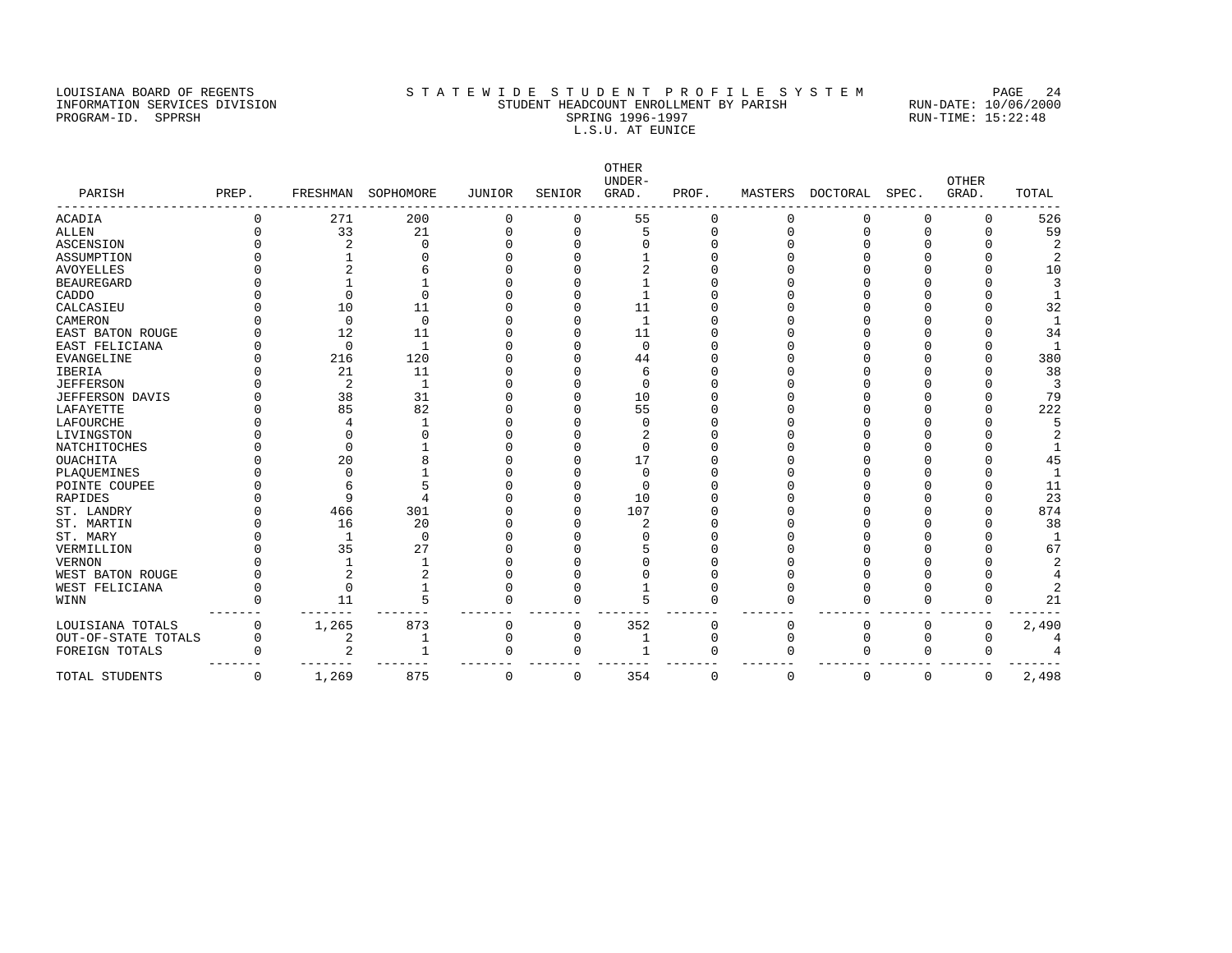### LOUISIANA BOARD OF REGENTS STATEWIDE STUDENT PROFILE SYSTEM PAGE 24 INFORMATION SERVICES DIVISION STUDENT HEADCOUNT ENROLLMENT BY PARISH RUN-DATE: 10/06/2000 PROGRAM-ID. SPPRSH SPRING 1996-1997 SPRING 1996-1997 RUN-TIME: 15:22:48 L.S.U. AT EUNICE

| PARISH              | PREP.    |          | FRESHMAN SOPHOMORE | JUNIOR | SENIOR       | <b>OTHER</b><br>UNDER-<br>GRAD. | PROF.        | MASTERS  | DOCTORAL | SPEC.       | <b>OTHER</b><br>GRAD. | TOTAL |
|---------------------|----------|----------|--------------------|--------|--------------|---------------------------------|--------------|----------|----------|-------------|-----------------------|-------|
|                     |          |          |                    |        |              |                                 |              |          |          |             |                       |       |
| ACADIA              |          | 271      | 200                | 0      | 0            | 55                              | 0            | 0        | 0        | O           | 0                     | 526   |
| ALLEN               |          | 33       | 21                 | N      | $\Omega$     |                                 | $\Omega$     |          | $\Omega$ |             |                       | 59    |
| ASCENSION           |          |          | ∩                  |        |              |                                 |              |          |          |             |                       |       |
| ASSUMPTION          |          |          |                    |        |              |                                 |              |          |          |             |                       |       |
| <b>AVOYELLES</b>    |          |          |                    |        |              |                                 |              |          |          |             |                       | 10    |
| BEAUREGARD          |          |          |                    |        |              |                                 |              |          |          |             |                       |       |
| CADDO               |          |          |                    |        |              |                                 |              |          |          |             |                       |       |
| CALCASIEU           |          | 10       | 11                 |        |              | 11                              |              |          |          |             |                       | 32    |
| CAMERON             |          | $\Omega$ | $\Omega$           |        |              | 1                               |              |          |          |             |                       |       |
| EAST BATON ROUGE    |          | 12       | 11                 |        |              | 11                              |              |          |          |             |                       | 34    |
| EAST FELICIANA      |          | $\Omega$ | $\mathbf{1}$       |        |              | $\Omega$                        |              |          |          |             |                       |       |
| EVANGELINE          |          | 216      | 120                |        |              | 44                              |              |          |          |             |                       | 380   |
| IBERIA              |          | 21       | 11                 |        |              | 6                               |              |          |          |             |                       | 38    |
| JEFFERSON           |          |          | -1                 |        |              | $\Omega$                        |              |          |          |             |                       | 3     |
| JEFFERSON DAVIS     |          | 38       | 31                 |        |              | 10                              |              |          |          |             |                       | 79    |
| LAFAYETTE           |          | 85       | 82                 |        |              | 55                              |              |          |          |             |                       | 222   |
| LAFOURCHE           |          |          |                    |        |              |                                 |              |          |          |             |                       |       |
| LIVINGSTON          |          |          |                    |        |              |                                 |              |          |          |             |                       |       |
| NATCHITOCHES        |          |          |                    |        |              |                                 |              |          |          |             |                       |       |
| OUACHITA            |          | 20       |                    |        |              | 17                              |              |          |          |             |                       | 45    |
| PLAQUEMINES         |          |          |                    |        |              |                                 |              |          |          |             |                       |       |
| POINTE COUPEE       |          |          |                    |        |              |                                 |              |          |          |             |                       | 11    |
| RAPIDES             |          |          |                    |        |              | 10                              |              |          |          |             |                       | 23    |
| ST. LANDRY          |          | 466      | 301                |        |              | 107                             |              |          |          |             |                       | 874   |
| ST. MARTIN          |          | 16       | 20                 |        |              |                                 |              |          |          |             |                       | 38    |
| ST. MARY            |          |          | $\Omega$           |        |              |                                 |              |          |          |             |                       |       |
| VERMILLION          |          | 35       | 27                 |        |              |                                 |              |          |          |             |                       | 67    |
| VERNON              |          |          |                    |        |              |                                 |              |          |          |             |                       |       |
| WEST BATON ROUGE    |          |          |                    |        |              |                                 |              |          |          |             |                       |       |
| WEST FELICIANA      |          | $\Omega$ |                    |        |              |                                 |              |          |          |             |                       |       |
| WINN                |          | 11       | 5                  | N      | <sup>0</sup> |                                 |              |          |          |             |                       | 21    |
| LOUISIANA TOTALS    |          | 1,265    | 873                | 0      | $\Omega$     | 352                             | U            | O        | $\Omega$ | ∩           | $\Omega$              | 2,490 |
| OUT-OF-STATE TOTALS |          | 2        |                    | N      | O            |                                 | <sup>0</sup> |          |          |             |                       |       |
| FOREIGN TOTALS      |          |          |                    | O      | <sup>0</sup> |                                 | ∩            | ∩        | ∩        |             |                       |       |
| TOTAL STUDENTS      | $\Omega$ | 1,269    | 875                | 0      | $\Omega$     | 354                             | $\Omega$     | $\Omega$ | $\Omega$ | $\mathbf 0$ | $\Omega$              | 2,498 |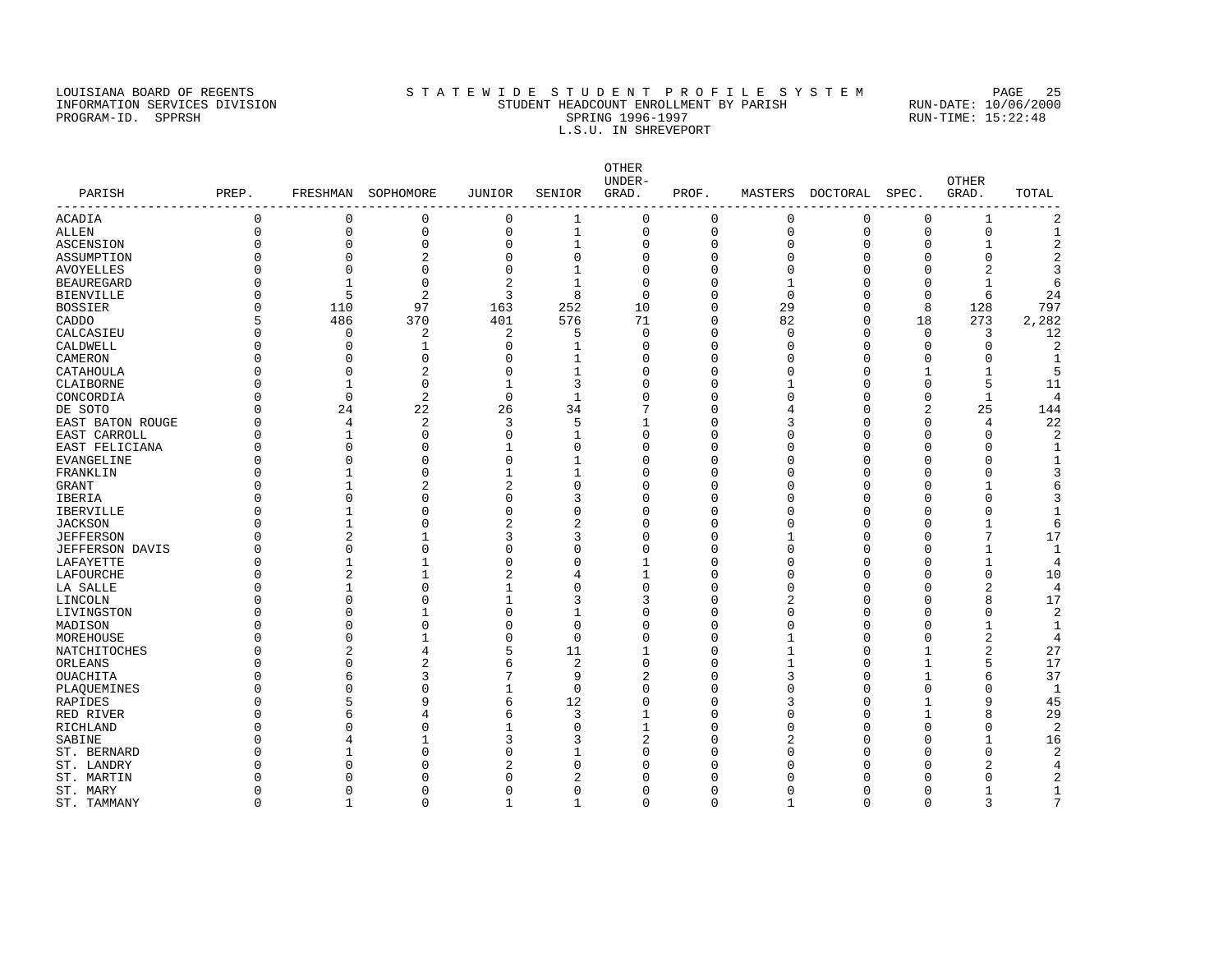### LOUISIANA BOARD OF REGENTS STATEWIDE STUDENT PROFILE SYSTEM PAGE 25 INFORMATION SERVICES DIVISION STUDENT HEADCOUNT ENROLLMENT BY PARISH RUN-DATE: 10/06/2000 PROGRAM-ID. SPPRSH SPRING 1996-1997 SPRING 1996-1997 RUN-TIME: 15:22:48 L.S.U. IN SHREVEPORT

| PARISH           | PREP.        |              | FRESHMAN SOPHOMORE | JUNIOR         | SENIOR       | OTHER<br>UNDER-<br>GRAD. | PROF.       |          | MASTERS DOCTORAL | SPEC.       | <b>OTHER</b><br>GRAD. | TOTAL          |
|------------------|--------------|--------------|--------------------|----------------|--------------|--------------------------|-------------|----------|------------------|-------------|-----------------------|----------------|
| ACADIA           | $\mathbf{0}$ | $\mathbf 0$  | 0                  | $\mathsf{O}$   | $\mathbf{1}$ | $\mathbf 0$              | $\mathbf 0$ | 0        | 0                | 0           | 1                     | $\overline{c}$ |
| ALLEN            | $\mathbf{0}$ | $\mathbf 0$  | 0                  | 0              | $\mathbf{1}$ | $\mathbf 0$              | $\mathbf 0$ | 0        | 0                | $\mathbf 0$ | 0                     | $\mathbf{1}$   |
| ASCENSION        |              | $\Omega$     | $\Omega$           | $\Omega$       | 1            | $\Omega$                 | $\Omega$    | U        | $\Omega$         | O           | 1                     | $\overline{2}$ |
| ASSUMPTION       |              | $\Omega$     | 2                  | $\Omega$       | U            | $\Omega$                 | C           |          | $\Omega$         | O           | $\Omega$              |                |
| AVOYELLES        |              | $\Omega$     | $\Omega$           | $\Omega$       |              | $\Omega$                 |             |          | $\Omega$         | U           | $\overline{2}$        |                |
| BEAUREGARD       |              | $\mathbf{1}$ | $\mathbf 0$        | $\overline{2}$ | 1            | $\mathbf 0$              |             |          | U                | O           | 1                     |                |
| BIENVILLE        |              | 5            | 2                  | 3              | 8            | $\Omega$                 | n           | $\Omega$ | $\Omega$         | $\Omega$    | 6                     | 24             |
| BOSSIER          |              | 110          | 97                 | 163            | 252          | 10                       | $\Omega$    | 29       | $\Omega$         | 8           | 128                   | 797            |
| CADDO            |              | 486          | 370                | 401            | 576          | 71                       | $\Omega$    | 82       | $\Omega$         | 18          | 273                   | 2,282          |
| CALCASIEU        |              | 0            | 2                  | 2              | 5            | 0                        | $\Omega$    | $\cap$   | $\Omega$         | 0           | 3                     | 12             |
| CALDWELL         |              | $\Omega$     | -1                 | $\Omega$       | 1            | $\Omega$                 | n           |          | $\Omega$         | O           | $\Omega$              | 2              |
| CAMERON          |              | O            | U                  | O              |              | $\Omega$                 | n           |          | $\Omega$         | U           | O                     |                |
| CATAHOULA        |              | $\Omega$     | $\overline{2}$     | $\mathbf 0$    |              | $\Omega$                 | $\Omega$    |          | $\Omega$         |             | 1                     | 5              |
| CLAIBORNE        |              | 1            | $\mathbf 0$        | 1              | 3            | $\Omega$                 | $\Omega$    |          | $\Omega$         | O           | 5                     | 11             |
| CONCORDIA        |              | $\mathbf 0$  | 2                  | $\mathbf 0$    | $\mathbf{1}$ | $\Omega$                 | n           |          | $\Omega$         | O           | 1                     | 4              |
| DE SOTO          |              | 24           | 22                 | 26             | 34           | 7                        | n           |          | $\Omega$         | 2           | 25                    | 144            |
| EAST BATON ROUGE |              | 4            | $\overline{2}$     | 3              | 5            |                          | $\Omega$    |          | $\Omega$         | $\Omega$    | 4                     | 22             |
| EAST CARROLL     |              | 1            | $\Omega$           | $\mathbf 0$    | 1            | $\Omega$                 | $\Omega$    |          | $\Omega$         | O           | $\Omega$              | $\overline{2}$ |
| EAST FELICIANA   |              | $\Omega$     | U                  | 1              | U            | $\Omega$                 | n           |          | $\Omega$         | O           | $\Omega$              | 1              |
| EVANGELINE       |              | $\Omega$     | C                  | $\Omega$       | 1            | $\Omega$                 | n           |          | $\Omega$         | U           | $\Omega$              |                |
| FRANKLIN         |              |              | $\Omega$           | 1              | 1            | $\Omega$                 | $\Omega$    |          | $\Omega$         | U           | $\Omega$              | 3              |
| GRANT            |              |              | 2                  | 2              | O            | $\Omega$                 | $\Omega$    |          | $\Omega$         | U           | 1                     |                |
| <b>IBERIA</b>    |              | $\Omega$     | U                  | $\Omega$       | 3            | $\Omega$                 | n           |          | $\Omega$         | $\Omega$    | $\Omega$              |                |
| IBERVILLE        |              | 1            | U                  | $\Omega$       | O            | $\Omega$                 | U           |          | $\Omega$         | U           | $\Omega$              |                |
| <b>JACKSON</b>   |              |              | $\cap$             | 2              |              | $\Omega$                 | $\Omega$    |          | $\Omega$         | U           | 1                     | 6              |
| JEFFERSON        |              | 2            |                    | 3              | 3            | $\Omega$                 | $\Omega$    |          | $\Omega$         | $\Omega$    | 7                     | 17             |
| JEFFERSON DAVIS  |              | $\Omega$     | $\Omega$           | $\Omega$       | O            | $\Omega$                 | n           |          | $\Omega$         | O           | 1                     | 1              |
| LAFAYETTE        |              |              |                    | $\Omega$       | U            |                          | U           |          | $\Omega$         | O           | $\mathbf{1}$          | $\overline{4}$ |
| LAFOURCHE        |              | 2            |                    | 2              | 4            |                          | $\Omega$    |          | $\Omega$         | U           | 0                     | 10             |
| LA SALLE         |              | 1            | $\cap$             | 1              | O            | $\Omega$                 | $\Omega$    |          | $\Omega$         | O           | $\overline{2}$        | $\overline{4}$ |
| LINCOLN          |              | $\Omega$     | $\cap$             | 1              | ζ            | 3                        | $\Omega$    |          | $\Omega$         | $\Omega$    | 8                     | 17             |
| LIVINGSTON       |              | $\Omega$     |                    | $\Omega$       |              | $\Omega$                 | U           |          | $\Omega$         | O           | $\Omega$              | $\overline{c}$ |
| MADISON          |              | $\cap$       | $\cap$             | $\Omega$       | $\Omega$     | $\Omega$                 | $\Omega$    |          | $\Omega$         | U           | 1                     | 1              |
| MOREHOUSE        |              | $\Omega$     |                    | $\Omega$       | $\Omega$     | $\Omega$                 | $\Omega$    |          | $\Omega$         | O           | $\overline{2}$        | $\overline{4}$ |
| NATCHITOCHES     |              | 2            | 4                  | 5              | 11           |                          | $\Omega$    |          | $\Omega$         |             | $\overline{2}$        | 27             |
| ORLEANS          |              | $\Omega$     | 2                  | 6              | 2            | $\Omega$                 | U           |          | $\Omega$         | 1           | 5                     | 17             |
| OUACHITA         |              | 6            | ζ                  |                | 9            | 2                        | n           |          | $\Omega$         | 1           | 6                     | 37             |
| PLAQUEMINES      |              | $\Omega$     | $\cap$             | 1              | $\Omega$     | $\Omega$                 | $\Omega$    |          | $\Omega$         | O           | $\Omega$              | $\mathbf{1}$   |
| RAPIDES          |              | 5            | 9                  | 6              | 12           | $\Omega$                 | $\cap$      |          | $\Omega$         |             | 9                     | 45             |
| RED RIVER        |              | 6            | 4                  | 6              | 3            |                          | U           |          | $\Omega$         | 1           | 8                     | 29             |
| RICHLAND         |              | $\cap$       | C                  | 1              | U            |                          | n           |          | $\Omega$         | U           | $\Omega$              | $\overline{c}$ |
| SABINE           |              |              |                    | 3              | ζ            | $\overline{c}$           | C           |          | U                | $\Omega$    | $\mathbf{1}$          | 16             |
| ST. BERNARD      |              |              | $\cap$             | $\Omega$       |              | $\Omega$                 | C           |          | U                | U           | $\mathbf 0$           | 2              |
| ST. LANDRY       |              | $\Omega$     | C                  | 2              | U            | $\Omega$                 | C           |          | U                | U           | 2                     |                |
| ST. MARTIN       |              | $\cap$       | $\Omega$           | $\Omega$       |              | $\cap$                   | n           |          | U                | U           | $\Omega$              | 2              |
| ST. MARY         | $\Omega$     | $\Omega$     | $\Omega$           | $\Omega$       | $\Omega$     | $\Omega$                 | $\Omega$    | $\Omega$ | $\cap$           | $\Omega$    | $\mathbf{1}$          | $\mathbf{1}$   |
|                  |              |              |                    |                |              |                          |             |          |                  |             |                       |                |

ST. TAMMANY 0 1 0 1 1 0 0 1 0 0 3 7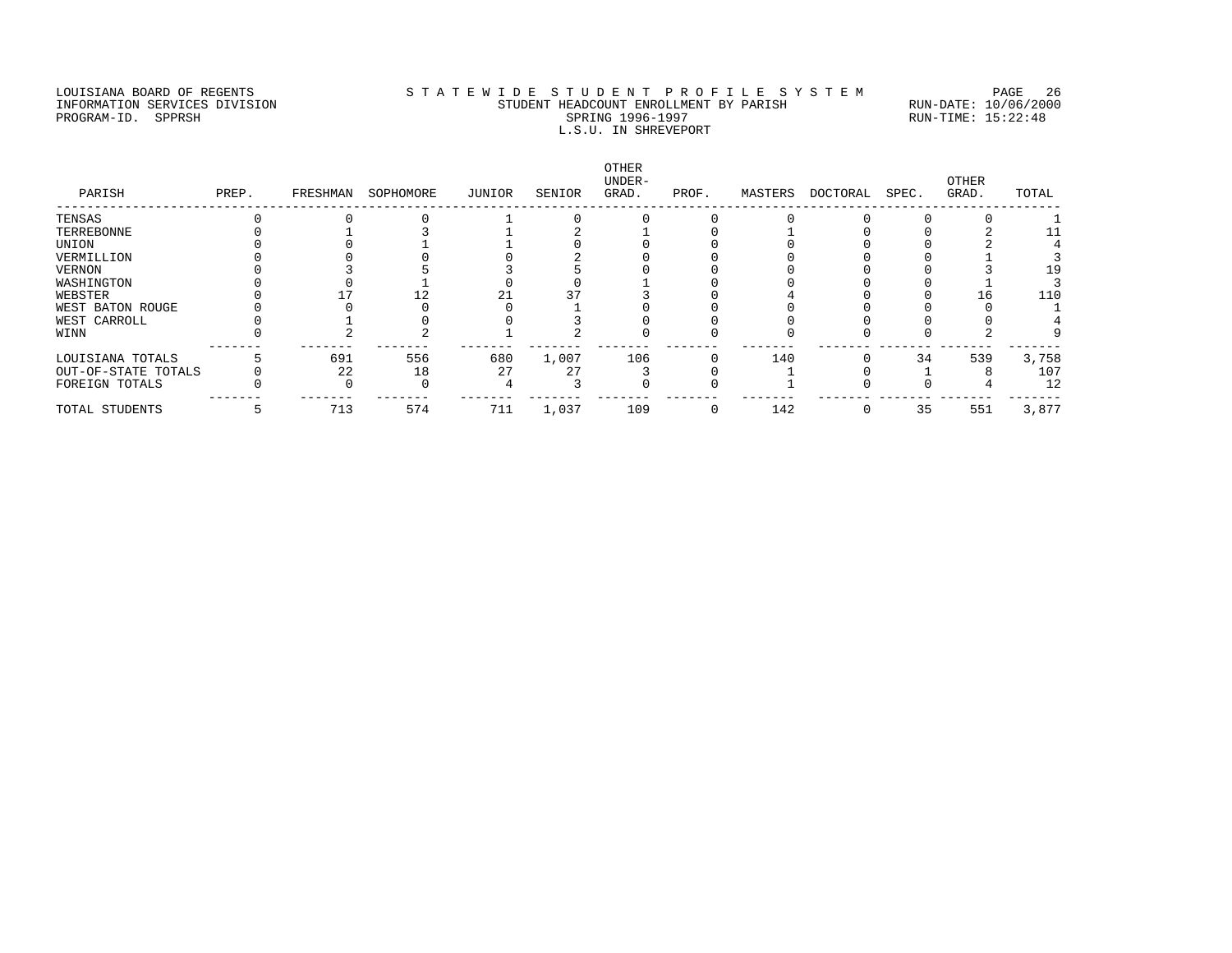### LOUISIANA BOARD OF REGENTS STATEWIDE STUDENT PROFILE SYSTEM PAGE 26 INFORMATION SERVICES DIVISION STUDENT HEADCOUNT ENROLLMENT BY PARISH RUN-DATE: 10/06/2000 PROGRAM-ID. SPPRSH SPRING 1996-1997 SPRING 1996-1997 RUN-TIME: 15:22:48 L.S.U. IN SHREVEPORT

| PARISH              | PREP. | FRESHMAN | SOPHOMORE | JUNIOR | SENIOR | OTHER<br>UNDER-<br>GRAD. | PROF. | MASTERS | DOCTORAL | SPEC. | OTHER<br>GRAD. | TOTAL |
|---------------------|-------|----------|-----------|--------|--------|--------------------------|-------|---------|----------|-------|----------------|-------|
| TENSAS              |       |          |           |        |        |                          |       |         |          |       |                |       |
| TERREBONNE          |       |          |           |        |        |                          |       |         |          |       |                |       |
| UNION               |       |          |           |        |        |                          |       |         |          |       |                |       |
| VERMILLION          |       |          |           |        |        |                          |       |         |          |       |                |       |
| VERNON              |       |          |           |        |        |                          |       |         |          |       |                | 19    |
| WASHINGTON          |       |          |           |        |        |                          |       |         |          |       |                |       |
| WEBSTER             |       |          |           |        |        |                          |       |         |          |       | L 6            | 110   |
| WEST BATON ROUGE    |       |          |           |        |        |                          |       |         |          |       |                |       |
| WEST CARROLL        |       |          |           |        |        |                          |       |         |          |       |                |       |
| WINN                |       |          |           |        |        |                          |       |         |          |       |                |       |
| LOUISIANA TOTALS    |       | 691      | 556       | 680    | 1,007  | 106                      |       | 140     |          | 34    | 539            | 3,758 |
| OUT-OF-STATE TOTALS |       | 22       | 18        | 27     | 27     |                          |       |         |          |       |                | 107   |
| FOREIGN TOTALS      |       |          |           |        |        |                          |       |         |          |       |                | 12    |
| TOTAL STUDENTS      |       | 713      | 574       | 711    | 1,037  | 109                      | 0     | 142     |          | 35    | 551            | 3,877 |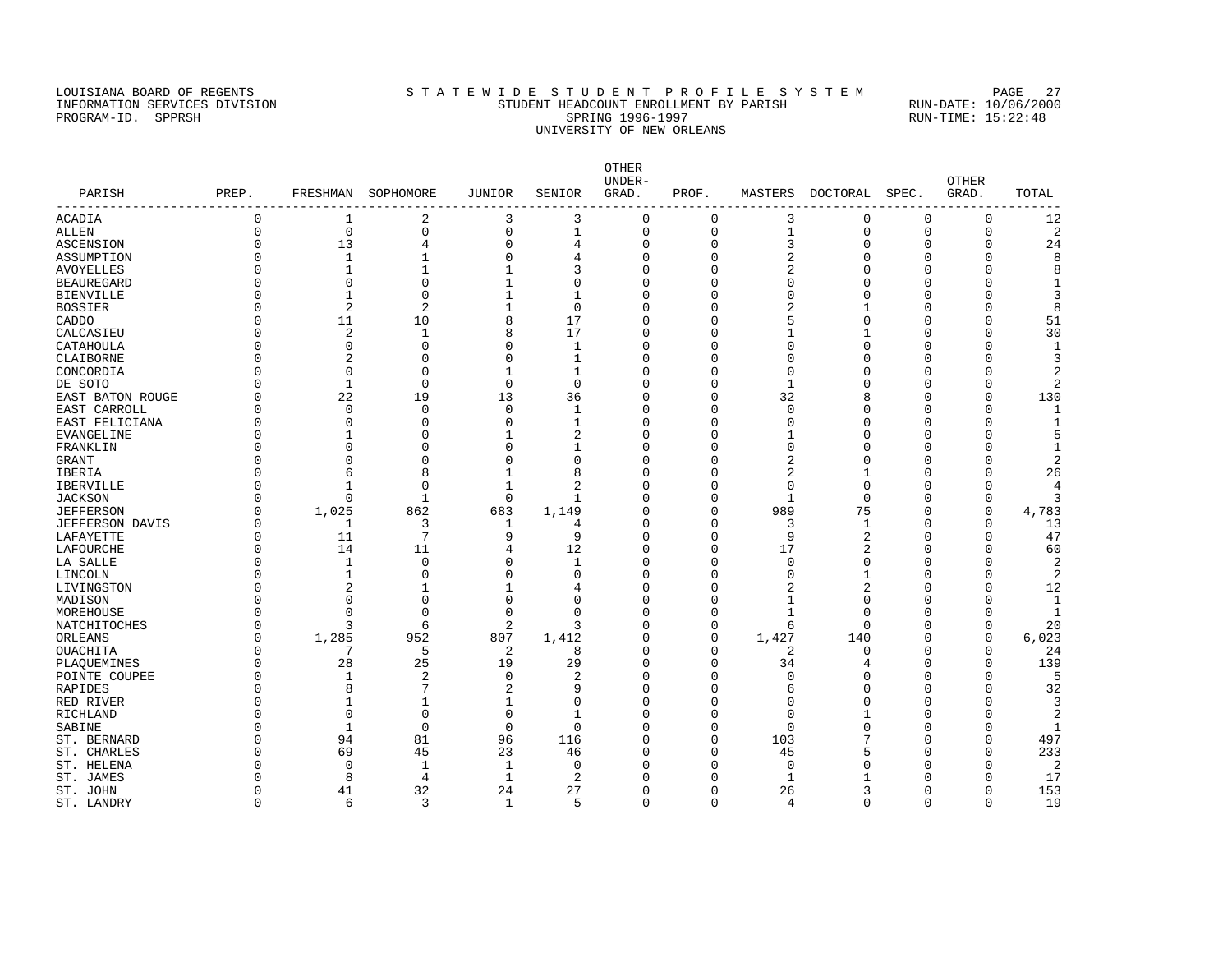#### LOUISIANA BOARD OF REGENTS STATEWIDE STUDENT PROFILE SYSTEM PAGE 27 INFORMATION SERVICES DIVISION STUDENT HEADCOUNT ENROLLMENT BY PARISH RUN-DATE: 10/06/2000 PROGRAM-ID. SPPRSH SPRING 1996-1997 SPRING 1996-1997 RUN-TIME: 15:22:48 UNIVERSITY OF NEW ORLEANS

OTHER UNDER- OTHER PARISH PREP. FRESHMAN SOPHOMORE JUNIOR SENIOR GRAD. PROF. MASTERS DOCTORAL SPEC. GRAD. TOTAL ------------------------------------------------------------------------------------------------------------------------------------ ACADIA 0 1 2 3 3 0 0 3 0 0 0 12 ALLEN 0 0 0 0 1 0 0 1 0 0 0 2 ASCENSION 0 13 4 0 4 0 0 3 0 0 24 ASSUMPTION 0 1 1 0 4 0 0 2 0 0 0 8 AVOYELLES 0 1 1 1 3 0 0 2 0 0 0 8 BEAUREGARD 0 0 0 1 0 0 0 0 0 0 0 1 BIENVILLE 0 1 0 1 1 0 0 0 0 0 0 3 BOSSIER 0 2 2 1 0 0 0 2 1 0 0 8 CADDO 0 11 10 8 17 0 0 5 0 0 0 51 CALCASIEU 0 2 1 8 17 0 0 1 1 0 0 30 CATAHOULA 0 0 0 0 1 0 0 0 0 0 0 1 CLAIBORNE 0 2 0 0 1 0 0 0 0 0 0 3 CONCORDIA 0 0 0 0 1 1 0 0 0 0 0 0 2 DE SOTO 0 1 0 0 0 0 0 1 0 0 0 2 EAST BATON ROUGE 0 22 19 13 36 0 0 32 8 0 0 130 EAST CARROLL 0 0 0 0 1 0 0 0 0 0 0 1 EAST FELICIANA 0 0 0 0 1 0 0 0 0 0 0 1 EVANGELINE  $\begin{matrix} 0 & 1 & 0 & 1 \end{matrix}$   $\begin{matrix} 1 & 2 & 0 & 0 & 1 \end{matrix}$   $\begin{matrix} 0 & 1 & 0 & 0 \end{matrix}$ FRANKLIN 0 0 0 0 1 0 0 0 0 0 0 1 GRANT 0 0 0 0 0 0 0 2 0 0 0 2 IBERIA 0 6 8 1 8 0 0 2 1 0 0 26 IBERVILLE 0 1 0 1 2 0 0 0 0 0 0 4 JACKSON 0 0 1 0 1 0 0 1 0 0 0 3 JEFFERSON 0 1,025 862 683 1,149 0 0 989 75 0 0 4,783 JEFFERSON DAVIS 0 1 3 1 4 0 0 3 1 0 0 13 LAFAYETTE 0 11 7 9 9 0 0 9 2 0 0 47 LAFOURCHE 0 14 11 4 12 0 0 17 2 0 0 60 LA SALLE 0 1 0 0 1 0 0 0 0 0 0 2 LINCOLN 0 1 0 0 0 0 0 0 1 0 0 2 1<br>
LIVINGSTON 0 2 1 1 4 0 0 2 2 0 0 12<br>
MADISON 0 0 0 0 0 0 0 1 0 0 0 1<br>
MOREHOUSE 0 0 0 0 0 0 0 1 0 0 0 1 MADISON 0 0 0 0 0 0 0 0 1 0 0 0 1 MOREHOUSE 0 0 0 0 0 0 0 1 0 0 0 1 NATCHITOCHES 0 3 6 2 3 0 0 6 0 0 20 ORLEANS 0 1,285 952 807 1,412 0 0 1,427 140 0 0 6,023 OUACHITA 0 7 5 2 8 0 0 2 0 0 0 24 PLAQUEMINES 0 28 25 19 29 0 0 34 4 0 0 139 PLAQUEMINES 0 28 25 19 29 0 0 34 4 0 0 139<br>POINTE COUPEE 0 1 2 0 2 0 0 0 0 0 0 5<br>RAPIDES 0 8 7 2 9 0 0 6 0 0 0 32 RAPIDES 0 8 7 2 9 0 6 0 0 32 RED RIVER 0 1 1 1 0 0 0 0 0 0 0 3 RICHLAND 0 0 0 0 1 0 0 0 1 0 0 2 SABINE 0 1 0 0 0 0 0 0 0 0 0 0 0 1 ST. BERNARD 0 94 81 96 116 0 0 103 7 0 0 497 ST. CHARLES 0 69 45 23 46 0 5 0 233 ST. HELENA 0 0 1 1 0 0 0 0 0 0 0 2 ST. JAMES 6 0 8 4 1 2 0 0 1 1 0 0 17 ST. JOHN 0 41 32 24 27 0 0 26 3 0 0 153

ST. LANDRY 0 6 3 1 5 0 0 4 0 0 0 19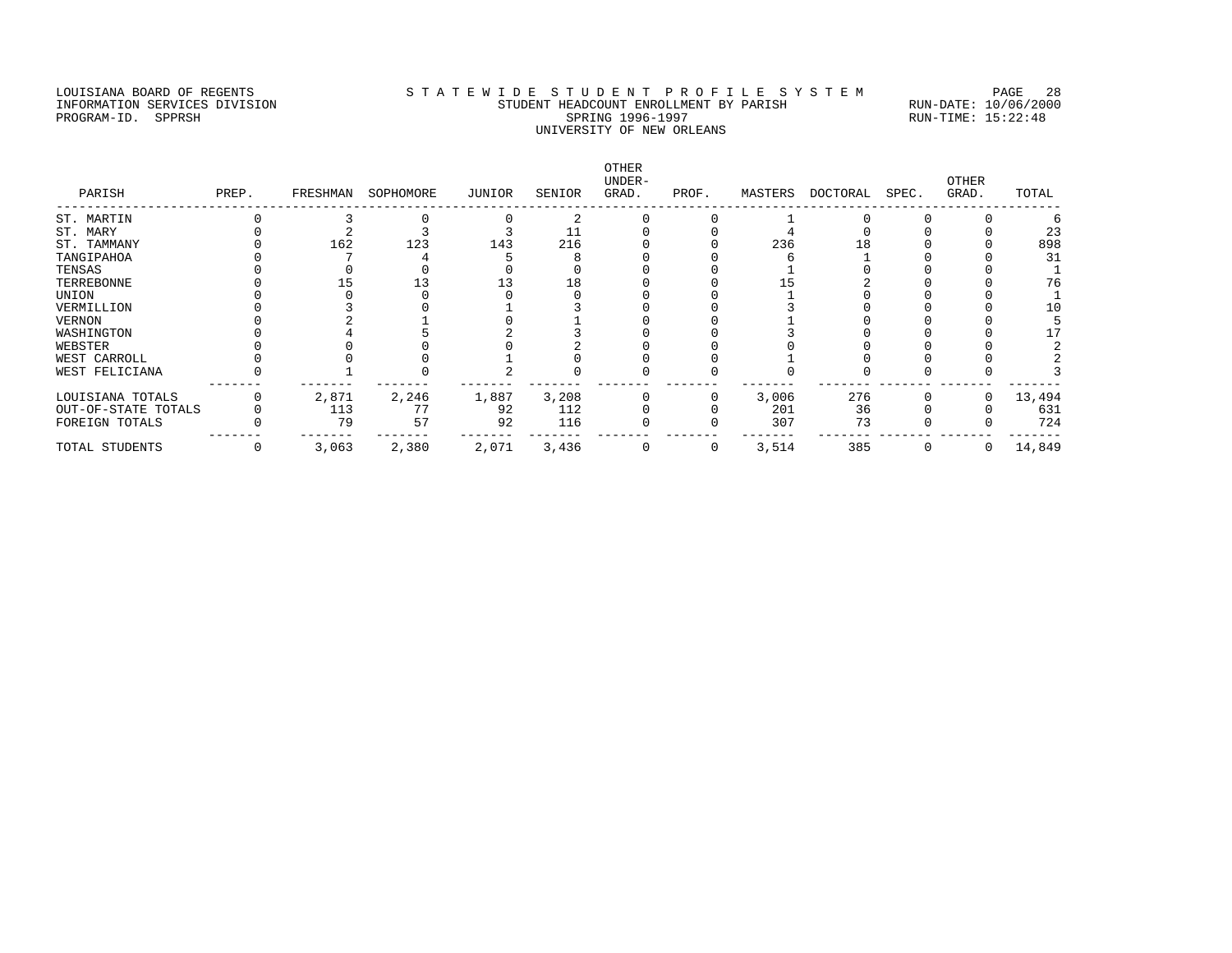### LOUISIANA BOARD OF REGENTS STATEWIDE STUDENT PROFILE SYSTEM PAGE 28 INFORMATION SERVICES DIVISION STUDENT HEADCOUNT ENROLLMENT BY PARISH RUN-DATE: 10/06/2000 PROGRAM-ID. SPPRSH SPRING 1996-1997 SPRING 1996-1997 RUN-TIME: 15:22:48 UNIVERSITY OF NEW ORLEANS

| PARISH              | PREP. | FRESHMAN | SOPHOMORE | JUNIOR | SENIOR | <b>OTHER</b><br>UNDER-<br>GRAD. | PROF. | MASTERS | DOCTORAL | SPEC. | OTHER<br>GRAD. | TOTAL  |
|---------------------|-------|----------|-----------|--------|--------|---------------------------------|-------|---------|----------|-------|----------------|--------|
|                     |       |          |           |        |        |                                 |       |         |          |       |                |        |
| ST. MARTIN          |       |          |           |        |        |                                 |       |         |          |       |                |        |
| ST. MARY            |       |          |           |        | 11     |                                 |       |         |          |       |                | 23     |
| ST. TAMMANY         |       | 162      | 123       | 143    | 216    |                                 |       | 236     | L 8      |       |                | 898    |
| TANGIPAHOA          |       |          |           |        |        |                                 |       |         |          |       |                | 31     |
| TENSAS              |       |          |           |        |        |                                 |       |         |          |       |                |        |
| TERREBONNE          |       |          |           |        | 18     |                                 |       |         |          |       |                | 76     |
| UNION               |       |          |           |        |        |                                 |       |         |          |       |                |        |
| VERMILLION          |       |          |           |        |        |                                 |       |         |          |       |                | 10     |
| VERNON              |       |          |           |        |        |                                 |       |         |          |       |                |        |
| WASHINGTON          |       |          |           |        |        |                                 |       |         |          |       |                | 17     |
| WEBSTER             |       |          |           |        |        |                                 |       |         |          |       |                |        |
| WEST CARROLL        |       |          |           |        |        |                                 |       |         |          |       |                |        |
| WEST FELICIANA      |       |          |           |        |        |                                 |       |         |          |       |                |        |
| LOUISIANA TOTALS    |       | 2,871    | 2,246     | 1,887  | 3,208  |                                 |       | 3,006   | 276      |       | 0              | 13,494 |
| OUT-OF-STATE TOTALS |       | 113      | 77        | 92     | 112    |                                 |       | 201     | 36       |       |                | 631    |
| FOREIGN TOTALS      |       | 79       | 57        | 92     | 116    |                                 |       | 307     | 73       |       |                | 724    |
| TOTAL STUDENTS      | 0     | 3,063    | 2,380     | 2,071  | 3,436  | 0                               | 0     | 3,514   | 385      | 0     | 0              | 14,849 |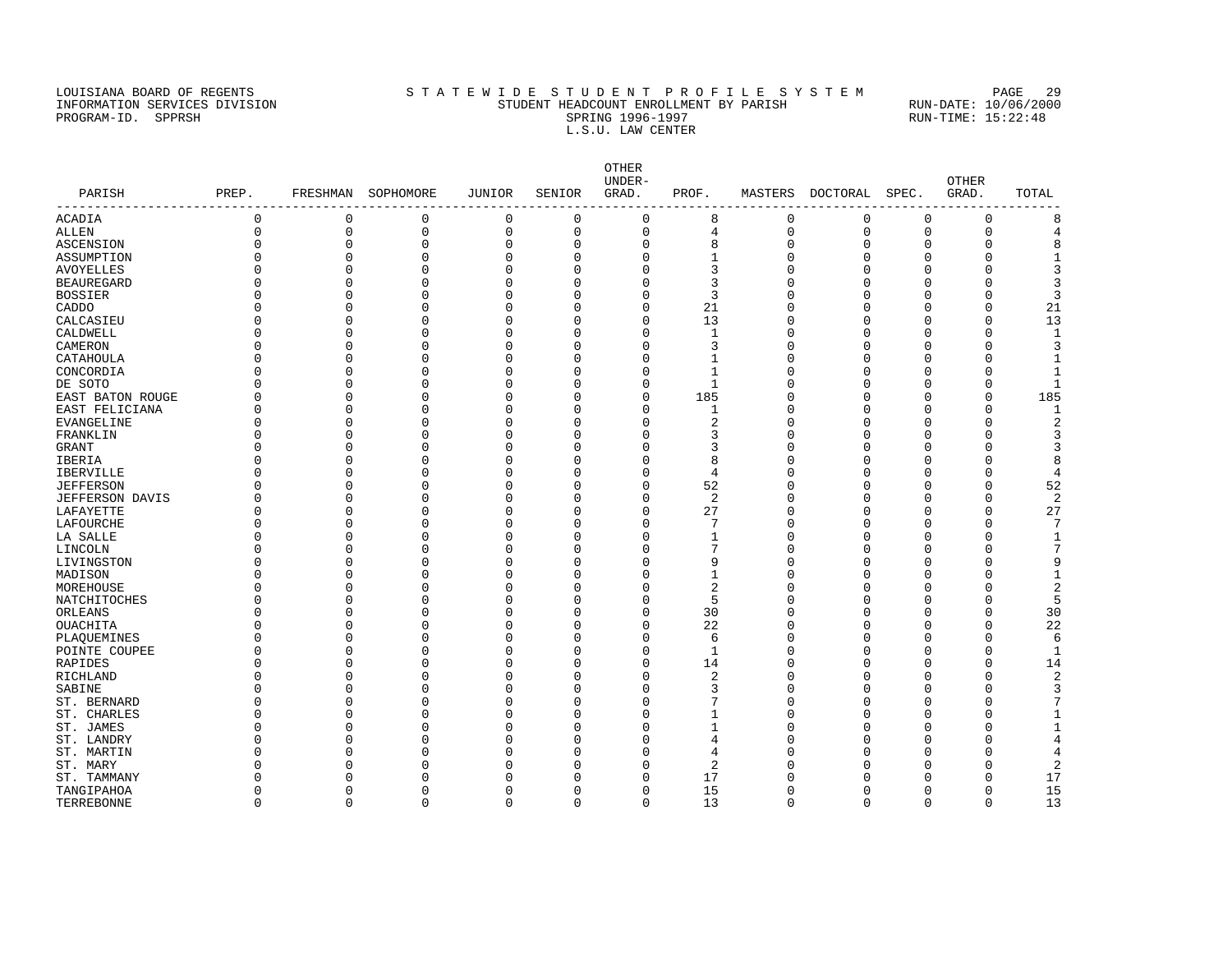#### LOUISIANA BOARD OF REGENTS STATEWIDE STUDENT PROFILE SYSTEM PAGE 29 INFORMATION SERVICES DIVISION STUDENT HEADCOUNT ENROLLMENT BY PARISH RUN-DATE: 10/06/2000 PROGRAM-ID. SPPRSH SPRING 1996-1997 SPRING 1996-1997 RUN-TIME: 15:22:48 L.S.U. LAW CENTER

OTHER UNDER- OTHER PARISH PREP. FRESHMAN SOPHOMORE JUNIOR SENIOR GRAD. PROF. MASTERS DOCTORAL SPEC. GRAD. TOTAL ------------------------------------------------------------------------------------------------------------------------------------ ACADIA 0 0 0 0 0 0 8 0 0 0 0 8 ALLEN 0 0 0 0 0 0 4 0 0 0 0 4 ASCENSION 0 0 0 0 0 0 8 0 0 0 0 8 ASSUMPTION 0 0 0 0 0 0 1 0 0 0 0 1 AVOYELLES 0 0 0 0 0 0 3 0 0 0 0 3 BEAUREGARD 0 0 0 0 0 0 3 0 0 0 0 3 BOSSIER 0 0 0 0 0 0 3 0 0 0 0 3 CADDO 0 0 0 0 0 0 21 0 0 0 0 21 CALCASIEU 0 0 0 0 0 0 13 0 0 0 0 13 CALDWELL 0 0 0 0 0 0 0 0 0 0 0 0 0 0 0 1 CAMERON 0 0 0 0 0 0 3 0 0 0 0 3 CATAHOULA 0 0 0 0 0 0 1 0 0 0 0 1 CONCORDIA 0 0 0 0 0 0 0 1 0 0 0 0 1 DE SOTO 0 0 0 0 0 0 1 0 0 0 0 1 EAST BATON ROUGE 0 0 0 0 0 0 185 0 0 0 0 185 EAST FELICIANA 0 0 0 0 0 0 1 0 0 0 0 1 EVANGELINE 0 0 0 0 0 0 2 0 0 0 0 2 FRANKLIN 0 0 0 0 0 0 3 0 0 0 0 3 GRANT 0 0 0 0 0 0 3 0 0 0 0 3 IBERIA 0 0 0 0 0 0 8 0 0 0 0 8 IBERVILLE 0 0 0 0 0 0 4 0 0 0 0 4 JEFFERSON 0 0 0 0 0 0 52 0 0 0 0 52 JEFFERSON DAVIS 0 0 0 0 0 0 2 0 0 0 0 2 LAFAYETTE 0 0 0 0 0 0 27 0 0 0 0 27 LAFOURCHE 0 0 0 0 0 0 7 0 0 0 0 7 LA SALLE 0 0 0 0 0 0 1 0 0 0 0 1 LINCOLN 0 0 0 0 0 0 7 0 0 0 0 7 LIVINGSTON 0 0 0 0 0 0 9 0 0 0 0 9 MADISON 0 0 0 0 0 0 1 0 0 0 0 1 MOREHOUSE 0 0 0 0 0 0 2 0 0 0 0 2 NATCHITOCHES 0 0 0 0 0 0 5 0 0 0 0 5 ORLEANS 0 0 0 0 0 0 30 0 0 0 0 30 OUACHITA 0 0 0 0 0 0 22 0 0 0 0 22 PLAQUEMINES 0 0 0 0 0 0 0 0 0 0 0 0 6 POINTE COUPEE 0 0 0 0 0 0 0 0 0 0 0 0 1 RAPIDES 0 0 0 0 0 0 14 0 0 0 0 14 RICHLAND 0 0 0 0 0 0 2 0 0 0 0 2 SABINE 0 0 0 0 0 0 0 3 0 0 0 0 3 ST. BERNARD 0 0 0 0 0 0 7 0 0 0 0 7 ST. CHARLES 0 0 0 0 0 1 0 0 0 1 ST. JAMES 0 0 0 0 0 0 1 0 0 0 0 1 ST. LANDRY 0 0 0 0 0 0 4 0 0 0 0 4 ST. MARTIN 0 0 0 0 0 0 4 0 0 0 0 4 ST. MARY 0 0 0 0 0 0 2 0 0 0 0 2 ST. TAMMANY 0 0 0 0 0 0 17 0 0 0 0 17 TANGIPAHOA 0 0 0 0 0 0 15 0 0 0 0 15

TERREBONNE 0 0 0 0 0 0 13 0 0 0 0 13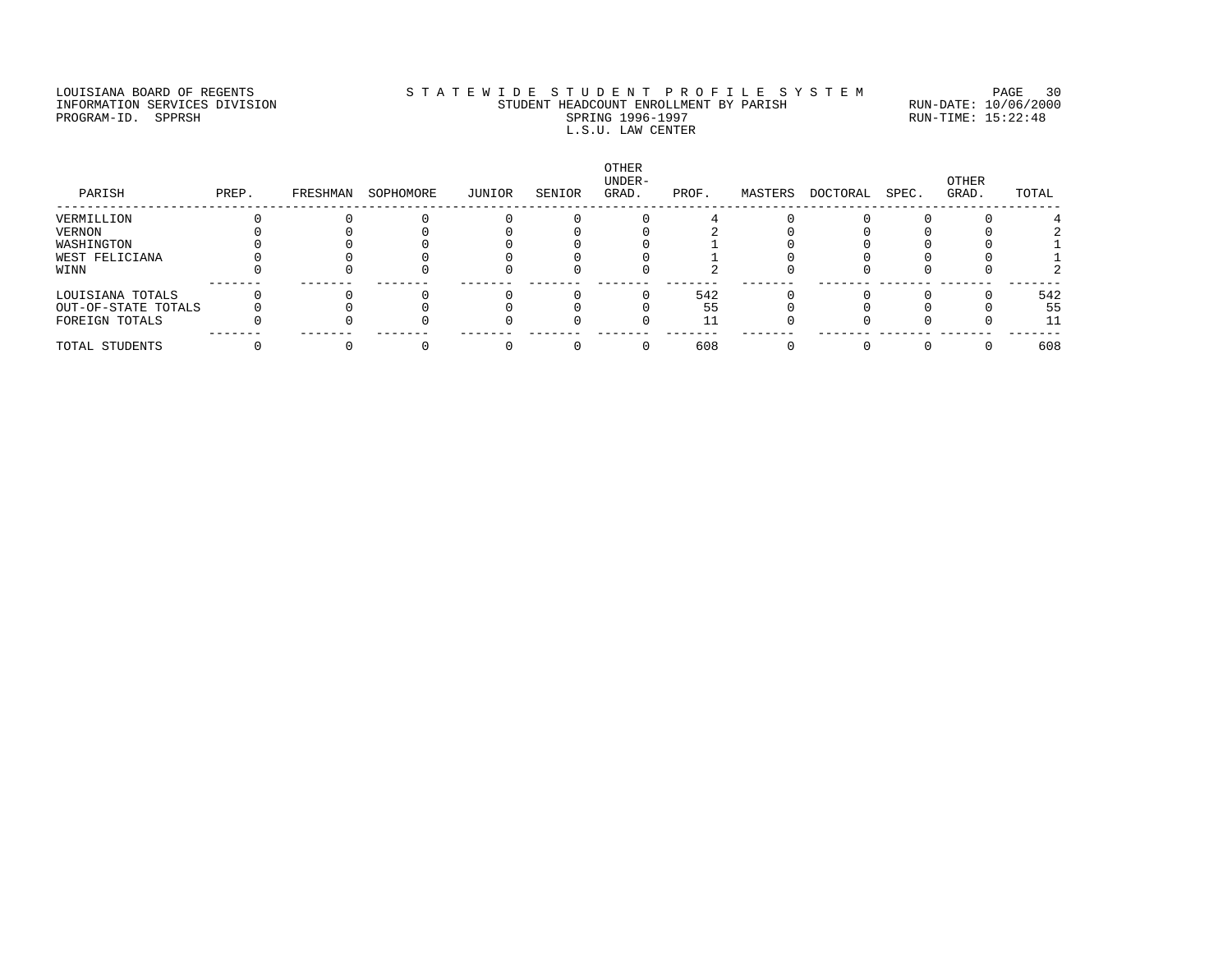### LOUISIANA BOARD OF REGENTS STATEWIDE STUDENT PROFILE SYSTEM PAGE 30 INFORMATION SERVICES DIVISION STUDENT HEADCOUNT ENROLLMENT BY PARISH RUN-DATE: 10/06/2000 PROGRAM-ID. SPPRSH SPRING 1996-1997 SPRING 1996-1997 RUN-TIME: 15:22:48 L.S.U. LAW CENTER

| PARISH              | PREP. | FRESHMAN | SOPHOMORE | JUNIOR | SENIOR | <b>OTHER</b><br>UNDER-<br>GRAD. | PROF. | MASTERS | DOCTORAL | SPEC. | OTHER<br>GRAD. | TOTAL |
|---------------------|-------|----------|-----------|--------|--------|---------------------------------|-------|---------|----------|-------|----------------|-------|
| VERMILLION          |       |          |           |        |        |                                 |       |         |          |       |                |       |
| VERNON              |       |          |           |        |        |                                 |       |         |          |       |                |       |
| WASHINGTON          |       |          |           |        |        |                                 |       |         |          |       |                |       |
| WEST FELICIANA      |       |          |           |        |        |                                 |       |         |          |       |                |       |
| WINN                |       |          |           |        |        |                                 |       |         |          |       |                |       |
| LOUISIANA TOTALS    |       |          |           |        |        |                                 | 542   |         |          |       |                | 542   |
| OUT-OF-STATE TOTALS |       |          |           |        |        |                                 | 55    |         |          |       |                | 55    |
| FOREIGN TOTALS      |       |          |           |        |        |                                 |       |         |          |       |                | 11    |
| TOTAL STUDENTS      |       |          |           |        |        |                                 | 608   |         |          |       |                | 608   |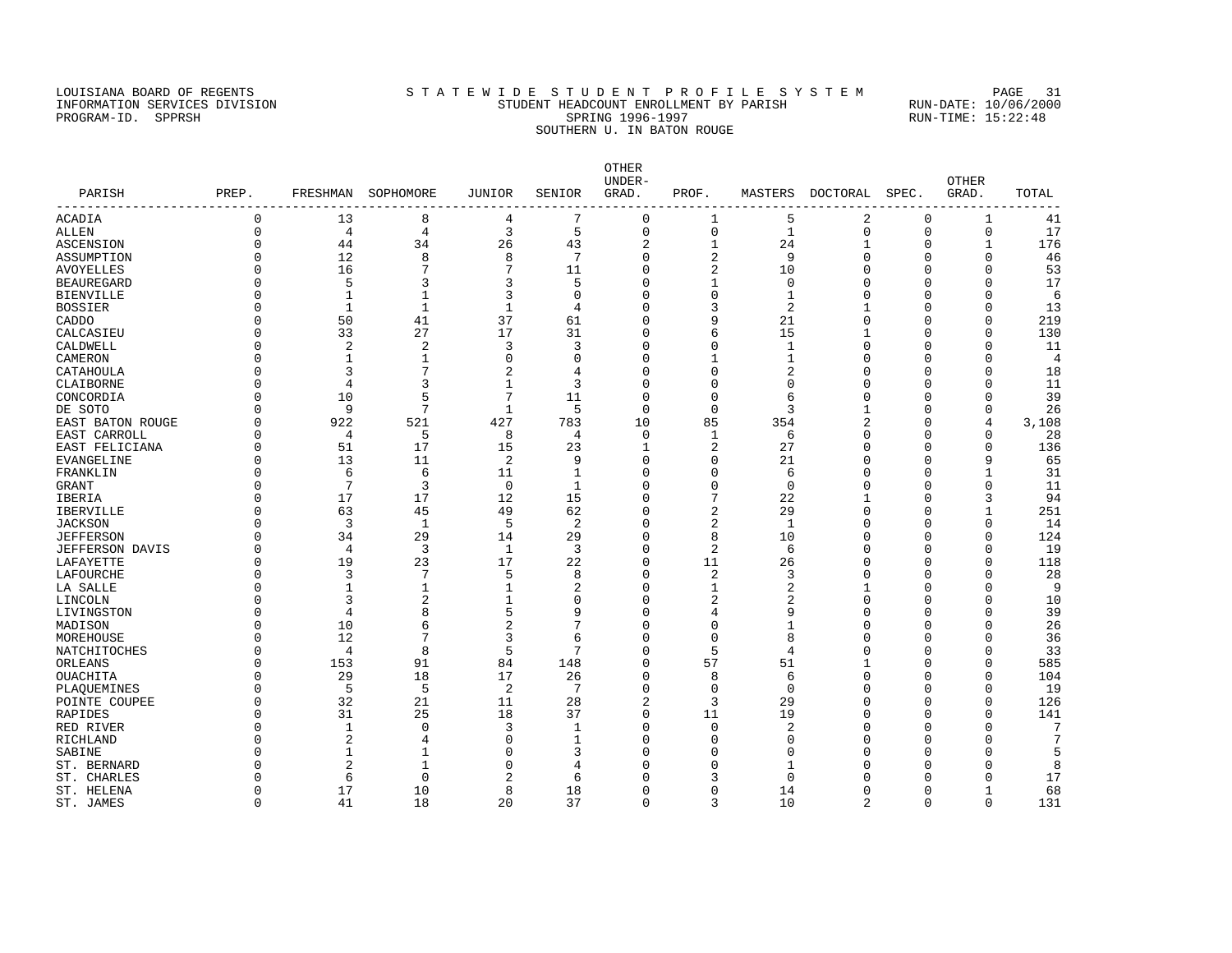#### LOUISIANA BOARD OF REGENTS STA TEWIDE STUDENT PROFILE SYSTEM PAGE 31 INFORMATION SERVICES DIVISION STUDENT HEADCOUNT ENROLLMENT BY PARISH RUN-DATE: 10/06/2000 PROGRAM-ID. SPPRSH SPRING 1996-1997 SPRING 1996-1997 RUN-TIME: 15:22:48 SOUTHERN U. IN BATON ROUGE

OTHER UNDER- OTHER PARISH PREP. FRESHMAN SOPHOMORE JUNIOR SENIOR GRAD. PROF. MASTERS DOCTORAL SPEC. GRAD. TOTAL ------------------------------------------------------------------------------------------------------------------------------------ ACADIA 0 13 8 4 7 0 1 5 2 0 1 41 ALLEN 0 4 4 3 5 0 0 1 0 0 0 17 ASCENSION 0 44 34 26 43 2 1 24 1 0 1 176 ASSUMPTION 0 12 8 8 7 0 2 9 0 0 46 AVOYELLES 0 16 7 7 11 0 2 10 0 0 0 53 BEAUREGARD 0 5 3 3 5 0 1 0 0 0 0 17 BIENVILLE 0 1 1 3 0 0 0 1 0 0 0 6 BOSSIER 0 1 1 1 4 0 3 2 1 0 0 13 CADDO 0 50 41 37 61 0 9 21 0 0 0 219 CALCASIEU 0 33 27 17 31 0 6 15 1 0 0 130 CALDWELL 0 2 2 3 3 0 0 1 0 0 0 11 CAMERON 0 1 1 0 0 0 1 1 0 0 0 4 CATAHOULA 0 3 7 2 4 0 0 2 0 0 0 18 CLAIBORNE 0 4 3 1 3 0 0 0 0 0 0 11 CONCORDIA 0 10 5 7 11 0 0 6 0 0 0 39 DE SOTO 0 9 7 1 5 0 0 3 1 0 0 26 EAST BATON ROUGE 0 922 521 427 783 10 85 354 2 0 4 3,108 EAST CARROLL 0 4 5 8 4 0 1 6 0 0 0 28 EAST FELICIANA 0 51 17 15 23 1 2 27 0 0 0 136 EVANGELINE 0 13 11 2 9 0 0 21 0 0 9 65 FRANKLIN 0 6 6 11 1 0 0 6 0 0 1 31 GRANT 0 7 3 0 1 0 0 0 0 0 0 11 IBERIA 0 17 17 12 15 0 7 22 1 0 3 94 IBERVILLE 0 63 45 49 62 0 2 29 0 0 1 251 JACKSON 0 3 1 5 2 0 2 1 0 0 0 14 JEFFERSON 0 34 29 14 29 0 8 10 0 0 0 124 JEFFERSON DAVIS 0 4 3 1 3 0 2 6 0 0 0 19 LAFAYETTE 0 19 23 17 22 0 11 26 0 0 0 118 LAFOURCHE 0 3 7 5 8 0 2 3 0 0 0 28 LA SALLE 0 1 1 1 2 0 1 2 1 0 0 9 LINCOLN 0 3 2 1 0 0 2 2 0 0 0 10 LIVINGSTON 0 3<br>
LIVINGSTON 0 4 8 5 9 0 4 9 0 0 0 39<br>
MADISON 0 10 6 2 7 0 0 1 0 0 0 26 MADISON 0 10 6 2 7 0 0 1 0 0 0 26 MOREHOUSE 0 12 7 3 6 0 0 8 0 0 0 36 NATCHITOCHES 0 4 8 5 7 0 5 4 0 0 0 33 0 153 9 0 29 18 17 20 0 8 57 51 1 0 0 585 0 104 OUACHITA 0 29 18 17 26 0 8 6 0 0 0 104 PLAQUEMINES 0 5 5 2 7 0 0 0 0 0 0 19 POINTE COUPEE 0 32 21 11 28 2 3 29 0 0 126 RAPIDES 0 31 25 18 37 0 11 19 0 0 0 141 RED RIVER 0 1 0 3 1 0 0 2 0 0 7 RICHLAND 0 2 4 0 1 0 0 0 0 0 0 7 SABINE 0 1 1 0 3 0 0 0 0 0 0 5 ST. BERNARD 0 2 1 0 4 0 0 1 0 0 0 8 ST. CHARLES 6 0 2 6 0 3 0 0 0 17 ST. HELENA 0 17 10 8 18 0 0 14 0 0 1 68

ST. JAMES 6 0 41 18 20 37 0 3 10 2 0 0 131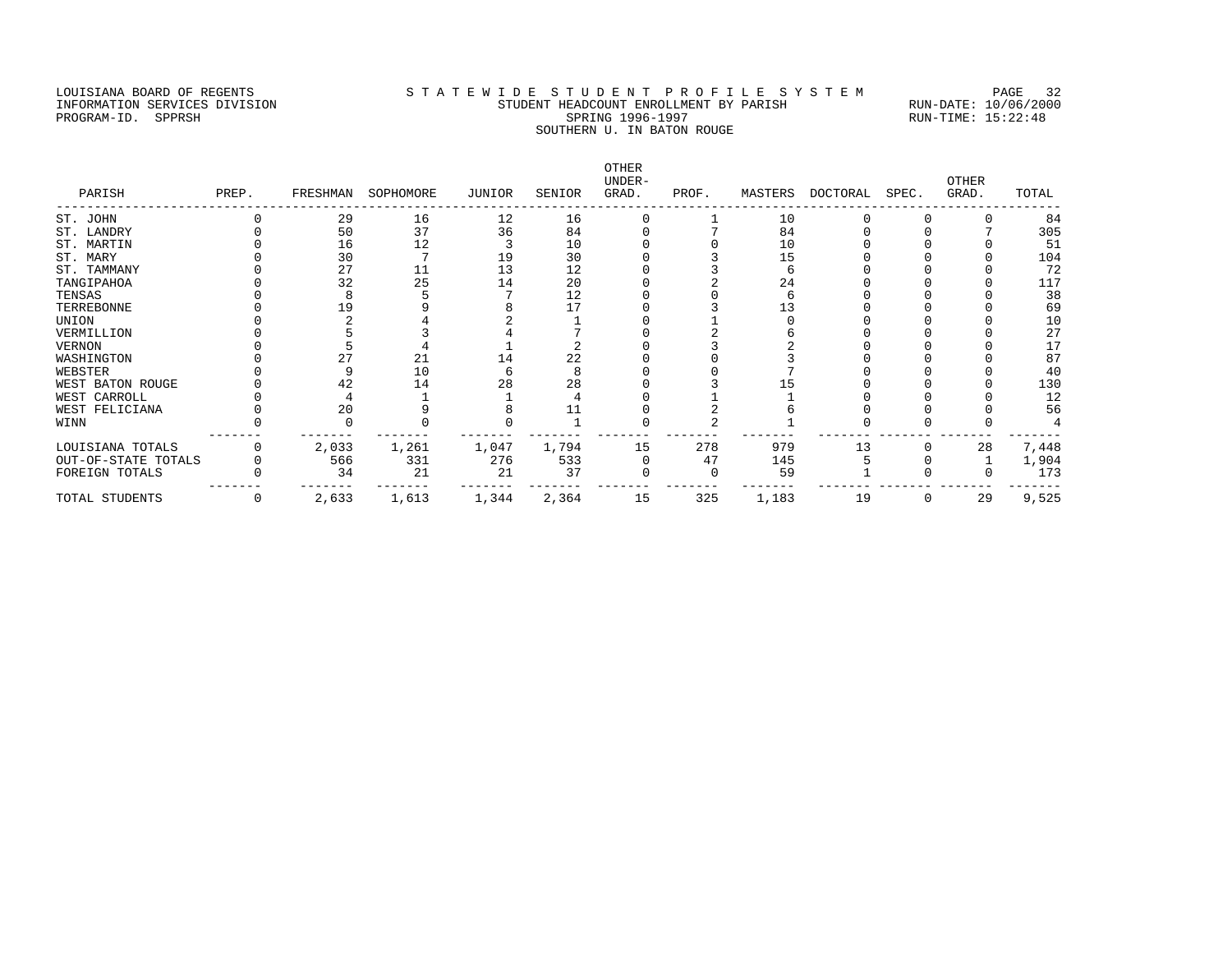### LOUISIANA BOARD OF REGENTS STATEWIDE STUDENT PROFILE SYSTEM PAGE 32 INFORMATION SERVICES DIVISION STUDENT HEADCOUNT ENROLLMENT BY PARISH RUN-DATE: 10/06/2000 PROGRAM-ID. SPPRSH SPRING 1996-1997 SPRING 1996-1997 RUN-TIME: 15:22:48 SOUTHERN U. IN BATON ROUGE

| PARISH              | PREP.        |       | FRESHMAN SOPHOMORE | JUNIOR | SENIOR | OTHER<br>UNDER-<br>GRAD. | PROF. |       | MASTERS DOCTORAL SPEC. |   | <b>OTHER</b><br>GRAD. | TOTAL |
|---------------------|--------------|-------|--------------------|--------|--------|--------------------------|-------|-------|------------------------|---|-----------------------|-------|
| ST. JOHN            |              | 29    | 16                 | 12     | 16     |                          |       | 10    |                        |   |                       | 84    |
| ST. LANDRY          |              | 50    | 37                 | 36     | 84     |                          |       | 84    |                        |   |                       | 305   |
| ST. MARTIN          |              | 16    | 12                 |        | 10     |                          |       | 10    |                        |   |                       | 51    |
| ST. MARY            |              | 30    |                    | 19     | 30     |                          |       | 15    |                        |   |                       | 104   |
| ST. TAMMANY         |              | 27    | 11                 | 13     | 12     |                          |       |       |                        |   |                       | 72    |
| TANGIPAHOA          |              | 32    | 25                 | 14     | 20     |                          |       | 24    |                        |   |                       | 117   |
| TENSAS              |              |       |                    |        | 12     |                          |       |       |                        |   |                       | 38    |
| TERREBONNE          |              |       |                    |        |        |                          |       |       |                        |   |                       | 69    |
| UNION               |              |       |                    |        |        |                          |       |       |                        |   |                       | 10    |
| VERMILLION          |              |       |                    |        |        |                          |       |       |                        |   |                       | 27    |
| VERNON              |              |       |                    |        |        |                          |       |       |                        |   |                       | 17    |
| WASHINGTON          |              |       | 21                 | 14     | 22     |                          |       |       |                        |   |                       | 87    |
| WEBSTER             |              |       | 10                 |        |        |                          |       |       |                        |   |                       | 40    |
| WEST BATON ROUGE    |              | 42    | 14                 | 28     | 28     |                          |       |       |                        |   |                       | 130   |
| WEST CARROLL        |              |       |                    |        |        |                          |       |       |                        |   |                       | 12    |
| WEST FELICIANA      |              | 20    |                    |        |        |                          |       |       |                        |   |                       | 56    |
| WINN                |              |       |                    |        |        |                          |       |       |                        |   |                       |       |
| LOUISIANA TOTALS    |              | 2,033 | 1,261              | 1,047  | 1,794  | 15                       | 278   | 979   | 13                     |   | 28                    | 7,448 |
| OUT-OF-STATE TOTALS |              | 566   | 331                | 276    | 533    |                          | 47    | 145   |                        |   |                       | 1,904 |
| FOREIGN TOTALS      |              | 34    | 21                 | 21     | 37     |                          |       | 59    |                        |   |                       | 173   |
| TOTAL STUDENTS      | $\mathbf{0}$ | 2,633 | 1,613              | 1,344  | 2,364  | 15                       | 325   | 1,183 | 19                     | 0 | 29                    | 9,525 |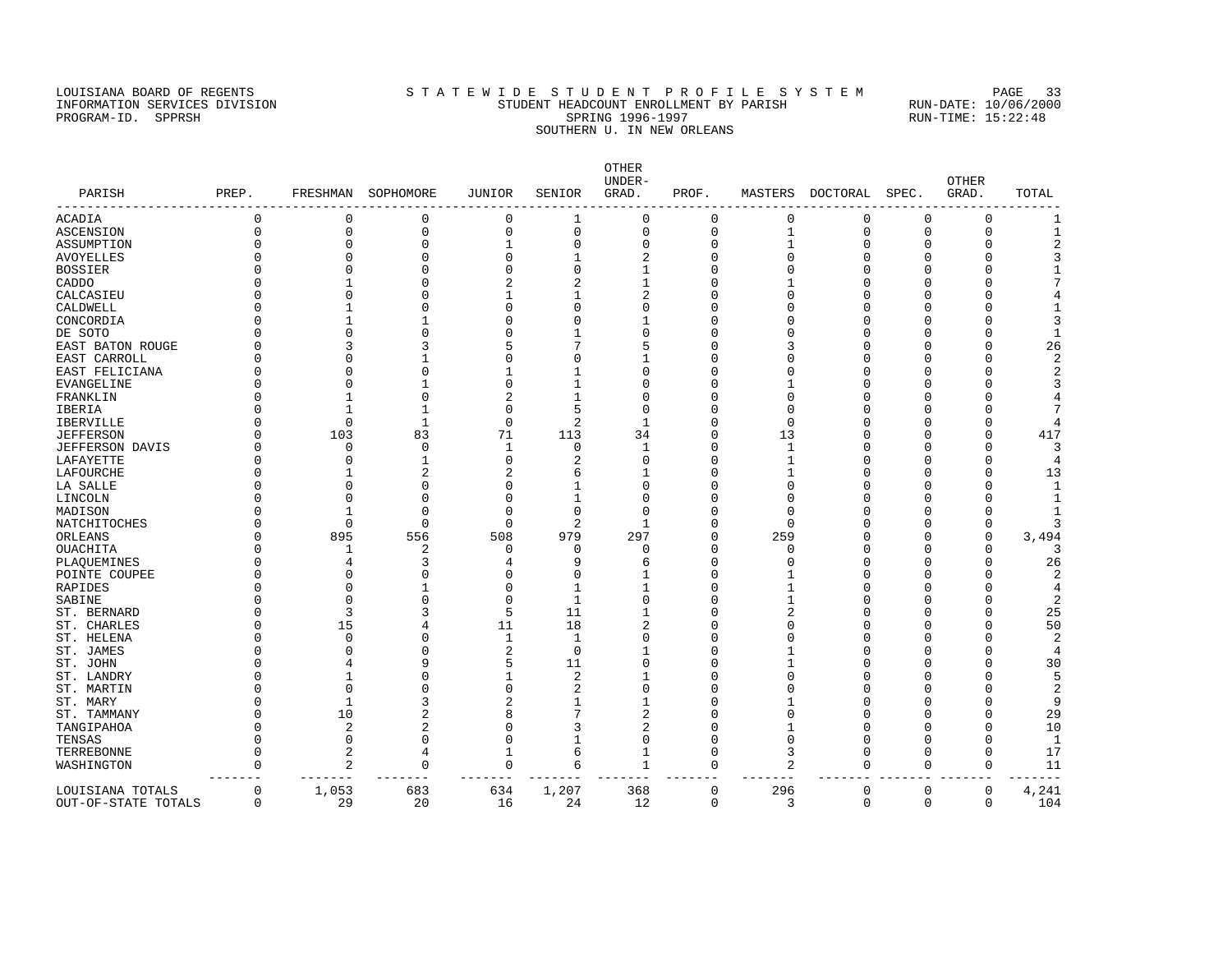### LOUISIANA BOARD OF REGENTS STATEWIDE STUDENT PROFILE SYSTEM PAGE 33 INFORMATION SERVICES DIVISION STUDENT HEADCOUNT ENROLLMENT BY PARISH RUN-DATE: 10/06/2000 PROGRAM-ID. SPPRSH SPRING 1996-1997 SPRING 1996-1997 RUN-TIME: 15:22:48 SOUTHERN U. IN NEW ORLEANS

| PARISH           | PREP.    |                | FRESHMAN SOPHOMORE | JUNIOR         | SENIOR         | <b>OTHER</b><br>UNDER-<br>GRAD. | PROF.        |              | MASTERS DOCTORAL | SPEC.        | <b>OTHER</b><br>GRAD. | TOTAL          |
|------------------|----------|----------------|--------------------|----------------|----------------|---------------------------------|--------------|--------------|------------------|--------------|-----------------------|----------------|
| ACADIA           | $\Omega$ | $\mathbf 0$    | 0                  | $\mathbf 0$    | $\mathbf{1}$   | $\mathbf 0$                     | $\mathbf 0$  | $\mathbf{0}$ | $\mathbf 0$      | $\mathbf{0}$ | $\mathbf{0}$          | $\mathbf{1}$   |
| ASCENSION        | O        | $\mathbf 0$    | $\Omega$           | $\mathbf 0$    | $\mathbf 0$    | $\mathbf 0$                     | $\mathbf 0$  |              | $\mathbf 0$      | $\mathbf{0}$ | $\mathbf 0$           | $\mathbf{1}$   |
| ASSUMPTION       |          | $\Omega$       | U                  | 1              | $\Omega$       | 0                               | U            |              | U                | 0            | $\Omega$              |                |
| AVOYELLES        |          | O              | U                  | U              | 1              |                                 |              |              | U                | O            | <sup>0</sup>          |                |
| BOSSIER          |          | $\cap$         |                    | O              | $\Omega$       |                                 |              |              | U                | O            | $\Omega$              |                |
| CADDO            |          |                |                    | $\overline{a}$ |                |                                 |              |              | U                | O            | ∩                     |                |
| CALCASIEU        |          | U              |                    |                | 1              |                                 |              |              |                  | O            | ∩                     |                |
| CALDWELL         |          |                |                    | U              | U              |                                 |              |              |                  | O            | ∩                     |                |
| CONCORDIA        |          |                |                    | U              | 0              |                                 |              |              | U                | O            | <sup>0</sup>          |                |
| DE SOTO          |          |                | Λ                  | U              | 1              |                                 |              |              | U                | U            | ∩                     |                |
| EAST BATON ROUGE |          |                |                    |                |                |                                 |              |              | U                | O            | $\Omega$              | 26             |
| EAST CARROLL     |          |                |                    | O              | U              |                                 |              |              |                  | O            | $\Omega$              |                |
| EAST FELICIANA   |          |                |                    |                | 1              |                                 |              |              |                  | O            | ∩                     |                |
| EVANGELINE       |          |                |                    | 0              | 1              |                                 |              |              | U                | O            | ∩                     |                |
| FRANKLIN         |          |                | O                  | 2              | 1              |                                 |              |              | U                | O            |                       |                |
| IBERIA           |          |                |                    | U              | 5              |                                 |              |              |                  | U            |                       |                |
| IBERVILLE        |          | $\Omega$       | $\mathbf{1}$       | $\Omega$       | 2              |                                 |              |              |                  | O            | n                     |                |
| JEFFERSON        |          | 103            | 83                 | 71             | 113            | 34                              | n            | 13           | U                | O            | $\Omega$              | 417            |
| JEFFERSON DAVIS  |          | O              | O                  | 1              | 0              | 1                               | n            |              | U                | O            | n                     | 3              |
| LAFAYETTE        |          | O              |                    | 0              |                |                                 |              |              | U                | O            | ∩                     |                |
| LAFOURCHE        |          |                |                    |                | 6              |                                 |              |              | U                | O            | <sup>0</sup>          | 13             |
| LA SALLE         |          | U              | Λ                  | O              | 1              |                                 |              |              | U                | O            | $\Omega$              |                |
| LINCOLN          |          | U              | n                  | O              | 1              |                                 |              |              | U                | U            | ∩                     |                |
| MADISON          |          |                | U                  | $\Omega$       | $\Omega$       |                                 |              |              |                  | O            | $\Omega$              |                |
| NATCHITOCHES     |          | $\Omega$       | $\Omega$           | $\Omega$       | $\overline{2}$ | 1                               | n            |              | U                | O            | $\Omega$              | 3              |
| ORLEANS          |          | 895            | 556                | 508            | 979            | 297                             | <sup>0</sup> | 259          | U                | O            | $\Omega$              | 3,494          |
| OUACHITA         |          | 1              | 2                  | $\Omega$       | $\Omega$       | $\Omega$                        | U            | n            | U                | O            | <sup>0</sup>          | 3              |
| PLAQUEMINES      |          | 4              | 3                  | 4              | q              | 6                               | n            |              | U                | U            | $\Omega$              | 26             |
| POINTE COUPEE    |          | $\Omega$       | U                  | O              | U              |                                 | n            |              | U                | U            | $\Omega$              | $\overline{2}$ |
| RAPIDES          |          | $\Omega$       |                    | O              | 1              |                                 | n            |              | U                | O            | n                     | 4              |
| SABINE           |          | $\Omega$       |                    | $\Omega$       | 1              |                                 |              |              |                  | O            | <sup>0</sup>          | 2              |
| ST. BERNARD      |          | 3              |                    | 5              | 11             |                                 |              |              | U                | O            | <sup>0</sup>          | 25             |
| ST. CHARLES      |          | 15             |                    | 11             | 18             | 2                               |              |              | U                | U            | ∩                     | 50             |
| ST. HELENA       |          | $\Omega$       | U                  | 1              | $\mathbf{1}$   | C                               | n            |              | U                | U            | $\Omega$              | $\overline{2}$ |
| ST. JAMES        |          | $\cap$         |                    | 2              | $\mathbf 0$    |                                 |              |              | U                | U            | $\Omega$              |                |
| ST. JOHN         |          |                | 9                  | 5              | 11             | C                               |              |              | U                | O            | $\Omega$              | 30             |
| ST. LANDRY       |          |                |                    | 1              | $\overline{2}$ |                                 |              |              | U                | O            | <sup>0</sup>          | 5              |
| ST. MARTIN       |          | $\Omega$       |                    | $\Omega$       | 2              | $\Omega$                        | O            |              | U                | O            | <sup>0</sup>          | $\overline{c}$ |
| ST. MARY         |          | 1              |                    | 2              | 1              |                                 |              |              | Λ                | U            | $\Omega$              | 9              |
| ST. TAMMANY      |          | 10             | 2                  | 8              |                | $\overline{c}$                  |              |              | U                | O            | $\Omega$              | 29             |
| TANGIPAHOA       |          | 2              | 2                  | O              | 3              | $\overline{2}$                  |              |              | U                | O            | $\Omega$              | 10             |
| TENSAS           |          | 0              | $\Omega$           | 0              | 1              | $\Omega$                        | n            |              | U                | O            | $\Omega$              | $\mathbf{1}$   |
| TERREBONNE       | U        | 2              | 4                  | 1              | 6              | 1                               | $\Omega$     |              | $\Omega$         | $\Omega$     | $\Omega$              | 17             |
| WASHINGTON       |          | 2<br>$- - - -$ | $\Omega$           | $\Omega$       | 6              | 1                               | $\Omega$     | 2            | $\Omega$         | $\Omega$     | $\Omega$              | 11             |
| LOUISIANA TOTALS | $\Omega$ | 1,053          | 683                | 634            | 1,207          | 368                             | $\Omega$     | 296          | $\Omega$         | $\Omega$     | $\Omega$              | 4,241          |

OUT-OF-STATE TOTALS 0 29 20 16 24 12 0 3 0 0 0 104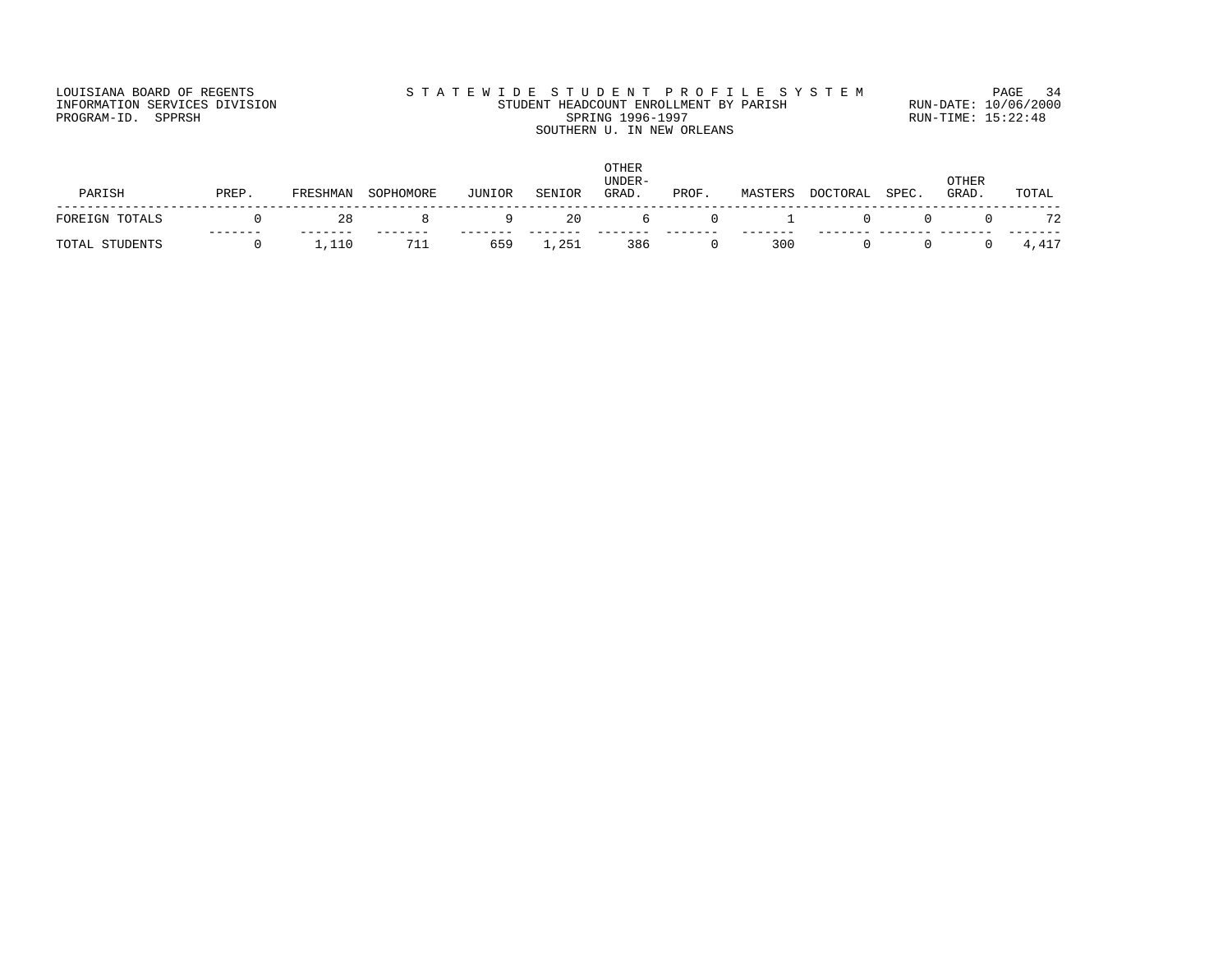### LOUISIANA BOARD OF REGENTS STATEWIDE STUDENT PROFILE SYSTEM PAGE 34 INFORMATION SERVICES DIVISION STUDENT HEADCOUNT ENROLLMENT BY PARISH RUN-DATE: 10/06/2000 PROGRAM-ID. SPPRSH SPRING 1996-1997 SPRING 1996-1997 RUN-TIME: 15:22:48 SOUTHERN U. IN NEW ORLEANS

| PARISH         | PREP. | FRESHMAN           | SOPHOMORE | JUNIOR         | SENIOR | OTHER<br>UNDER-<br>GRAD. | PROF.                         | MASTERS | DOCTORAL | SPEC. | OTHER<br>GRAD. | TOTAL |
|----------------|-------|--------------------|-----------|----------------|--------|--------------------------|-------------------------------|---------|----------|-------|----------------|-------|
| FOREIGN TOTALS |       | 28                 |           | $\overline{q}$ | -20    |                          | $\Omega$<br>$6 \quad \bullet$ |         | $\Omega$ |       | $\Omega$       | 72    |
| TOTAL STUDENTS |       | $\overline{1,110}$ | 711       | 659            | 1,251  | 386                      |                               | 300     |          |       |                | 4,417 |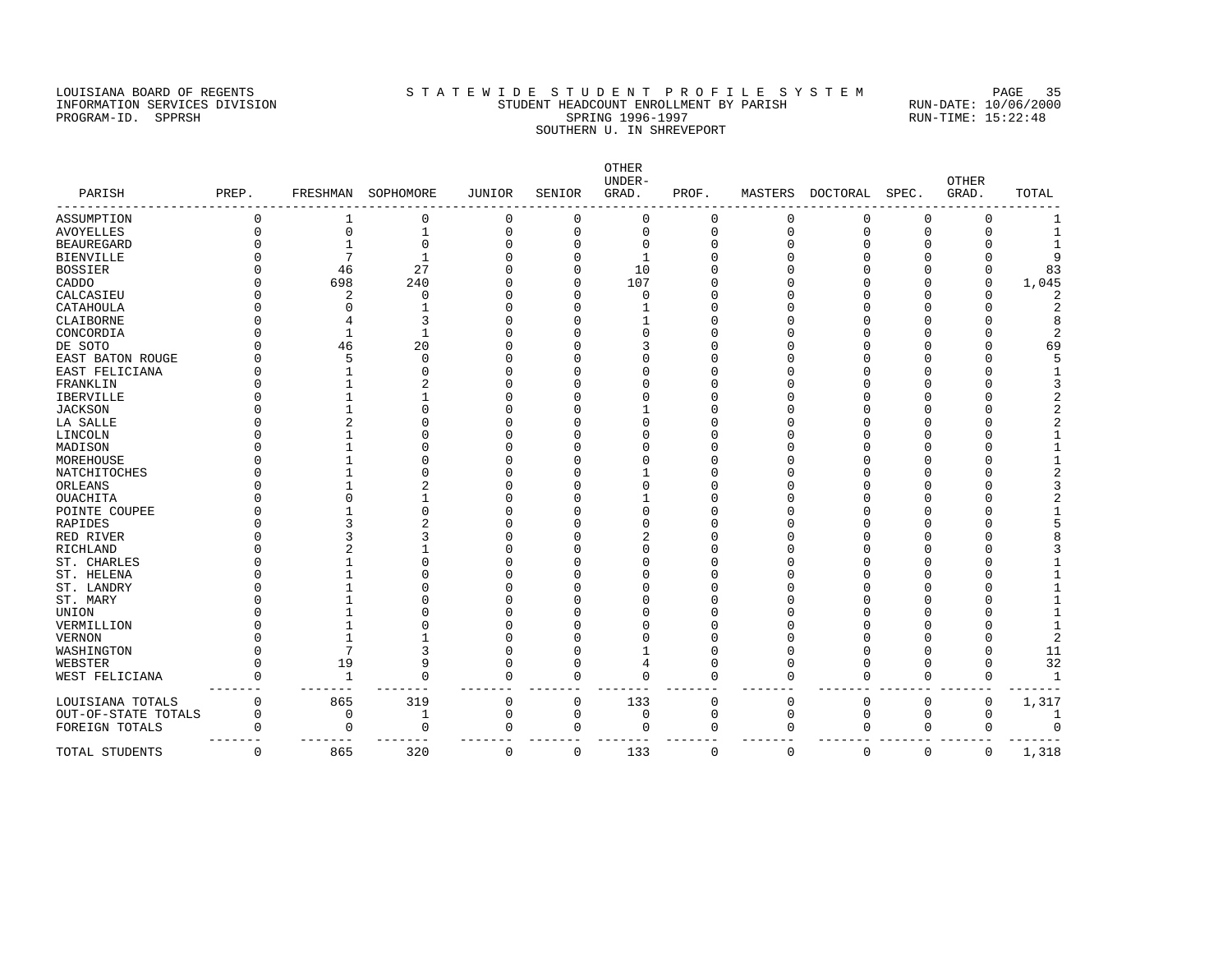### LOUISIANA BOARD OF REGENTS SAN STATEWIDE STUDENT PROFILE SYSTEM PAGE 35 INFORMATION SERVICES DIVISION STUDENT HEADCOUNT ENROLLMENT BY PARISH RUN-DATE: 10/06/2000 PROGRAM-ID. SPPRSH SPRING 1996-1997 SPRING 1996-1997 RUN-TIME: 15:22:48 SOUTHERN U. IN SHREVEPORT

|                       |             |              |              |               |                  | OTHER<br>UNDER- |             |             |             |             | OTHER       |                |
|-----------------------|-------------|--------------|--------------|---------------|------------------|-----------------|-------------|-------------|-------------|-------------|-------------|----------------|
| PARISH                | PREP.       | FRESHMAN     | SOPHOMORE    | <b>JUNIOR</b> | SENIOR           | GRAD.           | PROF.       | MASTERS     | DOCTORAL    | SPEC.       | GRAD.       | TOTAL          |
| ASSUMPTION            | $\Omega$    |              | 0            | 0             | 0                | 0               | $\Omega$    | 0           | 0           | 0           | 0           |                |
| <b>AVOYELLES</b>      | $\Omega$    | $\mathbf 0$  | $\mathbf 1$  | $\mathbf 0$   | $\mathbf 0$      | $\mathbf 0$     | $\mathbf 0$ | $\mathbf 0$ | $\mathbf 0$ | $\mathbf 0$ | $\mathbf 0$ | $\mathbf{1}$   |
| <b>BEAUREGARD</b>     |             | $\mathbf{1}$ | $\mathbf{0}$ | $\Omega$      | $\mathbf 0$      | $\Omega$        | $\Omega$    |             | $\Omega$    | 0           | U           | $\mathbf{1}$   |
| <b>BIENVILLE</b>      |             | 7            | $\mathbf{1}$ |               | $\Omega$         | $\mathbf{1}$    | $\cap$      |             | O           | $\Omega$    | O           | 9              |
| <b>BOSSIER</b>        |             | 46           | 27           | $\Omega$      | $\mathbf 0$      | 10              |             |             | U           | O           | 0           | 83             |
| CADDO                 |             | 698          | 240          |               | $\mathbf 0$      | 107             |             |             | O           | $\Omega$    | 0           | 1,045          |
| CALCASIEU             |             | 2            | 0            | $\Omega$      | $\mathbf 0$      | 0               |             |             | O           | $\Omega$    | $\Omega$    | 2              |
| CATAHOULA             |             | $\Omega$     |              | $\Omega$      | $\Omega$         |                 |             |             | U           | U           | O           | $\overline{2}$ |
| CLAIBORNE             |             |              | 3            |               | $\cap$           |                 |             |             | U           | U           | U           | 8              |
| CONCORDIA             |             |              | $\mathbf{1}$ |               | $\cap$           | $\cap$          |             |             |             | U           | U           | $\overline{2}$ |
| DE SOTO               |             | 46           | 20           |               | C                | 3               |             |             |             | U           | 0           | 69             |
| EAST BATON ROUGE      |             | 5            | $\mathbf 0$  | $\Omega$      | $\cap$           | O               |             |             | O           | U           | O           | 5              |
| EAST FELICIANA        |             |              | U            | $\Omega$      | C                | n               |             |             | U           | U           | U           | 1              |
| FRANKLIN              |             |              | 2            |               |                  |                 |             |             |             |             | U           | 3              |
| <b>IBERVILLE</b>      |             |              |              |               | C                | n               |             |             |             | U           | U           | $\overline{2}$ |
| <b>JACKSON</b>        |             |              | Ω            |               | C                |                 |             |             |             | U           | Ω           | $\overline{c}$ |
| LA SALLE              |             |              | Ω            | $\Omega$      | $\cap$           | O               |             |             | U           | U           | O           | $\overline{2}$ |
| LINCOLN               |             |              | Λ            | $\cap$        | C                | U               |             |             |             | U           | Λ           |                |
| MADISON               |             |              |              |               | C                |                 |             |             |             | U           | U           |                |
| MOREHOUSE             |             |              | Ω            |               |                  | U               |             |             |             | U           | Λ           | 1              |
| NATCHITOCHES          |             |              | Ω            |               | C                |                 |             |             |             |             |             | $\overline{c}$ |
| ORLEANS               |             |              | 2            | $\Omega$      | $\cap$           | 0               |             |             | U           | U           | O           | 3              |
| OUACHITA              |             |              |              | $\Omega$      | $\cap$           |                 |             |             | U           | U           | U           | $\overline{2}$ |
| POINTE COUPEE         |             |              | U            |               |                  | ſ               |             |             |             | U           | U           |                |
| RAPIDES               |             |              |              |               | C                | U               |             |             |             | U           | Λ           | 5              |
| RED RIVER             |             |              | 3            |               | C                | 2               |             |             |             |             |             |                |
| RICHLAND              |             |              |              | $\Omega$      | $\Omega$         | O               |             |             | U           | U           | U           |                |
| ST. CHARLES           |             |              | 0            | $\Omega$      | $\Omega$         | O               |             |             | U           | $\Omega$    | U           |                |
| ST. HELENA            |             |              |              |               | C                | ſ               |             |             |             | U           | U           |                |
| ST. LANDRY            |             |              | U            |               | C                | U               |             |             |             | U           | Λ           |                |
| ST. MARY              |             |              | U            | $\Omega$      | C<br>$\bigcap$   | 0<br>O          |             |             | U           | U           | U           |                |
| UNION                 |             |              | Ω            | $\Omega$      | $\Omega$         | n               |             |             | U           | $\Omega$    |             |                |
| VERMILLION            |             |              |              |               | $\bigcap$        | ſ               |             |             | Ω           | $\Omega$    | O           | $\overline{a}$ |
| <b>VERNON</b>         |             | 7            | 3            | $\Omega$      |                  |                 | n           |             | U           | $\Omega$    |             | 11             |
| WASHINGTON<br>WEBSTER | $\Omega$    | 19           | 9            | $\Omega$      | C<br>$\mathbf 0$ |                 | 0           | N           | O           | $\Omega$    | 0<br>0      | 32             |
|                       | $\Omega$    | $\mathbf{1}$ | $\Omega$     | $\Omega$      | $\mathbf 0$      | $\Omega$        | $\Omega$    | $\Omega$    | O           | $\mathbf 0$ | $\mathbf 0$ | $\mathbf{1}$   |
| WEST FELICIANA        |             |              |              |               |                  |                 |             |             |             |             |             |                |
| LOUISIANA TOTALS      | $\mathbf 0$ | 865          | 319          | 0             | $\mathbf 0$      | 133             | 0           | $\mathbf 0$ | U           | 0           | 0           | 1,317          |
| OUT-OF-STATE TOTALS   | 0           | 0            | 1            | 0             | $\mathbf 0$      | 0               | 0           | 0           | 0           | 0           | 0           | 1              |
| FOREIGN TOTALS        | $\Omega$    | 0            | 0            | $\mathbf 0$   | 0                | $\Omega$        | $\Omega$    | 0           | $\mathbf 0$ | 0           | $\mathbf 0$ | $\mathbf 0$    |
| TOTAL STUDENTS        | $\Omega$    | 865          | 320          | $\Omega$      | $\mathbf 0$      | 133             | $\Omega$    | $\mathbf 0$ | $\Omega$    | $\mathbf 0$ | $\Omega$    | 1,318          |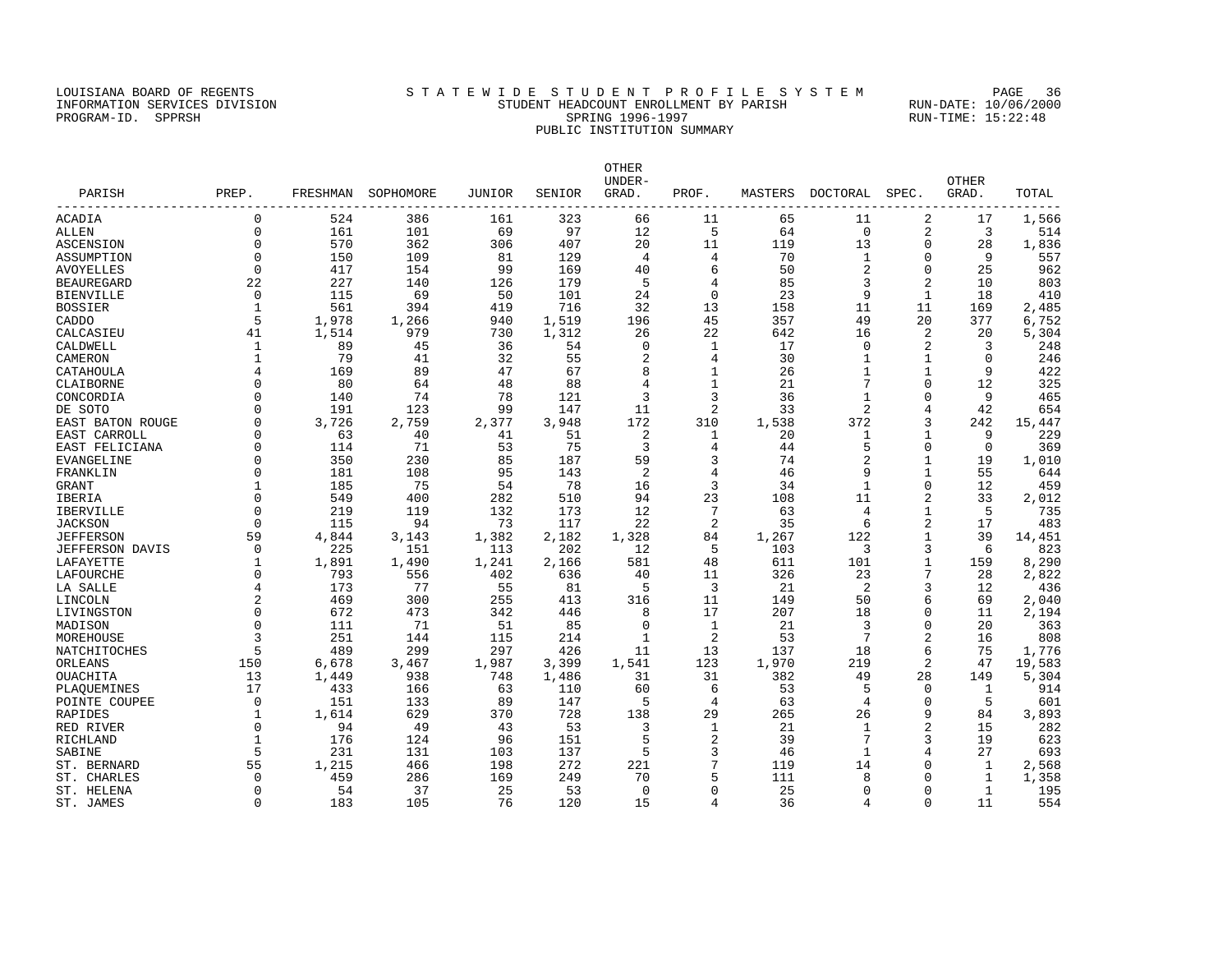# LOUISIANA BOARD OF REGENTS SAN STATEWIDE STUDENT PROFILE SYSTEM PAGE 36 INFORMATION SERVICES DIVISION STUDENT HEADCOUNT ENROLLMENT BY PARISH RUN-DATE: 10/06/2000 PROGRAM-ID. SPPRSH SPRING 1996-1997 SPRING 1996-1997 RUN-TIME: 15:22:48 PUBLIC INSTITUTION SUMMARY

| PARISH           | PREP.       |       | FRESHMAN SOPHOMORE | JUNIOR | SENIOR | OTHER<br>UNDER-<br>GRAD. | PROF.          | MASTERS | DOCTORAL       | SPEC.          | OTHER<br>GRAD. | TOTAL  |
|------------------|-------------|-------|--------------------|--------|--------|--------------------------|----------------|---------|----------------|----------------|----------------|--------|
| ACADIA           | $\mathbf 0$ | 524   | 386                | 161    | 323    | 66                       | 11             | 65      | 11             | 2              | 17             | 1,566  |
| ALLEN            | $\Omega$    | 161   | 101                | 69     | 97     | 12                       | 5              | 64      | $\mathbf 0$    | 2              | 3              | 514    |
| ASCENSION        | $\Omega$    | 570   | 362                | 306    | 407    | 20                       | 11             | 119     | 13             | $\mathbf 0$    | 28             | 1,836  |
| ASSUMPTION       | $\Omega$    | 150   | 109                | 81     | 129    | 4                        | 4              | 70      | 1              | 0              | 9              | 557    |
| AVOYELLES        | $\Omega$    | 417   | 154                | 99     | 169    | 40                       | 6              | 50      | 2              | $\mathbf 0$    | 25             | 962    |
| BEAUREGARD       | 22          | 227   | 140                | 126    | 179    | 5                        | 4              | 85      | 3              | 2              | 10             | 803    |
| BIENVILLE        | $\Omega$    | 115   | 69                 | 50     | 101    | 24                       | $\Omega$       | 23      | 9              | 1              | 18             | 410    |
| BOSSIER          |             | 561   | 394                | 419    | 716    | 32                       | 13             | 158     | 11             | 11             | 169            | 2,485  |
| CADDO            | 5           | 1,978 | 1,266              | 940    | 1,519  | 196                      | 45             | 357     | 49             | 20             | 377            | 6,752  |
| CALCASIEU        | 41          | 1,514 | 979                | 730    | 1,312  | 26                       | 22             | 642     | 16             | 2              | 20             | 5,304  |
| CALDWELL         | 1           | 89    | 45                 | 36     | 54     | $\mathbf 0$              | $\mathbf{1}$   | 17      | 0              | 2              | 3              | 248    |
| CAMERON          |             | 79    | 41                 | 32     | 55     | $\overline{c}$           | 4              | 30      | $\mathbf{1}$   | 1              | $\Omega$       | 246    |
| CATAHOULA        |             | 169   | 89                 | 47     | 67     | 8                        | $\mathbf{1}$   | 26      | $\mathbf{1}$   | 1              | 9              | 422    |
| CLAIBORNE        |             | 80    | 64                 | 48     | 88     | $\overline{4}$           | $\mathbf{1}$   | 21      | 7              | $\Omega$       | 12             | 325    |
| CONCORDIA        |             | 140   | 74                 | 78     | 121    | 3                        | 3              | 36      | $\mathbf{1}$   | $\Omega$       | 9              | 465    |
| DE SOTO          |             | 191   | 123                | 99     | 147    | 11                       | 2              | 33      | 2              | 4              | 42             | 654    |
| EAST BATON ROUGE | $\cap$      | 3,726 | 2,759              | 2,377  | 3,948  | 172                      | 310            | 1,538   | 372            | 3              | 242            | 15,447 |
| EAST CARROLL     |             | 63    | 40                 | 41     | 51     | 2                        | 1              | 20      | 1              | $\mathbf{1}$   | 9              | 229    |
| EAST FELICIANA   | O           | 114   | 71                 | 53     | 75     | 3                        | 4              | 44      | 5              | $\Omega$       | $\Omega$       | 369    |
| EVANGELINE       |             | 350   | 230                | 85     | 187    | 59                       | 3              | 74      | $\overline{c}$ | $\mathbf{1}$   | 19             | 1,010  |
| FRANKLIN         |             | 181   | 108                | 95     | 143    | 2                        | $\overline{4}$ | 46      | 9              | $\mathbf{1}$   | 55             | 644    |
| GRANT            |             | 185   | 75                 | 54     | 78     | 16                       | 3              | 34      | $\mathbf{1}$   | $\Omega$       | 12             | 459    |
| IBERIA           | $\Omega$    | 549   | 400                | 282    | 510    | 94                       | 23             | 108     | 11             | $\overline{2}$ | 33             | 2,012  |
| IBERVILLE        | $\Omega$    | 219   | 119                | 132    | 173    | 12                       | 7              | 63      | 4              | 1              | 5              | 735    |
| <b>JACKSON</b>   | $\Omega$    | 115   | 94                 | 73     | 117    | 22                       | 2              | 35      | 6              | $\overline{2}$ | 17             | 483    |
| JEFFERSON        | 59          | 4,844 | 3,143              | 1,382  | 2,182  | 1,328                    | 84             | 1,267   | 122            | $\mathbf{1}$   | 39             | 14,451 |
| JEFFERSON DAVIS  | $\Omega$    | 225   | 151                | 113    | 202    | 12                       | 5              | 103     | 3              | 3              | 6              | 823    |
| LAFAYETTE        |             | 1,891 | 1,490              | 1,241  | 2,166  | 581                      | 48             | 611     | 101            | 1              | 159            | 8,290  |
| LAFOURCHE        | O           | 793   | 556                | 402    | 636    | 40                       | 11             | 326     | 23             | 7              | 28             | 2,822  |
| LA SALLE         |             | 173   | 77                 | 55     | 81     | .5                       | 3              | 21      | 2              | 3              | 12             | 436    |
| LINCOLN          |             | 469   | 300                | 255    | 413    | 316                      | 11             | 149     | 50             | 6              | 69             | 2,040  |
| LIVINGSTON       | $\Omega$    | 672   | 473                | 342    | 446    | 8                        | 17             | 207     | 18             | $\Omega$       | 11             | 2,194  |
| MADISON          |             | 111   | 71                 | 51     | 85     | $\mathbf 0$              | $\mathbf{1}$   | 21      | 3              | $\Omega$       | 20             | 363    |
| MOREHOUSE        |             | 251   | 144                | 115    | 214    | 1                        | 2              | 53      | 7              | $\overline{2}$ | 16             | 808    |
| NATCHITOCHES     |             | 489   | 299                | 297    | 426    | 11                       | 13             | 137     | 18             | 6              | 75             | 1,776  |
| ORLEANS          | 150         | 6,678 | 3,467              | 1,987  | 3,399  | 1,541                    | 123            | 1,970   | 219            | 2              | 47             | 19,583 |
| OUACHITA         | 13          | 1,449 | 938                | 748    | 1,486  | 31                       | 31             | 382     | 49             | 28             | 149            | 5,304  |
| PLAOUEMINES      | 17          | 433   | 166                | 63     | 110    | 60                       | 6              | 53      | 5              | $\mathbf 0$    | 1              | 914    |
| POINTE COUPEE    | $\Omega$    | 151   | 133                | 89     | 147    | 5                        | 4              | 63      | 4              | $\Omega$       | 5              | 601    |
| RAPIDES          |             | 1,614 | 629                | 370    | 728    | 138                      | 29             | 265     | 26             | 9              | 84             | 3,893  |
| RED RIVER        | $\Omega$    | 94    | 49                 | 43     | 53     | 3                        | 1              | 21      | $\mathbf{1}$   | $\overline{2}$ | 15             | 282    |
| RICHLAND         |             | 176   | 124                | 96     | 151    | 5                        | 2              | 39      | 7              | 3              | 19             | 623    |
| SABINE           |             | 231   | 131                | 103    | 137    | 5                        | 3              | 46      | 1              | 4              | 27             | 693    |
| ST. BERNARD      | 55          | 1,215 | 466                | 198    | 272    | 221                      | 7              | 119     | 14             | $\Omega$       | 1              | 2,568  |
| ST. CHARLES      | $\Omega$    | 459   | 286                | 169    | 249    | 70                       | 5              | 111     | 8              | $\Omega$       | $\mathbf{1}$   | 1,358  |
| ST. HELENA       | $\Omega$    | 54    | 37                 | 25     | 53     | $\Omega$                 | $\Omega$       | 25      | $\Omega$       | $\Omega$       | $\mathbf{1}$   | 195    |

ST. JAMES 0 183 105 76 120 15 4 36 4 0 11 554